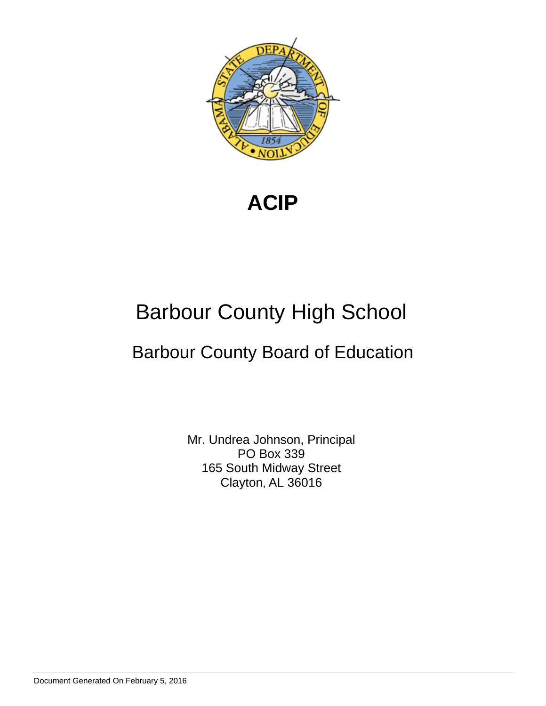

**ACIP**

# Barbour County High School

# Barbour County Board of Education

Mr. Undrea Johnson, Principal PO Box 339 165 South Midway Street Clayton, AL 36016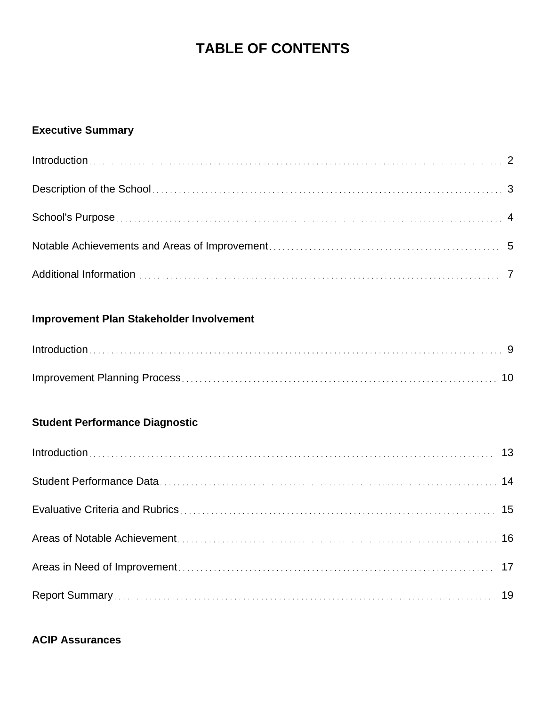# **TABLE OF CONTENTS**

## **Executive Summary**

## **Improvement Plan Stakeholder Involvement**

## **Student Performance Diagnostic**

## **ACIP Assurances**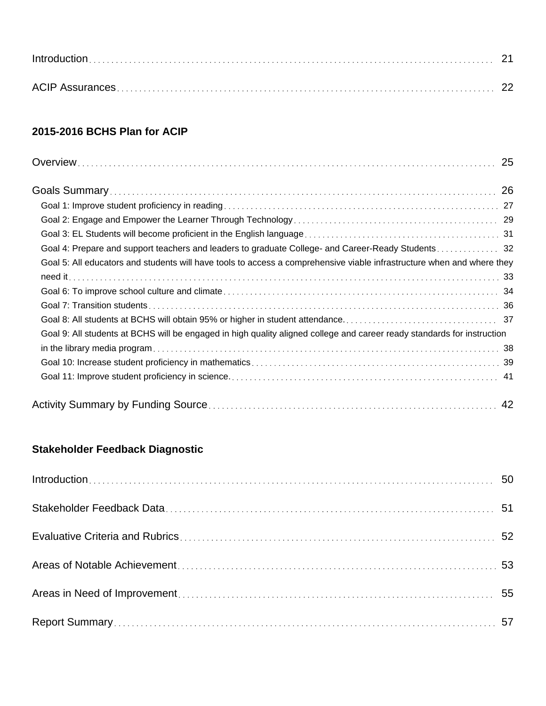| $Introduction \dots 21$ |  |
|-------------------------|--|
|                         |  |

## **2015-2016 BCHS Plan for ACIP**

| Goal 4: Prepare and support teachers and leaders to graduate College- and Career-Ready Students 32                      |
|-------------------------------------------------------------------------------------------------------------------------|
| Goal 5: All educators and students will have tools to access a comprehensive viable infrastructure when and where they  |
|                                                                                                                         |
|                                                                                                                         |
|                                                                                                                         |
|                                                                                                                         |
| Goal 9: All students at BCHS will be engaged in high quality aligned college and career ready standards for instruction |
|                                                                                                                         |
|                                                                                                                         |
|                                                                                                                         |
|                                                                                                                         |

## **Stakeholder Feedback Diagnostic**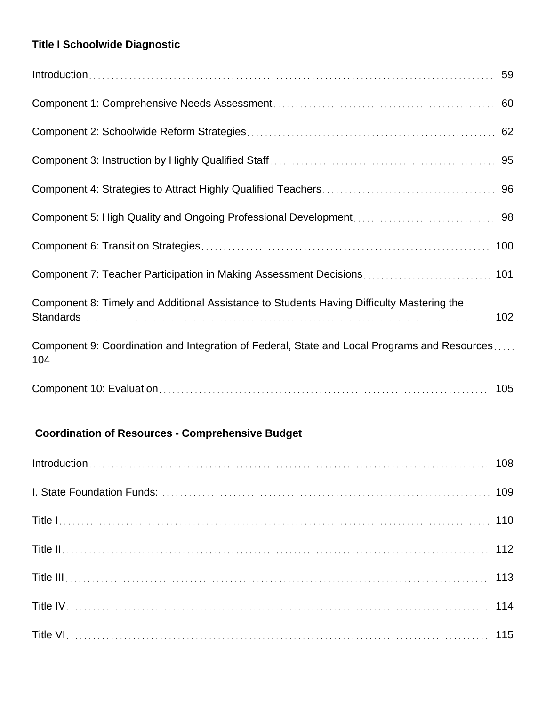## **Title I Schoolwide Diagnostic**

| Component 8: Timely and Additional Assistance to Students Having Difficulty Mastering the           |  |
|-----------------------------------------------------------------------------------------------------|--|
| Component 9: Coordination and Integration of Federal, State and Local Programs and Resources<br>104 |  |
|                                                                                                     |  |

## **Coordination of Resources - Comprehensive Budget**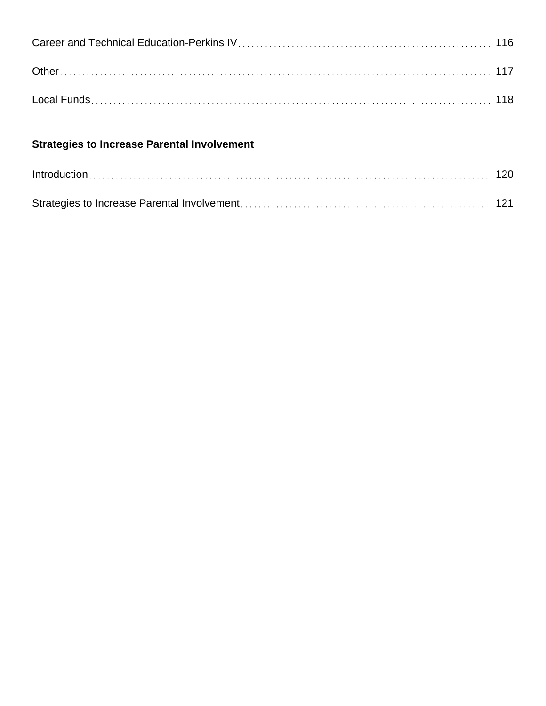| <b>Strategies to Increase Parental Involvement</b> |  |
|----------------------------------------------------|--|
|                                                    |  |
|                                                    |  |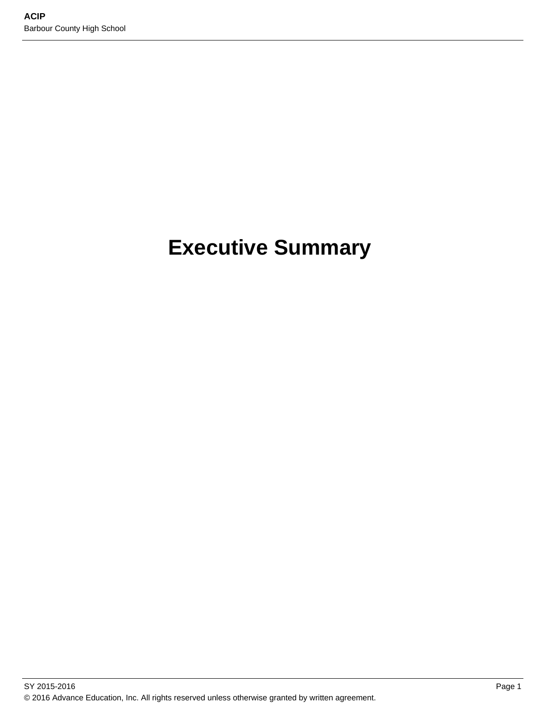# **Executive Summary**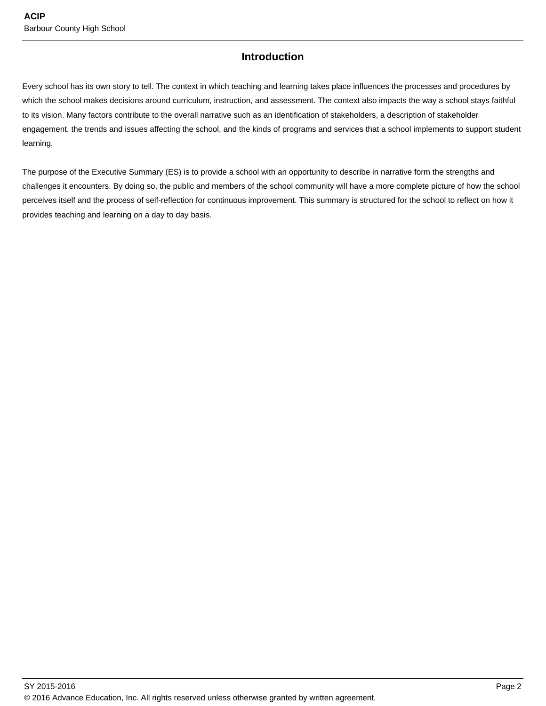## **Introduction**

Every school has its own story to tell. The context in which teaching and learning takes place influences the processes and procedures by which the school makes decisions around curriculum, instruction, and assessment. The context also impacts the way a school stays faithful to its vision. Many factors contribute to the overall narrative such as an identification of stakeholders, a description of stakeholder engagement, the trends and issues affecting the school, and the kinds of programs and services that a school implements to support student learning.

The purpose of the Executive Summary (ES) is to provide a school with an opportunity to describe in narrative form the strengths and challenges it encounters. By doing so, the public and members of the school community will have a more complete picture of how the school perceives itself and the process of self-reflection for continuous improvement. This summary is structured for the school to reflect on how it provides teaching and learning on a day to day basis.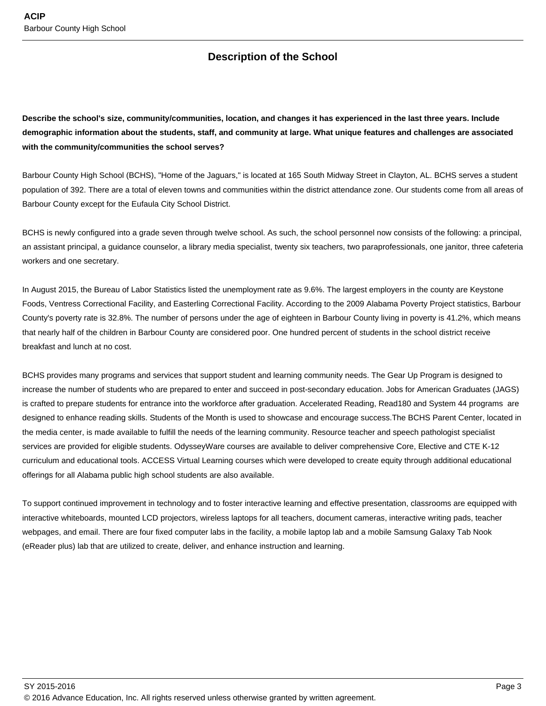## **Description of the School**

**Describe the school's size, community/communities, location, and changes it has experienced in the last three years. Include demographic information about the students, staff, and community at large. What unique features and challenges are associated with the community/communities the school serves?**

Barbour County High School (BCHS), "Home of the Jaguars," is located at 165 South Midway Street in Clayton, AL. BCHS serves a student population of 392. There are a total of eleven towns and communities within the district attendance zone. Our students come from all areas of Barbour County except for the Eufaula City School District.

BCHS is newly configured into a grade seven through twelve school. As such, the school personnel now consists of the following: a principal, an assistant principal, a guidance counselor, a library media specialist, twenty six teachers, two paraprofessionals, one janitor, three cafeteria workers and one secretary.

In August 2015, the Bureau of Labor Statistics listed the unemployment rate as 9.6%. The largest employers in the county are Keystone Foods, Ventress Correctional Facility, and Easterling Correctional Facility. According to the 2009 Alabama Poverty Project statistics, Barbour County's poverty rate is 32.8%. The number of persons under the age of eighteen in Barbour County living in poverty is 41.2%, which means that nearly half of the children in Barbour County are considered poor. One hundred percent of students in the school district receive breakfast and lunch at no cost.

BCHS provides many programs and services that support student and learning community needs. The Gear Up Program is designed to increase the number of students who are prepared to enter and succeed in post-secondary education. Jobs for American Graduates (JAGS) is crafted to prepare students for entrance into the workforce after graduation. Accelerated Reading, Read180 and System 44 programs are designed to enhance reading skills. Students of the Month is used to showcase and encourage success.The BCHS Parent Center, located in the media center, is made available to fulfill the needs of the learning community. Resource teacher and speech pathologist specialist services are provided for eligible students. OdysseyWare courses are available to deliver comprehensive Core, Elective and CTE K-12 curriculum and educational tools. ACCESS Virtual Learning courses which were developed to create equity through additional educational offerings for all Alabama public high school students are also available.

To support continued improvement in technology and to foster interactive learning and effective presentation, classrooms are equipped with interactive whiteboards, mounted LCD projectors, wireless laptops for all teachers, document cameras, interactive writing pads, teacher webpages, and email. There are four fixed computer labs in the facility, a mobile laptop lab and a mobile Samsung Galaxy Tab Nook (eReader plus) lab that are utilized to create, deliver, and enhance instruction and learning.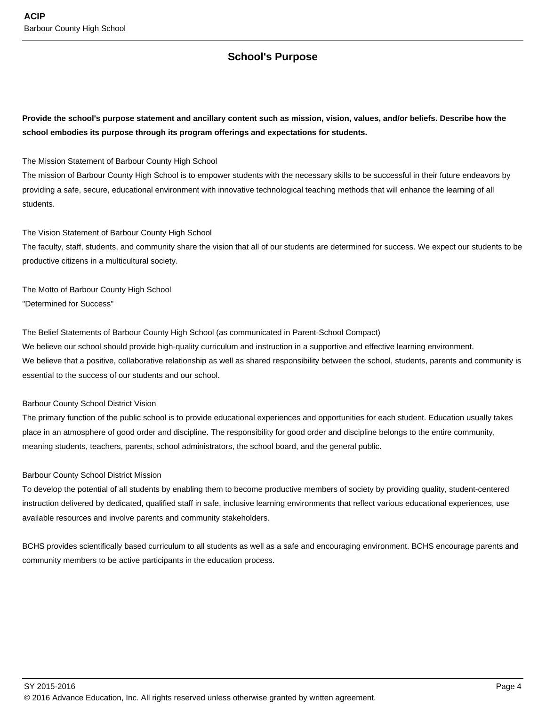## **School's Purpose**

### **Provide the school's purpose statement and ancillary content such as mission, vision, values, and/or beliefs. Describe how the school embodies its purpose through its program offerings and expectations for students.**

The Mission Statement of Barbour County High School

The mission of Barbour County High School is to empower students with the necessary skills to be successful in their future endeavors by providing a safe, secure, educational environment with innovative technological teaching methods that will enhance the learning of all students.

#### The Vision Statement of Barbour County High School

The faculty, staff, students, and community share the vision that all of our students are determined for success. We expect our students to be productive citizens in a multicultural society.

The Motto of Barbour County High School "Determined for Success"

The Belief Statements of Barbour County High School (as communicated in Parent-School Compact)

We believe our school should provide high-quality curriculum and instruction in a supportive and effective learning environment. We believe that a positive, collaborative relationship as well as shared responsibility between the school, students, parents and community is essential to the success of our students and our school.

#### Barbour County School District Vision

The primary function of the public school is to provide educational experiences and opportunities for each student. Education usually takes place in an atmosphere of good order and discipline. The responsibility for good order and discipline belongs to the entire community, meaning students, teachers, parents, school administrators, the school board, and the general public.

#### Barbour County School District Mission

To develop the potential of all students by enabling them to become productive members of society by providing quality, student-centered instruction delivered by dedicated, qualified staff in safe, inclusive learning environments that reflect various educational experiences, use available resources and involve parents and community stakeholders.

BCHS provides scientifically based curriculum to all students as well as a safe and encouraging environment. BCHS encourage parents and community members to be active participants in the education process.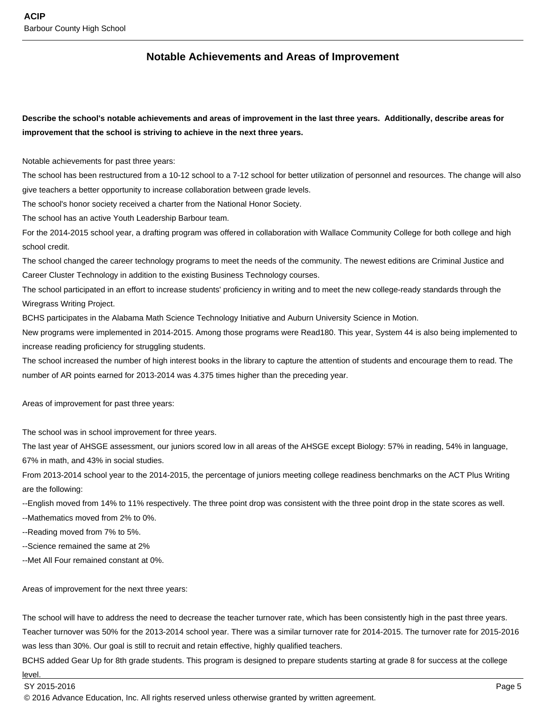### **Notable Achievements and Areas of Improvement**

**Describe the school's notable achievements and areas of improvement in the last three years. Additionally, describe areas for improvement that the school is striving to achieve in the next three years.**

Notable achievements for past three years:

The school has been restructured from a 10-12 school to a 7-12 school for better utilization of personnel and resources. The change will also give teachers a better opportunity to increase collaboration between grade levels.

The school's honor society received a charter from the National Honor Society.

The school has an active Youth Leadership Barbour team.

For the 2014-2015 school year, a drafting program was offered in collaboration with Wallace Community College for both college and high school credit.

The school changed the career technology programs to meet the needs of the community. The newest editions are Criminal Justice and Career Cluster Technology in addition to the existing Business Technology courses.

The school participated in an effort to increase students' proficiency in writing and to meet the new college-ready standards through the Wiregrass Writing Project.

BCHS participates in the Alabama Math Science Technology Initiative and Auburn University Science in Motion.

New programs were implemented in 2014-2015. Among those programs were Read180. This year, System 44 is also being implemented to increase reading proficiency for struggling students.

The school increased the number of high interest books in the library to capture the attention of students and encourage them to read. The number of AR points earned for 2013-2014 was 4.375 times higher than the preceding year.

Areas of improvement for past three years:

The school was in school improvement for three years.

The last year of AHSGE assessment, our juniors scored low in all areas of the AHSGE except Biology: 57% in reading, 54% in language, 67% in math, and 43% in social studies.

From 2013-2014 school year to the 2014-2015, the percentage of juniors meeting college readiness benchmarks on the ACT Plus Writing are the following:

--English moved from 14% to 11% respectively. The three point drop was consistent with the three point drop in the state scores as well.

--Mathematics moved from 2% to 0%.

--Reading moved from 7% to 5%.

--Science remained the same at 2%

--Met All Four remained constant at 0%.

Areas of improvement for the next three years:

The school will have to address the need to decrease the teacher turnover rate, which has been consistently high in the past three years. Teacher turnover was 50% for the 2013-2014 school year. There was a similar turnover rate for 2014-2015. The turnover rate for 2015-2016 was less than 30%. Our goal is still to recruit and retain effective, highly qualified teachers.

BCHS added Gear Up for 8th grade students. This program is designed to prepare students starting at grade 8 for success at the college

level.

© 2016 Advance Education, Inc. All rights reserved unless otherwise granted by written agreement.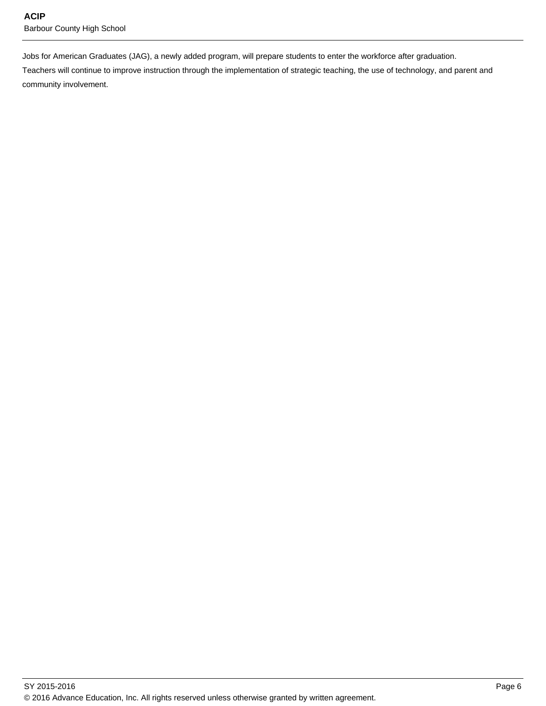Jobs for American Graduates (JAG), a newly added program, will prepare students to enter the workforce after graduation.

Teachers will continue to improve instruction through the implementation of strategic teaching, the use of technology, and parent and community involvement.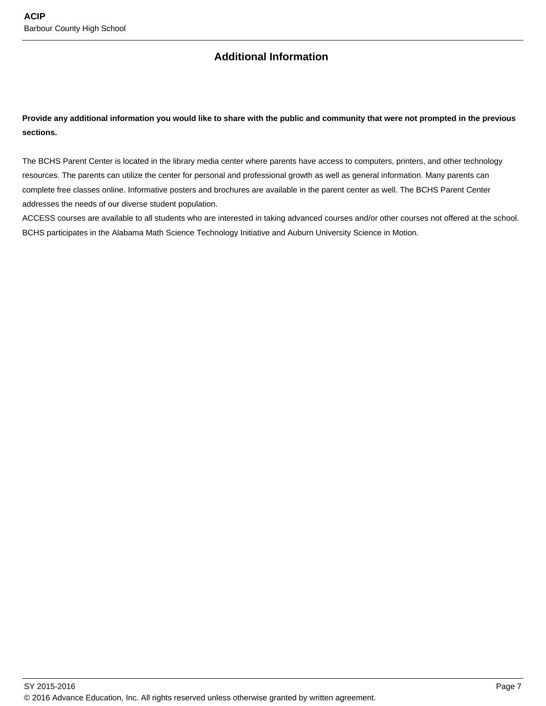## **Additional Information**

**Provide any additional information you would like to share with the public and community that were not prompted in the previous sections.**

The BCHS Parent Center is located in the library media center where parents have access to computers, printers, and other technology resources. The parents can utilize the center for personal and professional growth as well as general information. Many parents can complete free classes online. Informative posters and brochures are available in the parent center as well. The BCHS Parent Center addresses the needs of our diverse student population.

ACCESS courses are available to all students who are interested in taking advanced courses and/or other courses not offered at the school. BCHS participates in the Alabama Math Science Technology Initiative and Auburn University Science in Motion.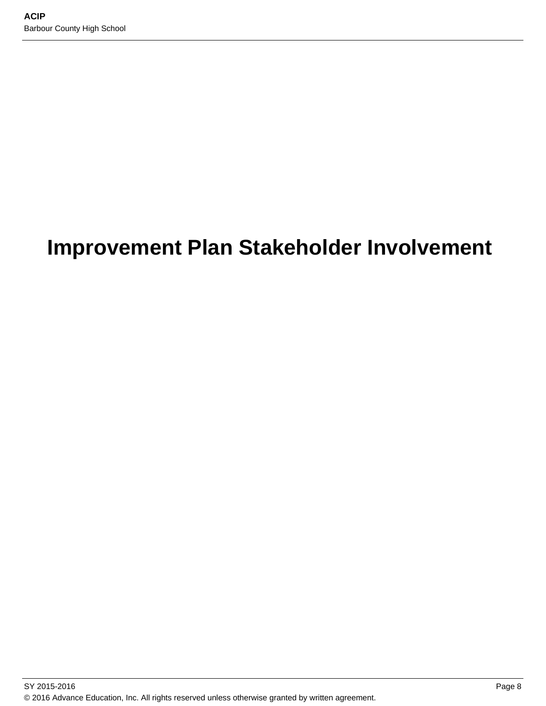# **Improvement Plan Stakeholder Involvement**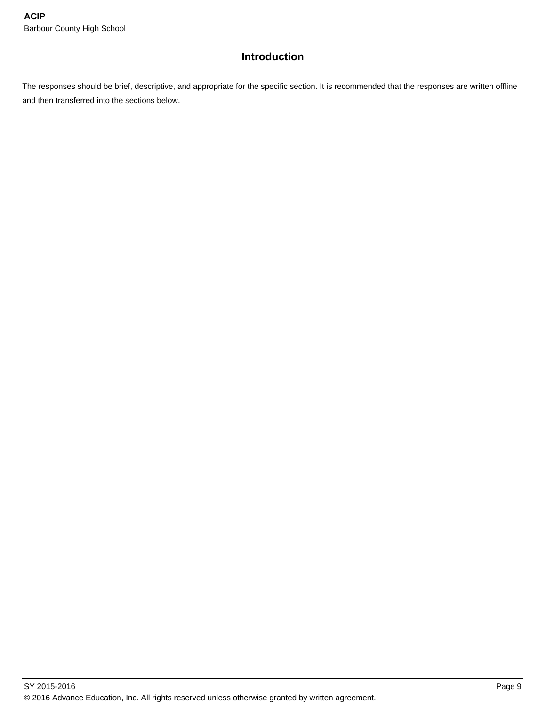## **Introduction**

The responses should be brief, descriptive, and appropriate for the specific section. It is recommended that the responses are written offline and then transferred into the sections below.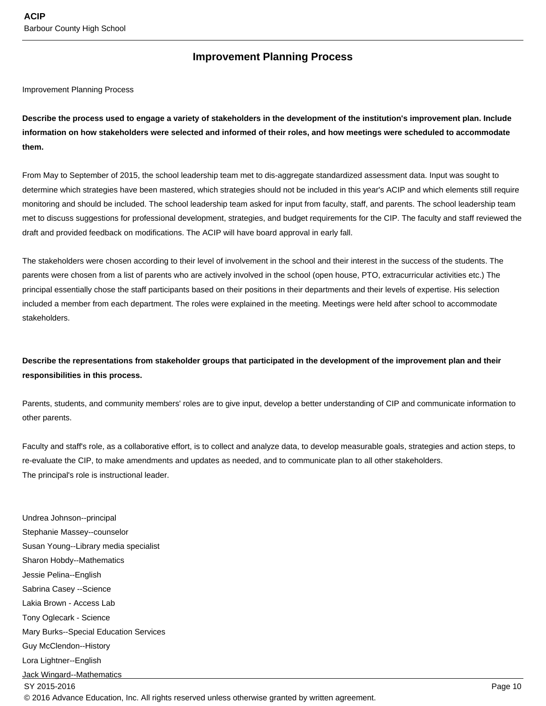### **Improvement Planning Process**

Improvement Planning Process

**Describe the process used to engage a variety of stakeholders in the development of the institution's improvement plan. Include information on how stakeholders were selected and informed of their roles, and how meetings were scheduled to accommodate them.** 

From May to September of 2015, the school leadership team met to dis-aggregate standardized assessment data. Input was sought to determine which strategies have been mastered, which strategies should not be included in this year's ACIP and which elements still require monitoring and should be included. The school leadership team asked for input from faculty, staff, and parents. The school leadership team met to discuss suggestions for professional development, strategies, and budget requirements for the CIP. The faculty and staff reviewed the draft and provided feedback on modifications. The ACIP will have board approval in early fall.

The stakeholders were chosen according to their level of involvement in the school and their interest in the success of the students. The parents were chosen from a list of parents who are actively involved in the school (open house, PTO, extracurricular activities etc.) The principal essentially chose the staff participants based on their positions in their departments and their levels of expertise. His selection included a member from each department. The roles were explained in the meeting. Meetings were held after school to accommodate stakeholders.

### **Describe the representations from stakeholder groups that participated in the development of the improvement plan and their responsibilities in this process.**

Parents, students, and community members' roles are to give input, develop a better understanding of CIP and communicate information to other parents.

Faculty and staff's role, as a collaborative effort, is to collect and analyze data, to develop measurable goals, strategies and action steps, to re-evaluate the CIP, to make amendments and updates as needed, and to communicate plan to all other stakeholders. The principal's role is instructional leader.

Undrea Johnson--principal Stephanie Massey--counselor Susan Young--Library media specialist Sharon Hobdy--Mathematics Jessie Pelina--English Sabrina Casey --Science Lakia Brown - Access Lab Tony Oglecark - Science Mary Burks--Special Education Services Guy McClendon--History Lora Lightner--English Jack Wingard--Mathematics SY 2015-2016 Page 10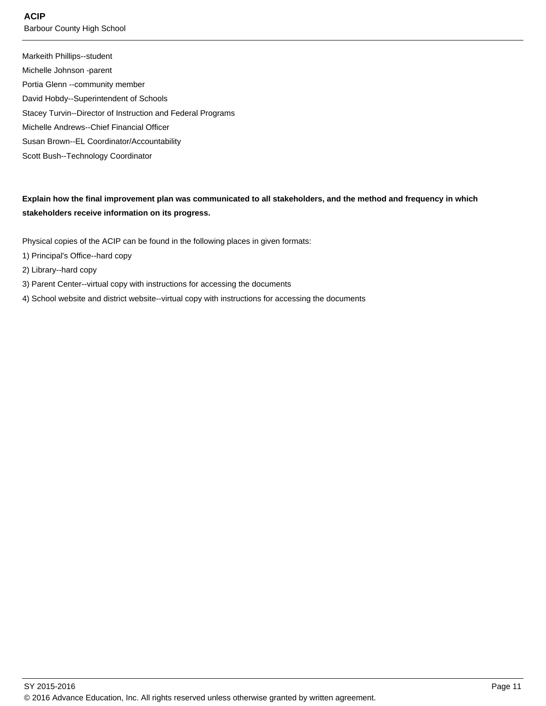**ACIP**

Barbour County High School

Markeith Phillips--student Michelle Johnson -parent Portia Glenn --community member David Hobdy--Superintendent of Schools Stacey Turvin--Director of Instruction and Federal Programs Michelle Andrews--Chief Financial Officer Susan Brown--EL Coordinator/Accountability Scott Bush--Technology Coordinator

**Explain how the final improvement plan was communicated to all stakeholders, and the method and frequency in which stakeholders receive information on its progress.** 

Physical copies of the ACIP can be found in the following places in given formats:

- 1) Principal's Office--hard copy
- 2) Library--hard copy
- 3) Parent Center--virtual copy with instructions for accessing the documents
- 4) School website and district website--virtual copy with instructions for accessing the documents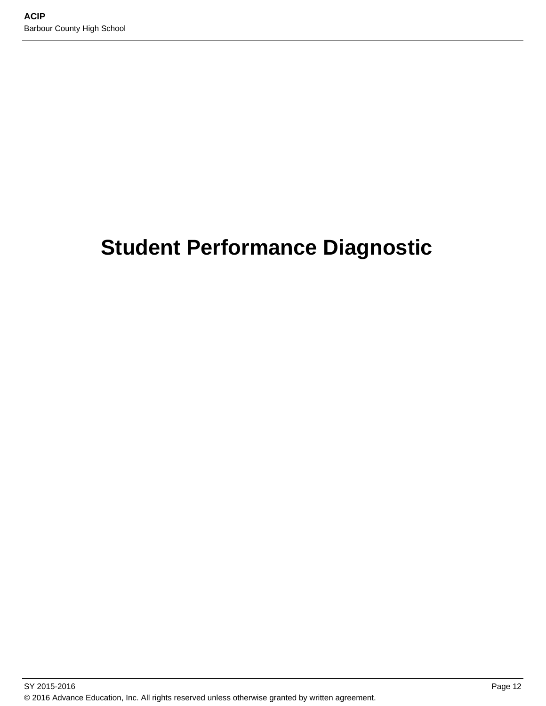# **Student Performance Diagnostic**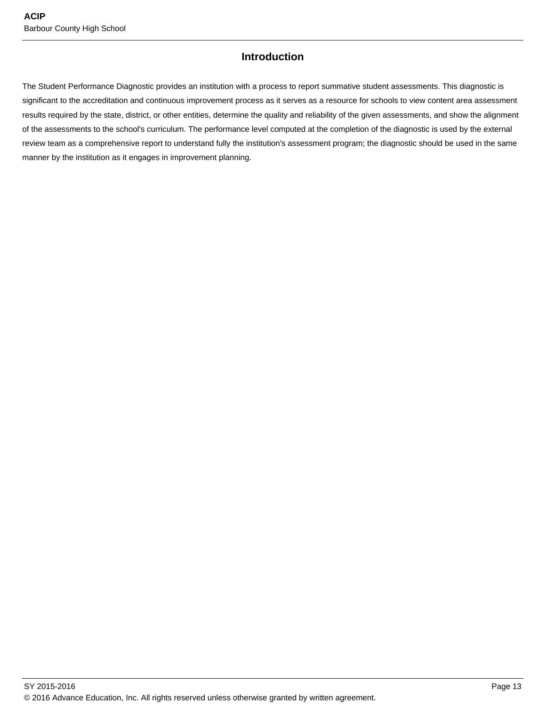## **Introduction**

The Student Performance Diagnostic provides an institution with a process to report summative student assessments. This diagnostic is significant to the accreditation and continuous improvement process as it serves as a resource for schools to view content area assessment results required by the state, district, or other entities, determine the quality and reliability of the given assessments, and show the alignment of the assessments to the school's curriculum. The performance level computed at the completion of the diagnostic is used by the external review team as a comprehensive report to understand fully the institution's assessment program; the diagnostic should be used in the same manner by the institution as it engages in improvement planning.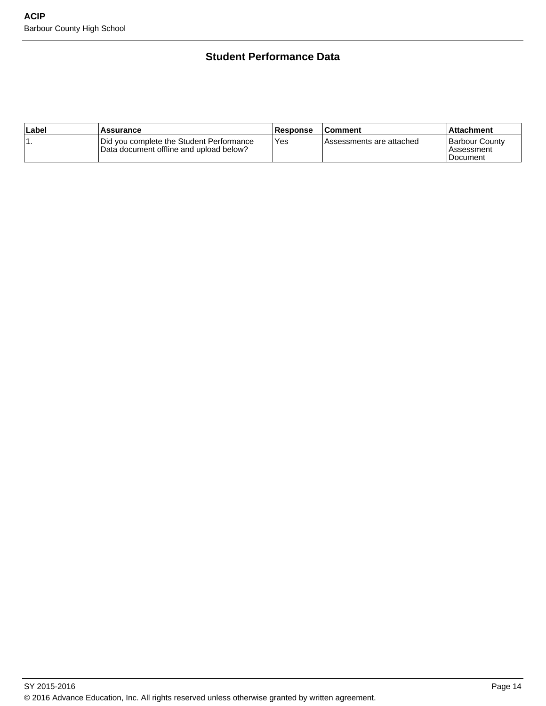## **Student Performance Data**

| ∣Label | Assurance                                                                           | <b>Response</b> | ∣Comment                 | Attachment                                 |
|--------|-------------------------------------------------------------------------------------|-----------------|--------------------------|--------------------------------------------|
|        | Did you complete the Student Performance<br>Data document offline and upload below? | Yes             | Assessments are attached | Barbour County<br>l Assessment<br>Document |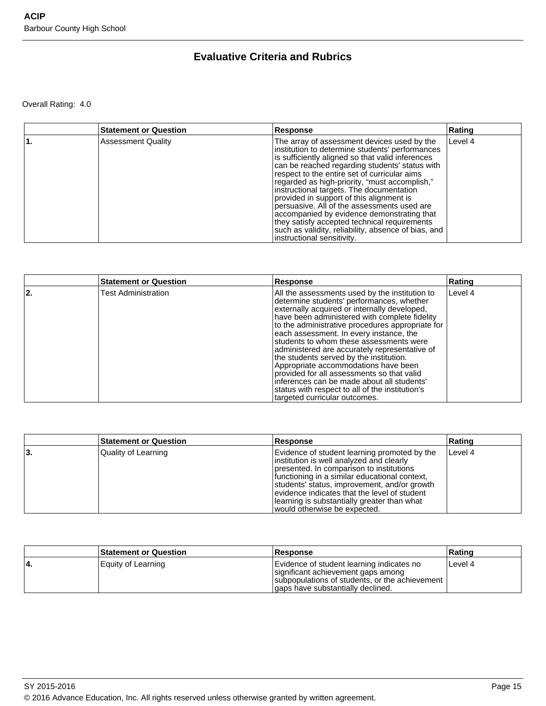## **Evaluative Criteria and Rubrics**

Overall Rating: 4.0

| <b>Statement or Question</b> | Response                                                                                                                                                                                                                                                                                                                                                                                                                                                                                                                                                                                                                        | Rating  |
|------------------------------|---------------------------------------------------------------------------------------------------------------------------------------------------------------------------------------------------------------------------------------------------------------------------------------------------------------------------------------------------------------------------------------------------------------------------------------------------------------------------------------------------------------------------------------------------------------------------------------------------------------------------------|---------|
| <b>Assessment Quality</b>    | The array of assessment devices used by the<br>institution to determine students' performances<br>is sufficiently aligned so that valid inferences<br>can be reached regarding students' status with<br>respect to the entire set of curricular aims<br>regarded as high-priority, "must accomplish,"<br>instructional targets. The documentation<br>provided in support of this alignment is<br>persuasive. All of the assessments used are<br>accompanied by evidence demonstrating that<br>they satisfy accepted technical requirements<br>such as validity, reliability, absence of bias, and<br>instructional sensitivity. | Level 4 |

|     | <b>Statement or Question</b> | Response                                                                                                                                                                                                                                                                                                                                                                                                                                                                                                                                                                                                                                                   | Rating    |
|-----|------------------------------|------------------------------------------------------------------------------------------------------------------------------------------------------------------------------------------------------------------------------------------------------------------------------------------------------------------------------------------------------------------------------------------------------------------------------------------------------------------------------------------------------------------------------------------------------------------------------------------------------------------------------------------------------------|-----------|
| 22. | <b>Test Administration</b>   | All the assessments used by the institution to<br>determine students' performances, whether<br>externally acquired or internally developed,<br>have been administered with complete fidelity<br>to the administrative procedures appropriate for<br>each assessment. In every instance, the<br>students to whom these assessments were<br>administered are accurately representative of<br>the students served by the institution.<br>Appropriate accommodations have been<br>provided for all assessments so that valid<br>inferences can be made about all students'<br>status with respect to all of the institution's<br>targeted curricular outcomes. | l Level 4 |

|    | <b>Statement or Question</b> | <b>Response</b>                                                                                                                                                                                                                                                                                                                                                      | Rating  |
|----|------------------------------|----------------------------------------------------------------------------------------------------------------------------------------------------------------------------------------------------------------------------------------------------------------------------------------------------------------------------------------------------------------------|---------|
| 3. | Quality of Learning          | Evidence of student learning promoted by the<br>institution is well analyzed and clearly<br>presented. In comparison to institutions<br>functioning in a similar educational context,<br>students' status, improvement, and/or growth<br>evidence indicates that the level of student<br>learning is substantially greater than what<br>would otherwise be expected. | Level 4 |

| <b>Statement or Question</b> | <b>Response</b>                                                                                                                                                           | Ratinɑ  |
|------------------------------|---------------------------------------------------------------------------------------------------------------------------------------------------------------------------|---------|
| Equity of Learning           | Evidence of student learning indicates no<br>significant achievement gaps among<br>subpopulations of students, or the achievement  <br>lgaps have substantially declined. | Level 4 |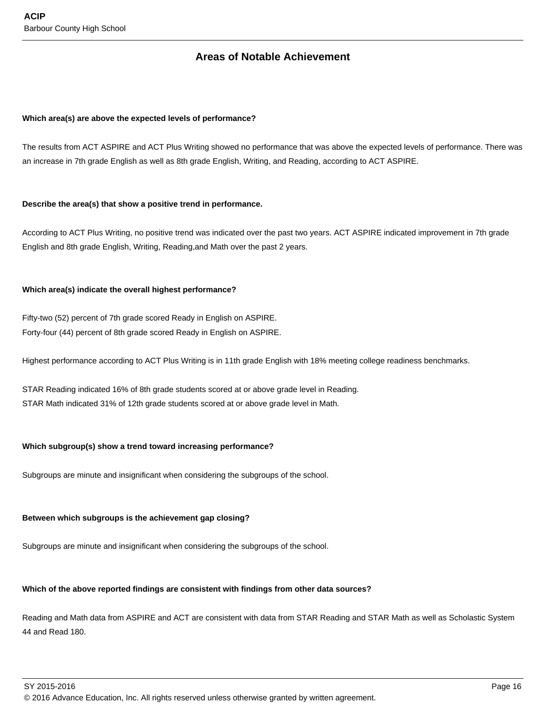### **Areas of Notable Achievement**

#### **Which area(s) are above the expected levels of performance?**

The results from ACT ASPIRE and ACT Plus Writing showed no performance that was above the expected levels of performance. There was an increase in 7th grade English as well as 8th grade English, Writing, and Reading, according to ACT ASPIRE.

#### **Describe the area(s) that show a positive trend in performance.**

According to ACT Plus Writing, no positive trend was indicated over the past two years. ACT ASPIRE indicated improvement in 7th grade English and 8th grade English, Writing, Reading,and Math over the past 2 years.

#### **Which area(s) indicate the overall highest performance?**

Fifty-two (52) percent of 7th grade scored Ready in English on ASPIRE. Forty-four (44) percent of 8th grade scored Ready in English on ASPIRE.

Highest performance according to ACT Plus Writing is in 11th grade English with 18% meeting college readiness benchmarks.

STAR Reading indicated 16% of 8th grade students scored at or above grade level in Reading. STAR Math indicated 31% of 12th grade students scored at or above grade level in Math.

#### **Which subgroup(s) show a trend toward increasing performance?**

Subgroups are minute and insignificant when considering the subgroups of the school.

#### **Between which subgroups is the achievement gap closing?**

Subgroups are minute and insignificant when considering the subgroups of the school.

#### **Which of the above reported findings are consistent with findings from other data sources?**

Reading and Math data from ASPIRE and ACT are consistent with data from STAR Reading and STAR Math as well as Scholastic System 44 and Read 180.

 $\,$  SY 2015-2016  $\,$  Page 16  $\,$  Page 16  $\,$  Page 16  $\,$  Page 16  $\,$  Page 16  $\,$  Page 16  $\,$  Page 16  $\,$  Page 16  $\,$  Page 16  $\,$  Page 16  $\,$  Page 16  $\,$  Page 16  $\,$  Page 16  $\,$  Page 16  $\,$  Page 16  $\,$  Pag © 2016 Advance Education, Inc. All rights reserved unless otherwise granted by written agreement.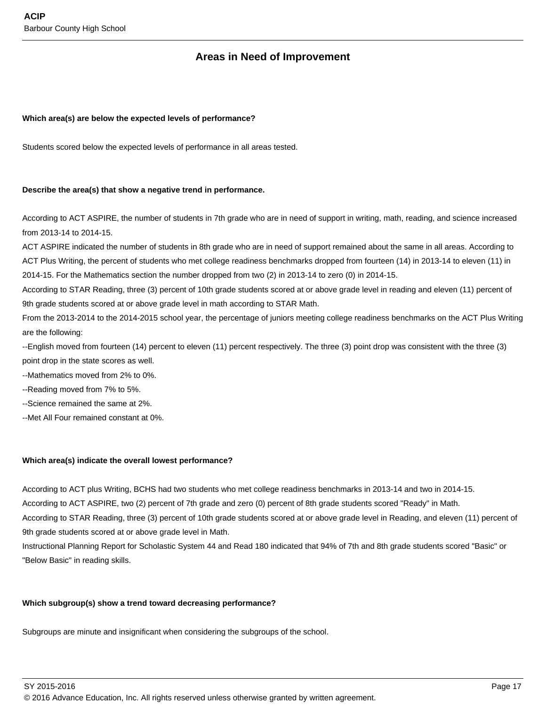## **Areas in Need of Improvement**

#### **Which area(s) are below the expected levels of performance?**

Students scored below the expected levels of performance in all areas tested.

#### **Describe the area(s) that show a negative trend in performance.**

According to ACT ASPIRE, the number of students in 7th grade who are in need of support in writing, math, reading, and science increased from 2013-14 to 2014-15.

ACT ASPIRE indicated the number of students in 8th grade who are in need of support remained about the same in all areas. According to ACT Plus Writing, the percent of students who met college readiness benchmarks dropped from fourteen (14) in 2013-14 to eleven (11) in 2014-15. For the Mathematics section the number dropped from two (2) in 2013-14 to zero (0) in 2014-15.

According to STAR Reading, three (3) percent of 10th grade students scored at or above grade level in reading and eleven (11) percent of 9th grade students scored at or above grade level in math according to STAR Math.

From the 2013-2014 to the 2014-2015 school year, the percentage of juniors meeting college readiness benchmarks on the ACT Plus Writing are the following:

--English moved from fourteen (14) percent to eleven (11) percent respectively. The three (3) point drop was consistent with the three (3) point drop in the state scores as well.

--Mathematics moved from 2% to 0%.

--Reading moved from 7% to 5%.

--Science remained the same at 2%.

--Met All Four remained constant at 0%.

#### **Which area(s) indicate the overall lowest performance?**

According to ACT plus Writing, BCHS had two students who met college readiness benchmarks in 2013-14 and two in 2014-15.

According to ACT ASPIRE, two (2) percent of 7th grade and zero (0) percent of 8th grade students scored "Ready" in Math.

According to STAR Reading, three (3) percent of 10th grade students scored at or above grade level in Reading, and eleven (11) percent of 9th grade students scored at or above grade level in Math.

Instructional Planning Report for Scholastic System 44 and Read 180 indicated that 94% of 7th and 8th grade students scored "Basic" or "Below Basic" in reading skills.

#### **Which subgroup(s) show a trend toward decreasing performance?**

Subgroups are minute and insignificant when considering the subgroups of the school.

SY 2015-2016 Page 17

© 2016 Advance Education, Inc. All rights reserved unless otherwise granted by written agreement.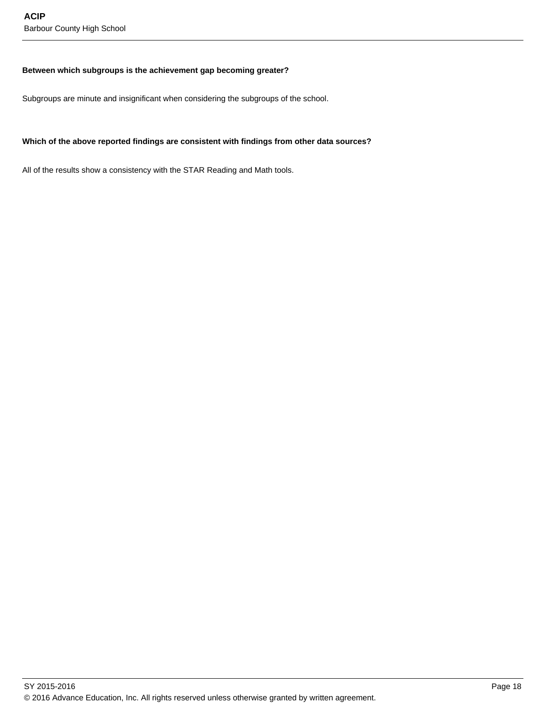#### **Between which subgroups is the achievement gap becoming greater?**

Subgroups are minute and insignificant when considering the subgroups of the school.

#### **Which of the above reported findings are consistent with findings from other data sources?**

All of the results show a consistency with the STAR Reading and Math tools.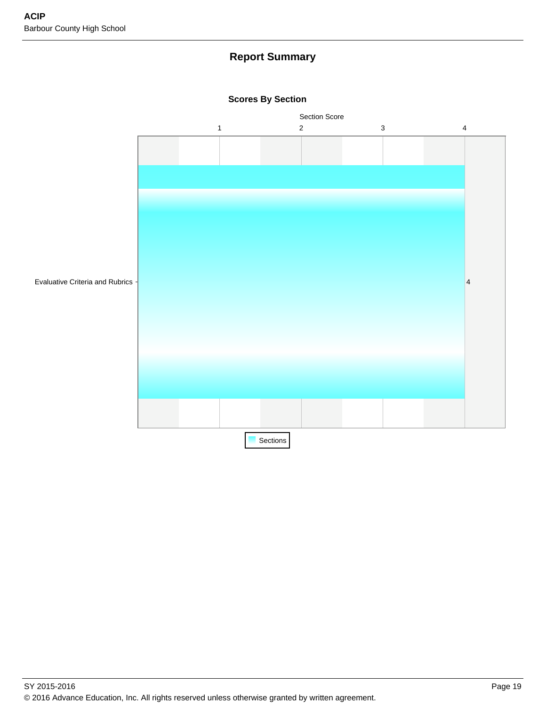## **Report Summary**



#### **Scores By Section**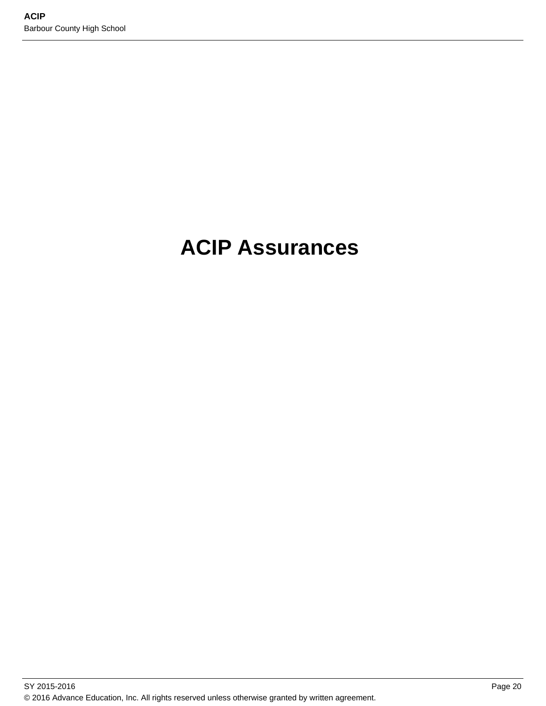# **ACIP Assurances**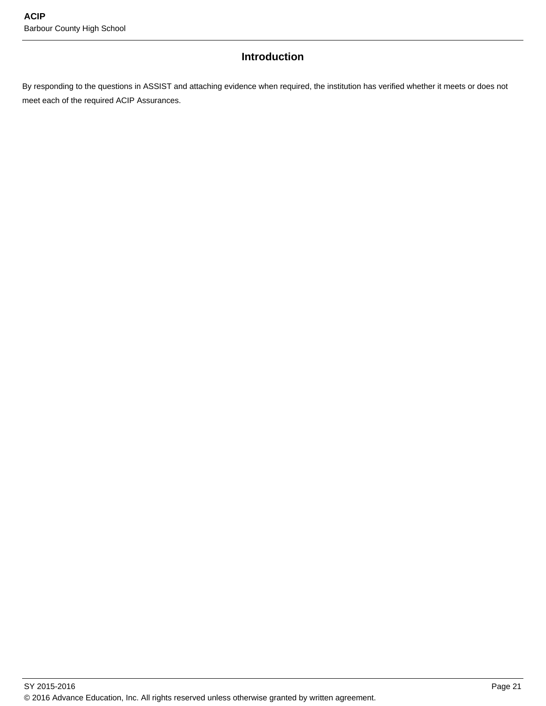## **Introduction**

By responding to the questions in ASSIST and attaching evidence when required, the institution has verified whether it meets or does not meet each of the required ACIP Assurances.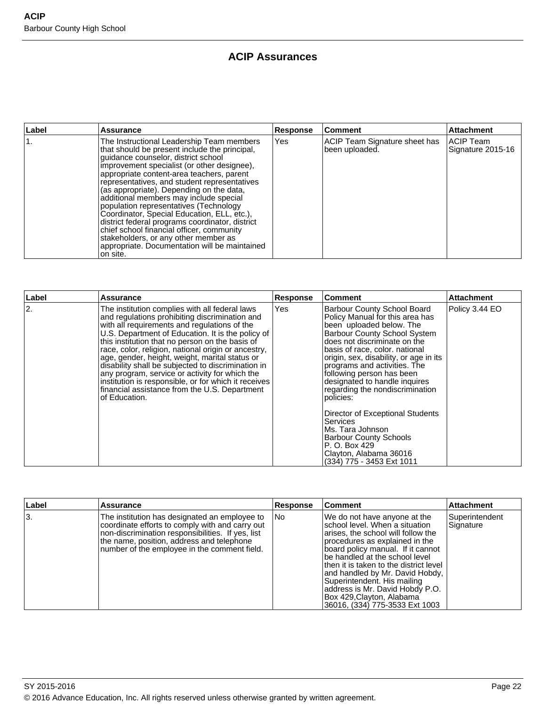## **ACIP Assurances**

| ∣Label | <b>Assurance</b>                                                                                                                                                                                                                                                                                                                                                                                                                                                                                                                                                                                                                                                  | <b>Response</b> | <b>Comment</b>                                  | Attachment                     |
|--------|-------------------------------------------------------------------------------------------------------------------------------------------------------------------------------------------------------------------------------------------------------------------------------------------------------------------------------------------------------------------------------------------------------------------------------------------------------------------------------------------------------------------------------------------------------------------------------------------------------------------------------------------------------------------|-----------------|-------------------------------------------------|--------------------------------|
|        | The Instructional Leadership Team members<br>that should be present include the principal,<br>quidance counselor, district school<br>improvement specialist (or other designee),<br>appropriate content-area teachers, parent<br>representatives, and student representatives<br>(as appropriate). Depending on the data,<br>additional members may include special<br>population representatives (Technology<br>Coordinator, Special Education, ELL, etc.),<br>district federal programs coordinator, district<br>chief school financial officer, community<br>stakeholders, or any other member as<br>appropriate. Documentation will be maintained<br>on site. | <b>Yes</b>      | ACIP Team Signature sheet has<br>been uploaded. | ACIP Team<br>Signature 2015-16 |

| Label | <b>Assurance</b>                                                                                                                                                                                                                                                                                                                                                                                                                                                                                                                                                                                    | <b>Response</b> | Comment                                                                                                                                                                                                                                                                                                                                                                                                                                                                                                                                                                         | <b>Attachment</b> |
|-------|-----------------------------------------------------------------------------------------------------------------------------------------------------------------------------------------------------------------------------------------------------------------------------------------------------------------------------------------------------------------------------------------------------------------------------------------------------------------------------------------------------------------------------------------------------------------------------------------------------|-----------------|---------------------------------------------------------------------------------------------------------------------------------------------------------------------------------------------------------------------------------------------------------------------------------------------------------------------------------------------------------------------------------------------------------------------------------------------------------------------------------------------------------------------------------------------------------------------------------|-------------------|
| 2.    | The institution complies with all federal laws<br>and regulations prohibiting discrimination and<br>with all requirements and regulations of the<br>U.S. Department of Education. It is the policy of<br>this institution that no person on the basis of<br>race, color, religion, national origin or ancestry,<br>age, gender, height, weight, marital status or<br>disability shall be subjected to discrimination in<br>any program, service or activity for which the<br>institution is responsible, or for which it receives<br>financial assistance from the U.S. Department<br>of Education. | Yes             | Barbour County School Board<br>Policy Manual for this area has<br>been uploaded below. The<br><b>Barbour County School System</b><br>does not discriminate on the<br>basis of race, color, national<br>origin, sex, disability, or age in its<br>programs and activities. The<br>following person has been<br>designated to handle inquires<br>regarding the nondiscrimination<br>policies:<br>Director of Exceptional Students<br><b>Services</b><br>Ms. Tara Johnson<br><b>Barbour County Schools</b><br>P. O. Box 429<br>Clayton, Alabama 36016<br>(334) 775 - 3453 Ext 1011 | Policy 3.44 EO    |

| Label | <b>Assurance</b>                                                                                                                                                                                                                                   | <b>Response</b> | <b>Comment</b>                                                                                                                                                                                                                                                                                                                                                                                                               | <b>Attachment</b>           |
|-------|----------------------------------------------------------------------------------------------------------------------------------------------------------------------------------------------------------------------------------------------------|-----------------|------------------------------------------------------------------------------------------------------------------------------------------------------------------------------------------------------------------------------------------------------------------------------------------------------------------------------------------------------------------------------------------------------------------------------|-----------------------------|
| l3.   | The institution has designated an employee to<br>coordinate efforts to comply with and carry out<br>non-discrimination responsibilities. If yes, list<br>the name, position, address and telephone<br>number of the employee in the comment field. | l No            | We do not have anyone at the<br>school level. When a situation<br>arises, the school will follow the<br>procedures as explained in the<br>board policy manual. If it cannot<br>be handled at the school level<br>lthen it is taken to the district level<br>and handled by Mr. David Hobdy,<br>Superintendent. His mailing<br>address is Mr. David Hobdy P.O.<br>Box 429, Clayton, Alabama<br>36016, (334) 775-3533 Ext 1003 | Superintendent<br>Signature |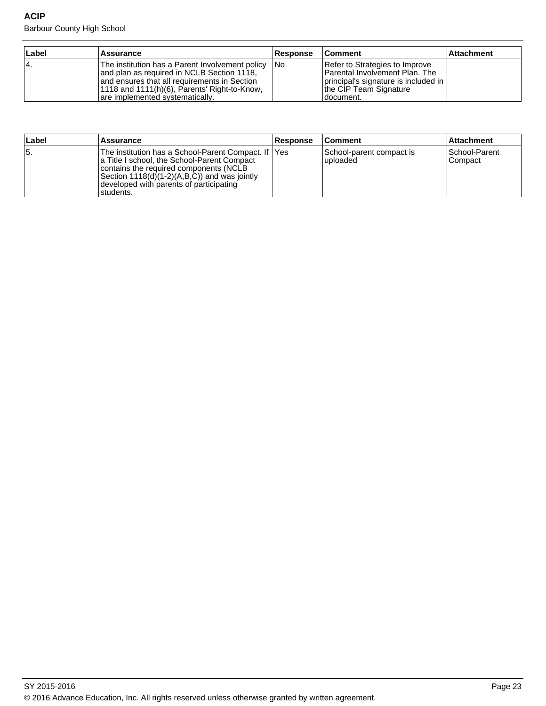Barbour County High School

| ∣Label | <b>Assurance</b>                                                                                                                                                                                                                 | ∣Response | <b>Comment</b>                                                                                                                                          | ∣Attachment |
|--------|----------------------------------------------------------------------------------------------------------------------------------------------------------------------------------------------------------------------------------|-----------|---------------------------------------------------------------------------------------------------------------------------------------------------------|-------------|
| 14.    | The institution has a Parent Involvement policy<br>and plan as required in NCLB Section 1118,<br>and ensures that all requirements in Section<br>1118 and 1111(h)(6), Parents' Right-to-Know,<br>are implemented systematically. | 1No       | Refer to Strategies to Improve<br><b>Parental Involvement Plan. The</b><br>principal's signature is included in<br>the CIP Team Signature<br>Idocument. |             |

| Label | Assurance                                                                                                                                                                                                                                             | <b>Response</b> | <b>Comment</b>                        | <b>Attachment</b>           |
|-------|-------------------------------------------------------------------------------------------------------------------------------------------------------------------------------------------------------------------------------------------------------|-----------------|---------------------------------------|-----------------------------|
| 15.   | The institution has a School-Parent Compact. If  Yes<br>a Title I school, the School-Parent Compact<br>contains the required components (NCLB<br>Section 1118(d)(1-2)(A,B,C)) and was jointly<br>developed with parents of participating<br>students. |                 | School-parent compact is<br>luploaded | ISchool-Parent<br>l Compact |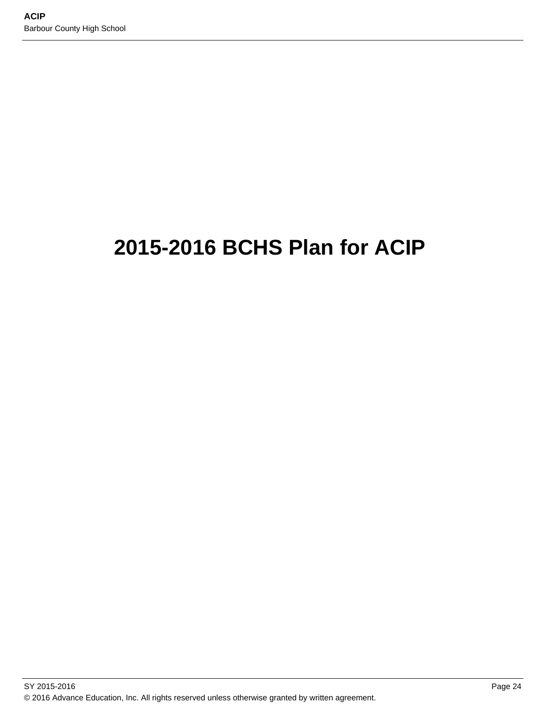# **2015-2016 BCHS Plan for ACIP**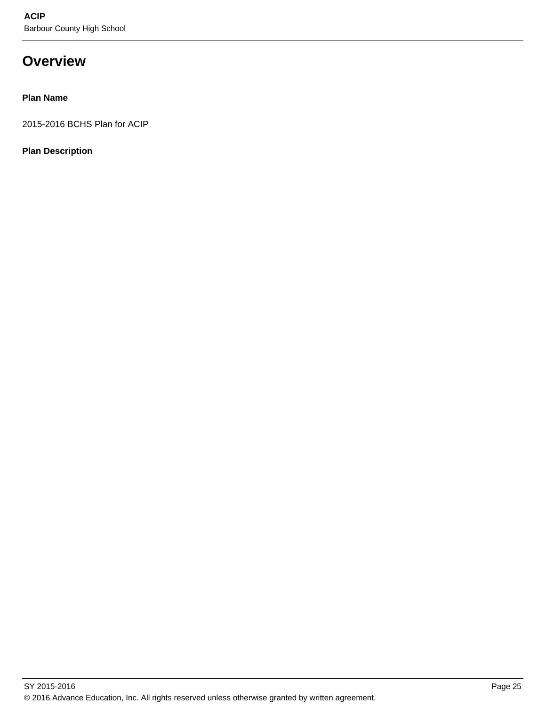## **Overview**

### **Plan Name**

2015-2016 BCHS Plan for ACIP

### **Plan Description**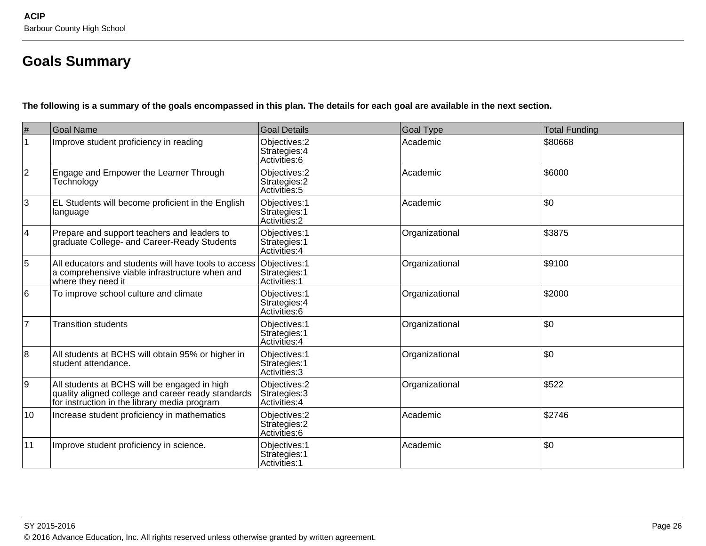## **Goals Summary**

**The following is a summary of the goals encompassed in this plan. The details for each goal are available in the next section.**

| #              | <b>Goal Name</b>                                                                                                                                   | <b>Goal Details</b>                             | <b>Goal Type</b> | <b>Total Funding</b> |
|----------------|----------------------------------------------------------------------------------------------------------------------------------------------------|-------------------------------------------------|------------------|----------------------|
|                | Improve student proficiency in reading                                                                                                             | Objectives: 2<br>Strategies: 4<br>Activities: 6 | Academic         | \$80668              |
| $ 2\rangle$    | Engage and Empower the Learner Through<br>Technology                                                                                               | Objectives: 2<br>Strategies: 2<br>Activities: 5 | Academic         | \$6000               |
| 3              | EL Students will become proficient in the English<br>language                                                                                      | Objectives: 1<br>Strategies: 1<br>Activities: 2 | Academic         | \$0                  |
| $\overline{4}$ | Prepare and support teachers and leaders to<br>graduate College- and Career-Ready Students                                                         | Objectives: 1<br>Strategies: 1<br>Activities: 4 | Organizational   | \$3875               |
| 5              | All educators and students will have tools to access<br>a comprehensive viable infrastructure when and<br>where they need it                       | Objectives: 1<br>Strategies: 1<br>Activities: 1 | Organizational   | \$9100               |
| 16             | To improve school culture and climate                                                                                                              | Objectives: 1<br>Strategies: 4<br>Activities: 6 | Organizational   | \$2000               |
| $\overline{7}$ | <b>Transition students</b>                                                                                                                         | Objectives: 1<br>Strategies: 1<br>Activities: 4 | Organizational   | \$0                  |
| 8              | All students at BCHS will obtain 95% or higher in<br>student attendance.                                                                           | Objectives: 1<br>Strategies: 1<br>Activities: 3 | Organizational   | \$0                  |
| 9              | All students at BCHS will be engaged in high<br>quality aligned college and career ready standards<br>for instruction in the library media program | Objectives: 2<br>Strategies: 3<br>Activities: 4 | Organizational   | \$522                |
| 10             | Increase student proficiency in mathematics                                                                                                        | Objectives: 2<br>Strategies: 2<br>Activities: 6 | Academic         | \$2746               |
| 11             | Improve student proficiency in science.                                                                                                            | Objectives: 1<br>Strategies: 1<br>Activities: 1 | Academic         | \$0                  |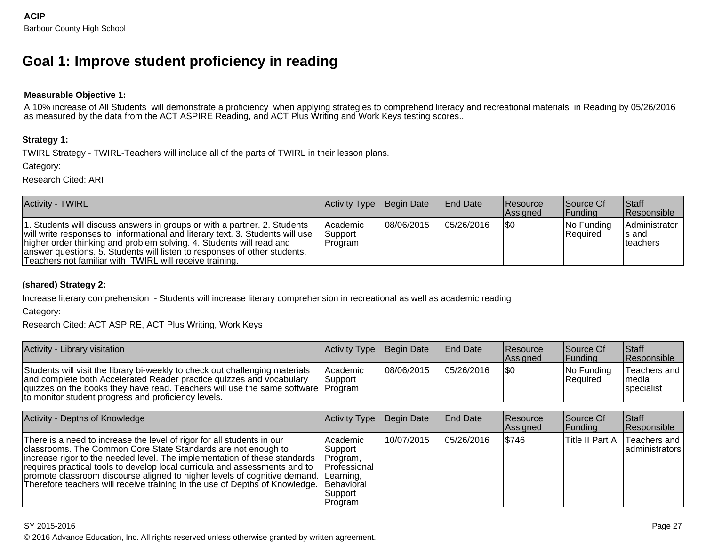## **Goal 1: Improve student proficiency in reading**

#### **Measurable Objective 1:**

 A 10% increase of All Students will demonstrate a proficiency when applying strategies to comprehend literacy and recreational materials in Reading by 05/26/2016as measured by the data from the ACT ASPIRE Reading, and ACT Plus Writing and Work Keys testing scores..

#### **Strategy 1:**

TWIRL Strategy - TWIRL-Teachers will include all of the parts of TWIRL in their lesson plans.

Category:

Research Cited: ARI

| <b>Activity - TWIRL</b>                                                                                                                                                                                                                                                                                                                                                    | Activity Type Begin Date              |             | <b>End Date</b> | Resource<br>Assigned | Source Of<br><b>Funding</b> | <b>Staff</b><br>Responsible          |
|----------------------------------------------------------------------------------------------------------------------------------------------------------------------------------------------------------------------------------------------------------------------------------------------------------------------------------------------------------------------------|---------------------------------------|-------------|-----------------|----------------------|-----------------------------|--------------------------------------|
| 1. Students will discuss answers in groups or with a partner. 2. Students<br>will write responses to informational and literary text. 3. Students will use<br>higher order thinking and problem solving. 4. Students will read and<br>answer questions. 5. Students will listen to responses of other students.<br>Teachers not familiar with TWIRL will receive training. | <b>Academic</b><br>Support<br>Program | 108/06/2015 | 05/26/2016      | 1\$0                 | $ No$ Funding<br>Required   | Administrator<br>∣s and<br>Iteachers |

#### **(shared) Strategy 2:**

Increase literary comprehension - Students will increase literary comprehension in recreational as well as academic reading

Category:

Research Cited: ACT ASPIRE, ACT Plus Writing, Work Keys

| Activity - Library visitation                                                                                                                                                                                                                                                                     | Activity Type Begin Date          |             | <b>End Date</b> | <b>Resource</b><br><b>Assigned</b> | Source Of<br><b>Funding</b> | <b>Staff</b><br><b>Responsible</b>   |
|---------------------------------------------------------------------------------------------------------------------------------------------------------------------------------------------------------------------------------------------------------------------------------------------------|-----------------------------------|-------------|-----------------|------------------------------------|-----------------------------|--------------------------------------|
| Students will visit the library bi-weekly to check out challenging materials<br>and complete both Accelerated Reader practice quizzes and vocabulary<br>quizzes on the books they have read. Teachers will use the same software   Program<br>to monitor student progress and proficiency levels. | <b>Academic</b><br><b>Support</b> | 108/06/2015 | 05/26/2016      | l\$C                               | $ No$ Funding<br>Required   | Teachers and<br>Imedia<br>specialist |

| Activity - Depths of Knowledge                                                                                                                                                                                                                                                                                                                                                                                                                                                      | Activity Type                                                                        | Begin Date | <b>End Date</b> | <b>Resource</b><br>Assigned | Source Of<br> Funding | Staff<br>Responsible             |
|-------------------------------------------------------------------------------------------------------------------------------------------------------------------------------------------------------------------------------------------------------------------------------------------------------------------------------------------------------------------------------------------------------------------------------------------------------------------------------------|--------------------------------------------------------------------------------------|------------|-----------------|-----------------------------|-----------------------|----------------------------------|
| There is a need to increase the level of rigor for all students in our<br>classrooms. The Common Core State Standards are not enough to<br>increase rigor to the needed level. The implementation of these standards<br>requires practical tools to develop local curricula and assessments and to<br>promote classroom discourse aligned to higher levels of cognitive demand. Learning,<br>Therefore teachers will receive training in the use of Depths of Knowledge. Behavioral | <b>Academic</b><br>Support<br>Program,<br><b>Professional</b><br> Support<br>Program | 10/07/2015 | 05/26/2016      | \$746                       | Title II Part A       | Teachers and<br>  administrators |

SY 2015-2016

© 2016 Advance Education, Inc. All rights reserved unless otherwise granted by written agreement.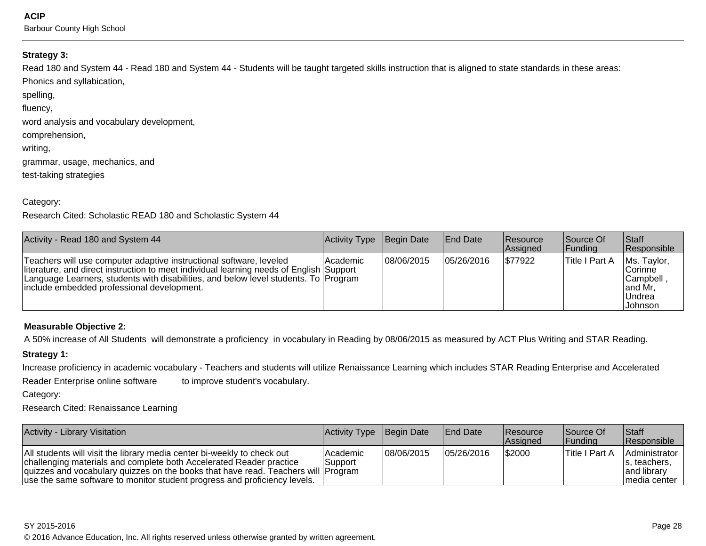**ACIP**

Barbour County High School

#### **Strategy 3:**

Read 180 and System 44 - Read 180 and System 44 - Students will be taught targeted skills instruction that is aligned to state standards in these areas:Phonics and syllabication,

spelling,

fluency,

word analysis and vocabulary development,

comprehension,

writing,

grammar, usage, mechanics, and

test-taking strategies

#### Category:

Research Cited: Scholastic READ 180 and Scholastic System 44

| Activity - Read 180 and System 44                                                                                                                                                                                                                                                                    | Activity Type | Begin Date | <b>IEnd Date</b> | Resource<br>Assigned | Source Of<br> Funding | <b>Staff</b><br>Responsible                                            |
|------------------------------------------------------------------------------------------------------------------------------------------------------------------------------------------------------------------------------------------------------------------------------------------------------|---------------|------------|------------------|----------------------|-----------------------|------------------------------------------------------------------------|
| Teachers will use computer adaptive instructional software, leveled<br>literature, and direct instruction to meet individual learning needs of English Support<br>Language Learners, students with disabilities, and below level students. To Program<br> include embedded professional development. | l Academic    | 08/06/2015 | 05/26/2016       | \$77922              | Title I Part A        | Ms. Taylor,<br>Corinne<br> Campbell,<br>and Mr,<br>∣Undrea<br> Johnson |

#### **Measurable Objective 2:**

A 50% increase of All Students will demonstrate a proficiency in vocabulary in Reading by 08/06/2015 as measured by ACT Plus Writing and STAR Reading.

#### **Strategy 1:**

Increase proficiency in academic vocabulary - Teachers and students will utilize Renaissance Learning which includes STAR Reading Enterprise and Accelerated

Reader Enterprise online software to improve student's vocabulary.

Category:

Research Cited: Renaissance Learning

| <b>Activity - Library Visitation</b>                                                                                                                                                                                                                                                                               | Activity Type Begin Date |             | <b>End Date</b> | <b>Resource</b><br><b>Assigned</b> | Source Of<br><b>IFundina</b> | Staff<br>Responsible                                          |
|--------------------------------------------------------------------------------------------------------------------------------------------------------------------------------------------------------------------------------------------------------------------------------------------------------------------|--------------------------|-------------|-----------------|------------------------------------|------------------------------|---------------------------------------------------------------|
| All students will visit the library media center bi-weekly to check out<br>challenging materials and complete both Accelerated Reader practice<br> quizzes and vocabulary quizzes on the books that have read. Teachers will  Program<br>use the same software to monitor student progress and proficiency levels. | lAcademic<br>Support     | 108/06/2015 | 05/26/2016      | \$2000                             | ∣Title I Part A              | Administrator<br>s. teachers.<br>and library<br>Imedia center |

en and the state of the state of the state of the state of the state of the state  $P$ age 28  $P$ © 2016 Advance Education, Inc. All rights reserved unless otherwise granted by written agreement.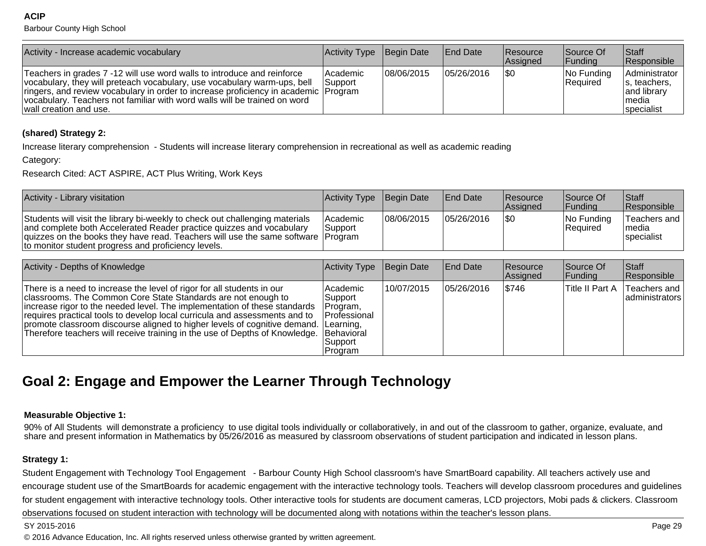**ACIP**

Barbour County High School

| Activity - Increase academic vocabulary                                                                                                                                                                                                                                                                                                             | Activity Type        | Begin Date | <b>IEnd Date</b> | <b>Resource</b><br>Assigned | Source Of<br><b>Funding</b> | <b>Staff</b><br>Responsible                                                 |
|-----------------------------------------------------------------------------------------------------------------------------------------------------------------------------------------------------------------------------------------------------------------------------------------------------------------------------------------------------|----------------------|------------|------------------|-----------------------------|-----------------------------|-----------------------------------------------------------------------------|
| Teachers in grades 7 -12 will use word walls to introduce and reinforce<br>vocabulary, they will preteach vocabulary, use vocabulary warm-ups, bell<br>ringers, and review vocabulary in order to increase proficiency in academic [Program]<br>vocabulary. Teachers not familiar with word walls will be trained on word<br>wall creation and use. | Academic<br>'Support | 08/06/2015 | 105/26/2016      | \$0                         | No Funding<br>Required      | Administrator<br>s, teachers,<br>and library<br>∣media<br><i>specialist</i> |

#### **(shared) Strategy 2:**

Increase literary comprehension - Students will increase literary comprehension in recreational as well as academic reading

Category:

Research Cited: ACT ASPIRE, ACT Plus Writing, Work Keys

| Activity - Library visitation                                                                                                                                                                                                                                                                     | <b>Activity Type</b> Begin Date |             | <b>End Date</b> | <b>Resource</b><br><b>Assigned</b> | Source Of<br><b>IFundina</b> | Staff<br>Responsible                   |
|---------------------------------------------------------------------------------------------------------------------------------------------------------------------------------------------------------------------------------------------------------------------------------------------------|---------------------------------|-------------|-----------------|------------------------------------|------------------------------|----------------------------------------|
| Students will visit the library bi-weekly to check out challenging materials<br>and complete both Accelerated Reader practice quizzes and vocabulary<br> quizzes on the books they have read. Teachers will use the same software  Program<br>to monitor student progress and proficiency levels. | <b>Academic</b><br>l Support    | 108/06/2015 | 105/26/2016     | 1\$0                               | $ No$ Funding<br> Reauired   | Teachers and  <br>Imedia<br>specialist |

| Activity - Depths of Knowledge                                                                                                                                                                                                                                                                                                                                                                                                                                                       | Activity Type                                                         | Begin Date | <b>End Date</b> | Resource<br>Assigned | Source Of<br> Funding | <b>Staff</b><br>Responsible    |
|--------------------------------------------------------------------------------------------------------------------------------------------------------------------------------------------------------------------------------------------------------------------------------------------------------------------------------------------------------------------------------------------------------------------------------------------------------------------------------------|-----------------------------------------------------------------------|------------|-----------------|----------------------|-----------------------|--------------------------------|
| There is a need to increase the level of rigor for all students in our<br>classrooms. The Common Core State Standards are not enough to<br>increase rigor to the needed level. The implementation of these standards<br>requires practical tools to develop local curricula and assessments and to<br>promote classroom discourse aligned to higher levels of cognitive demand. Learning,<br>Therefore teachers will receive training in the use of Depths of Knowledge.  Behavioral | Academic<br>Support<br>Program,<br>Professional<br>Support<br>Program | 10/07/2015 | 05/26/2016      | \$746                | Title II Part A       | Teachers and<br>administrators |

## **Goal 2: Engage and Empower the Learner Through Technology**

#### **Measurable Objective 1:**

90% of All Students will demonstrate a proficiency to use digital tools individually or collaboratively, in and out of the classroom to gather, organize, evaluate, and<br>share and present information in Mathematics by 05/2

#### **Strategy 1:**

Student Engagement with Technology Tool Engagement - Barbour County High School classroom's have SmartBoard capability. All teachers actively use and encourage student use of the SmartBoards for academic engagement with the interactive technology tools. Teachers will develop classroom procedures and guidelinesfor student engagement with interactive technology tools. Other interactive tools for students are document cameras, LCD projectors, Mobi pads & clickers. Classroomobservations focused on student interaction with technology will be documented along with notations within the teacher's lesson plans.

#### SY 2015-2016

en and the set of the set of the set of the set of the set of the set of the set of the set of the set of the set of the set of the set of the set of the set of the set of the set of the set of the set of the set of the se © 2016 Advance Education, Inc. All rights reserved unless otherwise granted by written agreement.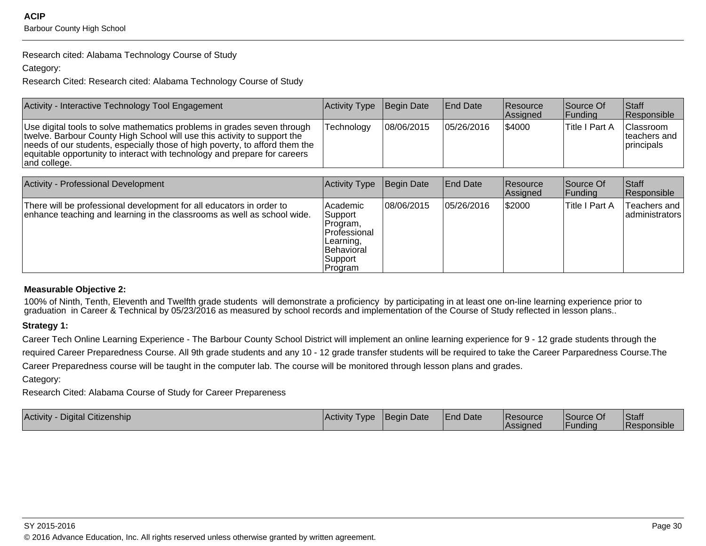Research cited: Alabama Technology Course of Study

Category:

Research Cited: Research cited: Alabama Technology Course of Study

| Activity - Interactive Technology Tool Engagement                                                                                                                                                                                                                                                                               | Activity Type | Begin Date | <b>End Date</b>  | <b>Resource</b><br>Assigned | Source Of<br> Funding | <b>Staff</b><br>Responsible                             |
|---------------------------------------------------------------------------------------------------------------------------------------------------------------------------------------------------------------------------------------------------------------------------------------------------------------------------------|---------------|------------|------------------|-----------------------------|-----------------------|---------------------------------------------------------|
| Use digital tools to solve mathematics problems in grades seven through<br>twelve. Barbour County High School will use this activity to support the<br>needs of our students, especially those of high poverty, to afford them the<br>equitable opportunity to interact with technology and prepare for careers<br>and college. | Technology    | 08/06/2015 | 105/26/2016      | 54000                       | Title I Part A        | <b>Classroom</b><br>Iteachers and<br><u>Iprincipals</u> |
|                                                                                                                                                                                                                                                                                                                                 |               |            |                  |                             |                       |                                                         |
| <b>Activity - Professional Development</b>                                                                                                                                                                                                                                                                                      | Activity Type | Begin Date | <b>IEnd Date</b> | Resource<br>Assigned        | Source Of<br> Funding | <b>Staff</b><br>Responsible                             |

|                                                                                                                                                 |                                                                                                         |            |            | Assigned | Funding        | Responsible                     |
|-------------------------------------------------------------------------------------------------------------------------------------------------|---------------------------------------------------------------------------------------------------------|------------|------------|----------|----------------|---------------------------------|
| There will be professional development for all educators in order to<br>enhance teaching and learning in the classrooms as well as school wide. | Academic<br>Support<br>Program.<br>Professional<br>Learning,<br><b>Behavioral</b><br>Support<br>Program | 08/06/2015 | 05/26/2016 | \$2000   | Title I Part A | Teachers and<br> administrators |

#### **Measurable Objective 2:**

100% of Ninth, Tenth, Eleventh and Twelfth grade students will demonstrate a proficiency by participating in at least one on-line learning experience prior to<br>graduation in Career & Technical by 05/23/2016 as measured by

#### **Strategy 1:**

Career Tech Online Learning Experience - The Barbour County School District will implement an online learning experience for 9 - 12 grade students through the required Career Preparedness Course. All 9th grade students and any 10 - 12 grade transfer students will be required to take the Career Parparedness Course.TheCareer Preparedness course will be taught in the computer lab. The course will be monitored through lesson plans and grades.

Category:

Research Cited: Alabama Course of Study for Career Prepareness

| Digital Citizenship<br>Activity | Activity<br><b>Type</b> | <b>IBegin Date</b> | <b>End Date</b> | l Resource<br><i><b>Assigned</b></i> | Source Of<br>l Fundina | Staff<br>. .<br><b>IResponsible</b> |
|---------------------------------|-------------------------|--------------------|-----------------|--------------------------------------|------------------------|-------------------------------------|
|                                 |                         |                    |                 |                                      |                        |                                     |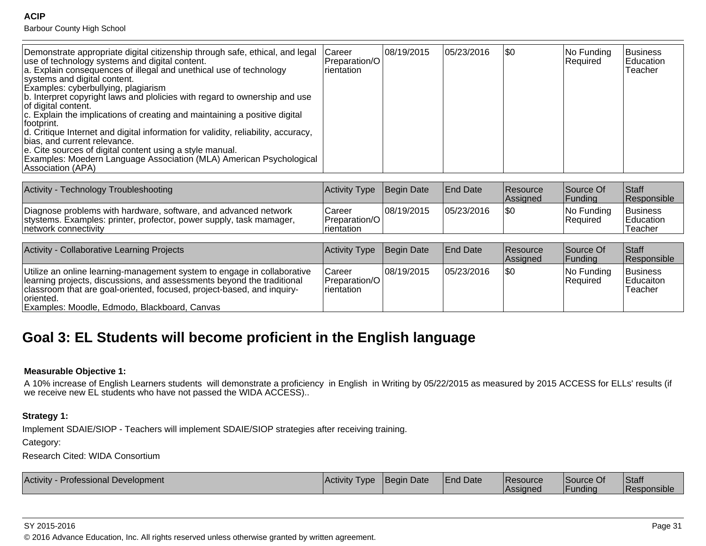#### **ACIP**

Barbour County High School

| Demonstrate appropriate digital citizenship through safe, ethical, and legal<br>use of technology systems and digital content.<br>a. Explain consequences of illegal and unethical use of technology<br>systems and digital content.<br>Examples: cyberbullying, plagiarism<br>b. Interpret copyright laws and plolicies with regard to ownership and use<br>of digital content.<br>c. Explain the implications of creating and maintaining a positive digital<br>lfootprint.<br>d. Critique Internet and digital information for validity, reliability, accuracy,<br>Ibias, and current relevance.<br>e. Cite sources of digital content using a style manual.<br>Examples: Moedern Language Association (MLA) American Psychological<br>Association (APA) | <b>Career</b><br>Preparation/O<br>rientation | 08/19/2015         | 05/23/2016       | ISO        | No Funding<br>Required | Business<br>Education<br>Teacher |
|-------------------------------------------------------------------------------------------------------------------------------------------------------------------------------------------------------------------------------------------------------------------------------------------------------------------------------------------------------------------------------------------------------------------------------------------------------------------------------------------------------------------------------------------------------------------------------------------------------------------------------------------------------------------------------------------------------------------------------------------------------------|----------------------------------------------|--------------------|------------------|------------|------------------------|----------------------------------|
| Activity - Technology Troubleshooting                                                                                                                                                                                                                                                                                                                                                                                                                                                                                                                                                                                                                                                                                                                       | Activity Tyne                                | <b>IRegin</b> Date | <b>IFnd Date</b> | l Rasnurra | ISource Of             | $\mathsf{R}$                     |

| Activity -<br><b>Technology Troubleshooting</b>                                                                                                                 | Activity Type Begin Date                      |             | <b>IEnd Date</b> | Resource<br>lAssianed | Source Of<br>Fundina     | Staff<br>Responsible                    |
|-----------------------------------------------------------------------------------------------------------------------------------------------------------------|-----------------------------------------------|-------------|------------------|-----------------------|--------------------------|-----------------------------------------|
| Diagnose problems with hardware, software, and advanced network<br>stystems. Examples: printer, profector, power supply, task mamager,<br>Inetwork connectivity | Career<br><b>Preparation/O</b><br>Trientation | 108/19/2015 | 05/23/2016       |                       | INo Fundina<br> Required | <b>Business</b><br>Education<br>Teacher |

| Activity - Collaborative Learning Projects                                                                                                                                                                                                                                               | Activity Type                                  | Begin Date  | <b>End Date</b> | <b>Resource</b><br>Assigned | Source Of<br><b>Funding</b> | <b>Staff</b><br>Responsible             |
|------------------------------------------------------------------------------------------------------------------------------------------------------------------------------------------------------------------------------------------------------------------------------------------|------------------------------------------------|-------------|-----------------|-----------------------------|-----------------------------|-----------------------------------------|
| Utilize an online learning-management system to engage in collaborative<br>learning projects, discussions, and assessments beyond the traditional<br>classroom that are goal-oriented, focused, project-based, and inquiry-<br>oriented.<br>Examples: Moodle, Edmodo, Blackboard, Canvas | Career<br>Preparation/O<br><b>I</b> rientation | 108/19/2015 | 05/23/2016      | \$0                         | No Funding<br>Required      | Business<br><b>Educaiton</b><br>Teacher |

## **Goal 3: EL Students will become proficient in the English language**

#### **Measurable Objective 1:**

A 10% increase of English Learners students will demonstrate a proficiency in English in Writing by 05/22/2015 as measured by 2015 ACCESS for ELLs' results (if<br>we receive new EL students who have not passed the WIDA ACCE

#### **Strategy 1:**

Implement SDAIE/SIOP - Teachers will implement SDAIE/SIOP strategies after receiving training.

Category:

Research Cited: WIDA Consortium

| <b>Activity</b><br>- Professional Development | <b>IActivity T</b><br><b>I</b> vpe | <b>Begin Date</b> | <b>IEnd Date</b> | <b>Resource</b><br><b>Assigned</b> | Source Of<br>undina | Staff<br><b>Responsible</b> |
|-----------------------------------------------|------------------------------------|-------------------|------------------|------------------------------------|---------------------|-----------------------------|
|-----------------------------------------------|------------------------------------|-------------------|------------------|------------------------------------|---------------------|-----------------------------|

SY 2015-2016

en and the state of the state of the state of the state of the state of the state of the state of the Page 31  $\,$ © 2016 Advance Education, Inc. All rights reserved unless otherwise granted by written agreement.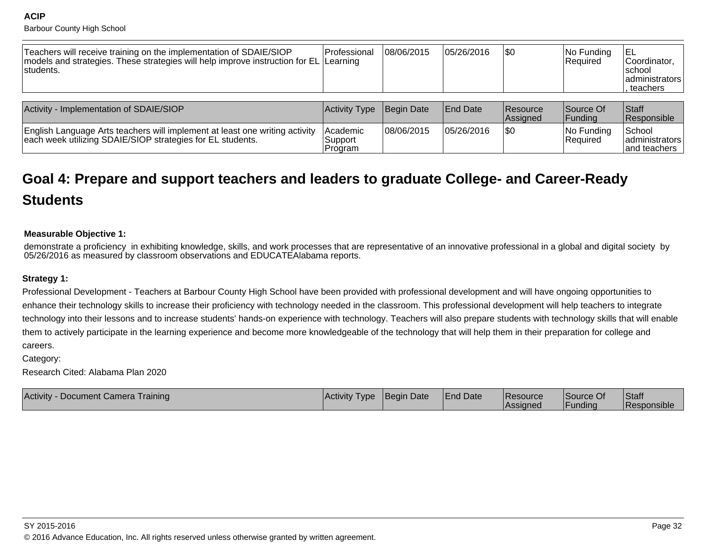**ACIP**Barbour County High School

| Teachers will receive training on the implementation of SDAIE/SIOP<br>models and strategies. These strategies will help improve instruction for EL Learning<br>Istudents. | lProfessional                  | 08/06/2015 | 105/26/2016     | <b>SO</b>                   | $ No$ Funding<br>Required | IEL<br>Coordinator,<br>Ischool<br>ladministrators<br>. teachers |
|---------------------------------------------------------------------------------------------------------------------------------------------------------------------------|--------------------------------|------------|-----------------|-----------------------------|---------------------------|-----------------------------------------------------------------|
| Activity - Implementation of SDAIE/SIOP                                                                                                                                   | Activity Type                  | Begin Date | <b>End Date</b> | <b>Resource</b><br>Assigned | Source Of<br> Funding     | <b>Staff</b><br>Responsible                                     |
| English Language Arts teachers will implement at least one writing activity<br>each week utilizing SDAIE/SIOP strategies for EL students.                                 | Academic<br>Support<br>Program | 08/06/2015 | 105/26/2016     | \$0                         | No Funding<br>Required    | School<br>administrators<br>land teachers                       |

# **Goal 4: Prepare and support teachers and leaders to graduate College- and Career-ReadyStudents**

#### **Measurable Objective 1:**

demonstrate a proficiency in exhibiting knowledge, skills, and work processes that are representative of an innovative professional in a global and digital society by05/26/2016 as measured by classroom observations and EDUCATEAlabama reports.

#### **Strategy 1:**

Professional Development - Teachers at Barbour County High School have been provided with professional development and will have ongoing opportunities to enhance their technology skills to increase their proficiency with technology needed in the classroom. This professional development will help teachers to integratetechnology into their lessons and to increase students' hands-on experience with technology. Teachers will also prepare students with technology skills that will enablethem to actively participate in the learning experience and become more knowledgeable of the technology that will help them in their preparation for college andcareers.

Category:

Research Cited: Alabama Plan 2020

| Activity -<br>- Document Camera Training | IActivity Type | Begin Date | <b>End Date</b> | <b>Resource</b><br><i><b>IAssigned</b></i> | <b>Source Of</b><br><b>IFunding</b> | Staff<br><b>IResponsible</b> |
|------------------------------------------|----------------|------------|-----------------|--------------------------------------------|-------------------------------------|------------------------------|
|------------------------------------------|----------------|------------|-----------------|--------------------------------------------|-------------------------------------|------------------------------|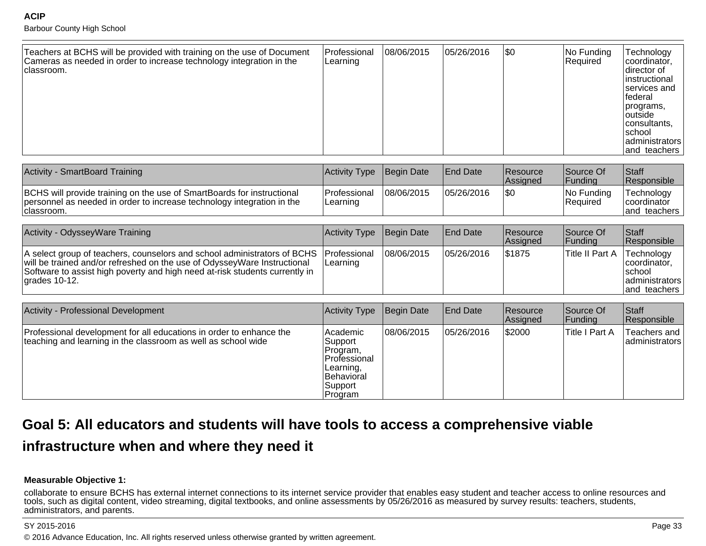Barbour County High School

| Teachers at BCHS will be provided with training on the use of Document<br>Cameras as needed in order to increase technology integration in the<br>Iclassroom. | Professional<br>Learning | 08/06/2015 | 05/26/2016 | $\sqrt{50}$ | No Funding<br>Required | Technology<br> coordinator,<br>Idirector of<br>linstructional<br><b>Iservices</b> and<br>lfederal<br>programs,<br>⊺outside<br> consultants,<br>∣school<br>administrators<br>land teachers |
|---------------------------------------------------------------------------------------------------------------------------------------------------------------|--------------------------|------------|------------|-------------|------------------------|-------------------------------------------------------------------------------------------------------------------------------------------------------------------------------------------|
|---------------------------------------------------------------------------------------------------------------------------------------------------------------|--------------------------|------------|------------|-------------|------------------------|-------------------------------------------------------------------------------------------------------------------------------------------------------------------------------------------|

| Activity - SmartBoard Training                                                                                                                                  | Activity Type Begin Date          |            | <b>End Date</b> | <b>Resource</b><br><b>Assigned</b> | Source Of<br> Fundina   | <b>Staff</b><br>Responsible                       |
|-----------------------------------------------------------------------------------------------------------------------------------------------------------------|-----------------------------------|------------|-----------------|------------------------------------|-------------------------|---------------------------------------------------|
| BCHS will provide training on the use of SmartBoards for instructional<br>personnel as needed in order to increase technology integration in the<br>Iclassroom. | <b>IProfessional</b><br> Learning | 08/06/2015 | 05/26/2016      | 1\$C                               | INo Fundina<br>Required | Technology<br><b>Coordinator</b><br>land teachers |

| Activity - OdysseyWare Training                                                                                                                                                                                                                                       | Activity Type Begin Date |            | <b>End Date</b> | <b>Resource</b><br><b>Assigned</b> | Source Of<br> Fundina | <b>Staff</b><br>Responsible                                                    |
|-----------------------------------------------------------------------------------------------------------------------------------------------------------------------------------------------------------------------------------------------------------------------|--------------------------|------------|-----------------|------------------------------------|-----------------------|--------------------------------------------------------------------------------|
| A select group of teachers, counselors and school administrators of BCHS Professional<br>will be trained and/or refreshed on the use of OdysseyWare Instructional<br>Software to assist high poverty and high need at-risk students currently in<br>$l$ arades 10-12. | Learning                 | 08/06/2015 | 05/26/2016      | \$1875                             | Title II Part A       | Technology<br>coordinator.<br>Ischool<br>  administrators  <br>land teachers I |

| Activity - Professional Development                                                                                                  | <b>Activity Type</b>                                                                                      | Begin Date | <b>End Date</b> | <b>Resource</b><br>Assigned | Source Of<br> Funding | <b>Staff</b><br>Responsible      |
|--------------------------------------------------------------------------------------------------------------------------------------|-----------------------------------------------------------------------------------------------------------|------------|-----------------|-----------------------------|-----------------------|----------------------------------|
| Professional development for all educations in order to enhance the<br>teaching and learning in the classroom as well as school wide | Academic<br>Support<br>Program,<br>l Professional<br>Learning,<br><b>Behavioral</b><br>Support<br>Program | 08/06/2015 | 05/26/2016      | \$2000                      | Title I Part A        | Teachers and<br>  administrators |

# **Goal 5: All educators and students will have tools to access a comprehensive viable**

## **infrastructure when and where they need it**

### **Measurable Objective 1:**

 collaborate to ensure BCHS has external internet connections to its internet service provider that enables easy student and teacher access to online resources andtools, such as digital content, video streaming, digital textbooks, and online assessments by 05/26/2016 as measured by survey results: teachers, students, administrators, and parents.

en and the state of the state of the state of the state of the state of the state of the state of the state of the state of the state of the state of the state of the state of the state of the state of the state of the sta © 2016 Advance Education, Inc. All rights reserved unless otherwise granted by written agreement.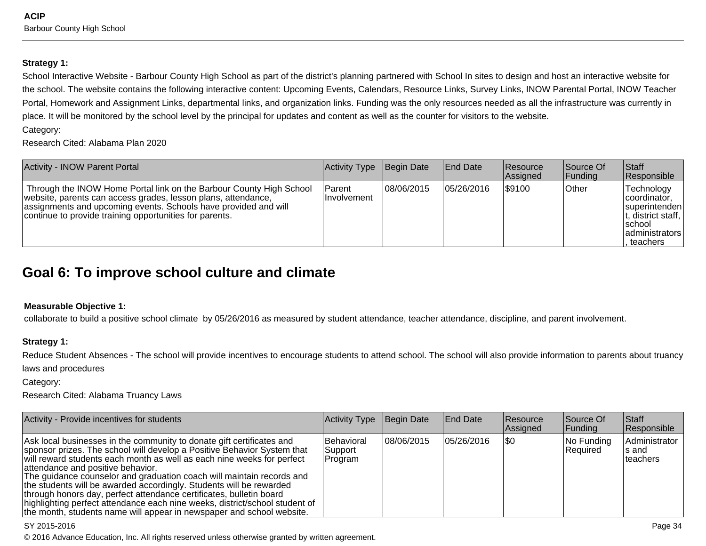#### **Strategy 1:**

School Interactive Website - Barbour County High School as part of the district's planning partnered with School In sites to design and host an interactive website forthe school. The website contains the following interactive content: Upcoming Events, Calendars, Resource Links, Survey Links, INOW Parental Portal, INOW TeacherPortal, Homework and Assignment Links, departmental links, and organization links. Funding was the only resources needed as all the infrastructure was currently in place. It will be monitored by the school level by the principal for updates and content as well as the counter for visitors to the website.Category:

Research Cited: Alabama Plan 2020

| <b>Activity - INOW Parent Portal</b>                                                                                                                                                                                                                               | Activity Type                   | Begin Date  | <b>End Date</b> | Resource<br>Assigned | Source Of<br> Funding | <b>Staff</b><br>Responsible                                                                                            |
|--------------------------------------------------------------------------------------------------------------------------------------------------------------------------------------------------------------------------------------------------------------------|---------------------------------|-------------|-----------------|----------------------|-----------------------|------------------------------------------------------------------------------------------------------------------------|
| Through the INOW Home Portal link on the Barbour County High School<br>website, parents can access grades, lesson plans, attendance,<br>assignments and upcoming events. Schools have provided and will<br>continue to provide training opportunities for parents. | l Parent<br><b>Ilnvolvement</b> | 108/06/2015 | 05/26/2016      | \$9100               | <b>Other</b>          | Technology<br>coordinator.<br>Isuperintenden<br>$ t$ , district staff, $ $<br>Ischool<br>ladministrators<br>. teachers |

# **Goal 6: To improve school culture and climate**

### **Measurable Objective 1:**

collaborate to build a positive school climate by 05/26/2016 as measured by student attendance, teacher attendance, discipline, and parent involvement.

### **Strategy 1:**

Reduce Student Absences - The school will provide incentives to encourage students to attend school. The school will also provide information to parents about truancylaws and procedures

Category:

Research Cited: Alabama Truancy Laws

| Activity - Provide incentives for students                                                                                                                                                                                                                                                                                                                                                                                                                                                                                                                                                                                                     | Activity Type                    | Begin Date | <b>End Date</b> | <b>Resource</b><br>Assigned | Source Of<br> Funding         | Staff<br>Responsible                |
|------------------------------------------------------------------------------------------------------------------------------------------------------------------------------------------------------------------------------------------------------------------------------------------------------------------------------------------------------------------------------------------------------------------------------------------------------------------------------------------------------------------------------------------------------------------------------------------------------------------------------------------------|----------------------------------|------------|-----------------|-----------------------------|-------------------------------|-------------------------------------|
| Ask local businesses in the community to donate gift certificates and<br>sponsor prizes. The school will develop a Positive Behavior System that<br>will reward students each month as well as each nine weeks for perfect<br>attendance and positive behavior.<br>The guidance counselor and graduation coach will maintain records and<br>the students will be awarded accordingly. Students will be rewarded<br>through honors day, perfect attendance certificates, bulletin board<br>highlighting perfect attendance each nine weeks, district/school student of<br>the month, students name will appear in newspaper and school website. | Behavioral<br>Support<br>Program | 08/06/2015 | 05/26/2016      | 1\$0                        | No Funding<br><b>Required</b> | Administrator<br>ls and<br>teachers |

#### SY 2015-2016

estimate the contract of the contract of the contract of the contract of the contract of the contract of the contract of the contract of the contract of the contract of the contract of the contract of the contract of the c © 2016 Advance Education, Inc. All rights reserved unless otherwise granted by written agreement.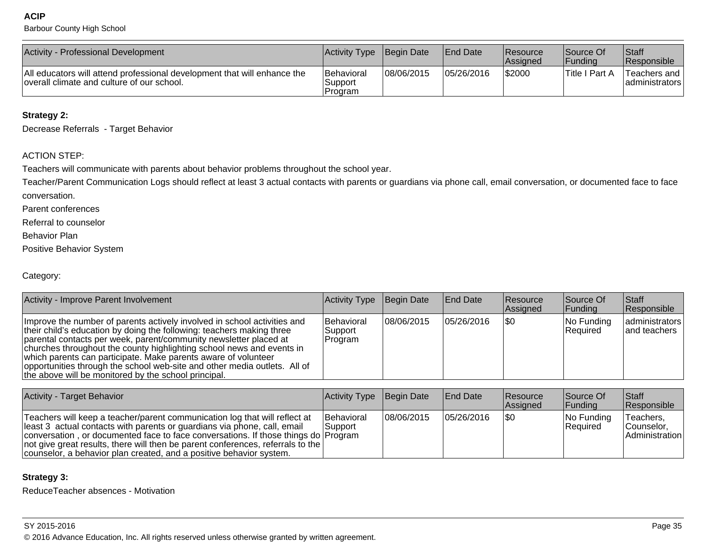Barbour County High School

| Activity - Professional Development                                                                                    | Activity Type                     | Begin Date | <b>End Date</b> | <b>Resource</b><br><b>Assigned</b> | Source Of<br>Funding        | Staff<br><b>Responsible</b>     |
|------------------------------------------------------------------------------------------------------------------------|-----------------------------------|------------|-----------------|------------------------------------|-----------------------------|---------------------------------|
| All educators will attend professional development that will enhance the<br>overall climate and culture of our school. | Behavioral<br>Support<br>IProgram | 08/06/2015 | 05/26/2016      | <b>S2000</b>                       | <sup>1</sup> Title I Part A | Teachers and<br>ladministrators |

### **Strategy 2:**

Decrease Referrals - Target Behavior

### ACTION STEP:

Teachers will communicate with parents about behavior problems throughout the school year.

Teacher/Parent Communication Logs should reflect at least 3 actual contacts with parents or guardians via phone call, email conversation, or documented face to faceconversation.

Parent conferences

Referral to counselor

Behavior Plan

Positive Behavior System

Category:

| Activity - Improve Parent Involvement                                                                                                                                                                                                                                                                                                                                                                                                                                                                  | Activity Type                    | Begin Date  | <b>End Date</b> | <b>Resource</b><br>Assigned | Source Of<br> Funding         | <b>Staff</b><br>Responsible    |
|--------------------------------------------------------------------------------------------------------------------------------------------------------------------------------------------------------------------------------------------------------------------------------------------------------------------------------------------------------------------------------------------------------------------------------------------------------------------------------------------------------|----------------------------------|-------------|-----------------|-----------------------------|-------------------------------|--------------------------------|
| Improve the number of parents actively involved in school activities and<br>their child's education by doing the following: teachers making three<br>parental contacts per week, parent/community newsletter placed at<br>churches throughout the county highlighting school news and events in<br>which parents can participate. Make parents aware of volunteer<br>opportunities through the school web-site and other media outlets. All of<br>the above will be monitored by the school principal. | Behavioral<br>Support<br>Program | 108/06/2015 | 05/26/2016      | 1\$0                        | No Funding<br><b>Required</b> | administrators<br>and teachers |

| <b>Activity - Target Behavior</b>                                                                                                                                                                                                                                                                                                                                                                             | Activity Type Begin Date      |             | <b>End Date</b> | Resource<br>Assigned | Source Of<br><b>Funding</b>      | <b>Staff</b><br>Responsible                 |
|---------------------------------------------------------------------------------------------------------------------------------------------------------------------------------------------------------------------------------------------------------------------------------------------------------------------------------------------------------------------------------------------------------------|-------------------------------|-------------|-----------------|----------------------|----------------------------------|---------------------------------------------|
| Teachers will keep a teacher/parent communication log that will reflect at<br>least 3 actual contacts with parents or guardians via phone, call, email<br>conversation, or documented face to face conversations. If those things do Program<br>$ not$ give great results, there will then be parent conferences, referrals to the $ $<br>counselor, a behavior plan created, and a positive behavior system. | <b>Behavioral</b><br> Support | 108/06/2015 | 05/26/2016      | 1\$0                 | $ No$ Funding<br><b>Required</b> | Teachers,<br>Counselor.<br>  Administration |

### **Strategy 3:**

ReduceTeacher absences - Motivation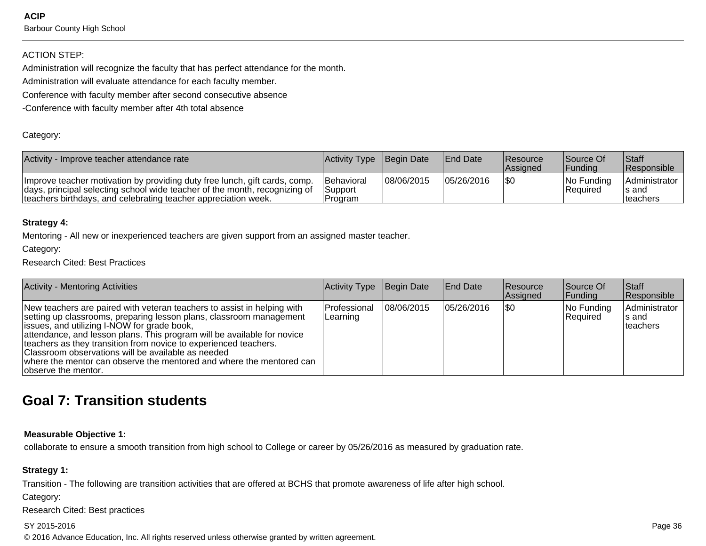**ACIP**Barbour County High School

### ACTION STEP:

Administration will recognize the faculty that has perfect attendance for the month.

Administration will evaluate attendance for each faculty member.

Conference with faculty member after second consecutive absence

-Conference with faculty member after 4th total absence

#### Category:

| Activity - Improve teacher attendance rate                                                                                                                                                                                 | Activity Type Begin Date                  |            | <b>IEnd Date</b> | <b>Resource</b><br><b>Assigned</b> | Source Of<br><b>IFundina</b>     | <b>Staff</b><br><b>Responsible</b>  |
|----------------------------------------------------------------------------------------------------------------------------------------------------------------------------------------------------------------------------|-------------------------------------------|------------|------------------|------------------------------------|----------------------------------|-------------------------------------|
| Improve teacher motivation by providing duty free lunch, gift cards, comp.<br>days, principal selecting school wide teacher of the month, recognizing of<br>teachers birthdays, and celebrating teacher appreciation week. | <b>Behavioral</b><br> Support<br>IProgram | 08/06/2015 | 05/26/2016       | ISO                                | $ No$ Funding<br><b>Required</b> | Administrator<br>s and<br>Iteachers |

#### **Strategy 4:**

Mentoring - All new or inexperienced teachers are given support from an assigned master teacher.

Category:

Research Cited: Best Practices

| <b>Activity - Mentoring Activities</b>                                                                                                                                                                                                                                                                                                                                                                                                                                                             | Activity Type            | Begin Date | <b>End Date</b> | <b>Resource</b><br><b>Assigned</b> | Source Of<br> Funding  | <b>Staff</b><br>Responsible          |
|----------------------------------------------------------------------------------------------------------------------------------------------------------------------------------------------------------------------------------------------------------------------------------------------------------------------------------------------------------------------------------------------------------------------------------------------------------------------------------------------------|--------------------------|------------|-----------------|------------------------------------|------------------------|--------------------------------------|
| New teachers are paired with veteran teachers to assist in helping with<br>setting up classrooms, preparing lesson plans, classroom management<br>issues, and utilizing I-NOW for grade book,<br>attendance, and lesson plans. This program will be available for novice<br>teachers as they transition from novice to experienced teachers.<br>Classroom observations will be available as needed<br>where the mentor can observe the mentored and where the mentored can<br>lobserve the mentor. | Professional<br>Learning | 08/06/2015 | 05/26/2016      | 1\$0                               | No Funding<br>Required | Administrator<br>Is and<br>lteachers |

# **Goal 7: Transition students**

#### **Measurable Objective 1:**

collaborate to ensure a smooth transition from high school to College or career by 05/26/2016 as measured by graduation rate.

#### **Strategy 1:**

Transition - The following are transition activities that are offered at BCHS that promote awareness of life after high school.

Category:

Research Cited: Best practices

#### SY 2015-2016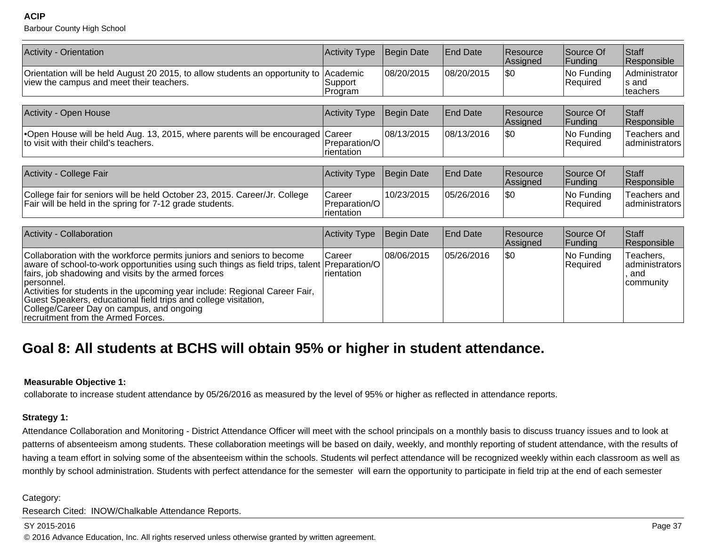Barbour County High School

| <b>Activity - Orientation</b>                                                                                                                                                                                                                                                                                                                                                                                                                                                    | <b>Activity Type</b>                  | Begin Date | <b>End Date</b> | Resource<br>Assigned | Source Of<br>Funding   | Staff<br>Responsible                                |
|----------------------------------------------------------------------------------------------------------------------------------------------------------------------------------------------------------------------------------------------------------------------------------------------------------------------------------------------------------------------------------------------------------------------------------------------------------------------------------|---------------------------------------|------------|-----------------|----------------------|------------------------|-----------------------------------------------------|
| Orientation will be held August 20 2015, to allow students an opportunity to<br>view the campus and meet their teachers.                                                                                                                                                                                                                                                                                                                                                         | Academic<br>Support<br>Program        | 08/20/2015 | 08/20/2015      | <b>\$0</b>           | No Funding<br>Required | <b>Administrator</b><br>ls and<br>teachers          |
|                                                                                                                                                                                                                                                                                                                                                                                                                                                                                  |                                       |            |                 |                      |                        |                                                     |
| Activity - Open House                                                                                                                                                                                                                                                                                                                                                                                                                                                            | <b>Activity Type</b>                  | Begin Date | <b>End Date</b> | Resource<br>Assigned | Source Of<br>Funding   | Staff<br>Responsible                                |
| •Open House will be held Aug. 13, 2015, where parents will be encouraged Career<br>to visit with their child's teachers.                                                                                                                                                                                                                                                                                                                                                         | Preparation/O<br>rientation           | 08/13/2015 | 08/13/2016      | \$0                  | No Funding<br>Required | Teachers and<br>administrators                      |
|                                                                                                                                                                                                                                                                                                                                                                                                                                                                                  |                                       |            |                 |                      |                        |                                                     |
| Activity - College Fair                                                                                                                                                                                                                                                                                                                                                                                                                                                          | <b>Activity Type</b>                  | Begin Date | <b>End Date</b> | Resource<br>Assigned | Source Of<br>Funding   | Staff<br>Responsible                                |
| College fair for seniors will be held October 23, 2015. Career/Jr. College<br>Fair will be held in the spring for 7-12 grade students.                                                                                                                                                                                                                                                                                                                                           | Career<br>Preparation/O<br>rientation | 10/23/2015 | 05/26/2016      | \$0                  | No Funding<br>Required | Teachers and<br>administrators                      |
|                                                                                                                                                                                                                                                                                                                                                                                                                                                                                  |                                       |            |                 |                      |                        |                                                     |
| Activity - Collaboration                                                                                                                                                                                                                                                                                                                                                                                                                                                         | <b>Activity Type</b>                  | Begin Date | <b>End Date</b> | Resource<br>Assigned | Source Of<br>Funding   | Staff<br>Responsible                                |
| Collaboration with the workforce permits juniors and seniors to become<br>aware of school-to-work opportunities using such things as field trips, talent Preparation/O<br>fairs, job shadowing and visits by the armed forces<br>personnel.<br>Activities for students in the upcoming year include: Regional Career Fair,<br>Guest Speakers, educational field trips and college visitation,<br>College/Career Day on campus, and ongoing<br>recruitment from the Armed Forces. | Career<br>rientation                  | 08/06/2015 | 05/26/2016      | \$0                  | No Funding<br>Required | Teachers,<br>ladministrators<br>. and<br> community |

# **Goal 8: All students at BCHS will obtain 95% or higher in student attendance.**

#### **Measurable Objective 1:**

collaborate to increase student attendance by 05/26/2016 as measured by the level of 95% or higher as reflected in attendance reports.

#### **Strategy 1:**

Attendance Collaboration and Monitoring - District Attendance Officer will meet with the school principals on a monthly basis to discuss truancy issues and to look atpatterns of absenteeism among students. These collaboration meetings will be based on daily, weekly, and monthly reporting of student attendance, with the results ofhaving a team effort in solving some of the absenteeism within the schools. Students wil perfect attendance will be recognized weekly within each classroom as well asmonthly by school administration. Students with perfect attendance for the semester will earn the opportunity to participate in field trip at the end of each semester

Category:

Research Cited: INOW/Chalkable Attendance Reports.

#### SY 2015-2016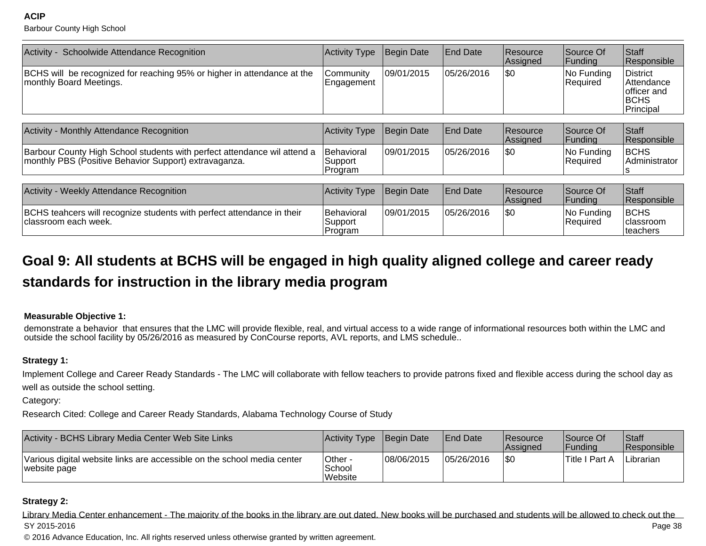Barbour County High School

| Activity - Schoolwide Attendance Recognition                                                                                      | <b>Activity Type</b>              | Begin Date        | <b>End Date</b> | Resource<br>Assigned | Source Of<br>Funding        | Staff<br>Responsible                                                     |
|-----------------------------------------------------------------------------------------------------------------------------------|-----------------------------------|-------------------|-----------------|----------------------|-----------------------------|--------------------------------------------------------------------------|
| BCHS will be recognized for reaching 95% or higher in attendance at the<br>monthly Board Meetings.                                | Community<br>Engagement           | 09/01/2015        | 05/26/2016      | \$0                  | No Funding<br>Required      | <b>District</b><br>Attendance<br>officer and<br><b>BCHS</b><br>Principal |
|                                                                                                                                   |                                   |                   |                 |                      |                             |                                                                          |
| Activity - Monthly Attendance Recognition                                                                                         | Activity Type                     | Begin Date        | <b>End Date</b> | Resource<br>Assigned | Source Of<br>Funding        | Staff<br>Responsible                                                     |
| Barbour County High School students with perfect attendance wil attend a<br>monthly PBS (Positive Behavior Support) extravaganza. | Behavioral<br>Support<br> Program | 09/01/2015        | 05/26/2016      | ISO.                 | No Funding<br>Required      | <b>BCHS</b><br>Administrator<br>s                                        |
|                                                                                                                                   |                                   |                   |                 |                      |                             |                                                                          |
| Activity - Weekly Attendance Recognition                                                                                          | <b>Activity Type</b>              | <b>Begin Date</b> | <b>End Date</b> | Resource<br>Assigned | Source Of<br><b>Funding</b> | Staff<br>Responsible                                                     |
| BCHS teahcers will recognize students with perfect attendance in their<br>classroom each week.                                    | Behavioral<br>Support<br>Program  | 09/01/2015        | 05/26/2016      | \$0                  | No Funding<br>Required      | <b>BCHS</b><br>classroom<br>lteachers                                    |

# **Goal 9: All students at BCHS will be engaged in high quality aligned college and career readystandards for instruction in the library media program**

### **Measurable Objective 1:**

demonstrate a behavior that ensures that the LMC will provide flexible, real, and virtual access to a wide range of informational resources both within the LMC andoutside the school facility by 05/26/2016 as measured by ConCourse reports, AVL reports, and LMS schedule..

### **Strategy 1:**

Implement College and Career Ready Standards - The LMC will collaborate with fellow teachers to provide patrons fixed and flexible access during the school day aswell as outside the school setting.

Category:

Research Cited: College and Career Ready Standards, Alabama Technology Course of Study

| Activity - BCHS Library Media Center Web Site Links                                     | Activity Type                | Begin Date | <b>IEnd Date</b> | <b>Resource</b><br><b>Assigned</b> | Source Of<br><b>IFundina</b> | <sup>1</sup> Staff<br><b>Responsible</b> |
|-----------------------------------------------------------------------------------------|------------------------------|------------|------------------|------------------------------------|------------------------------|------------------------------------------|
| Various digital website links are accessible on the school media center<br>website page | Other -<br>School<br>Website | 08/06/2015 | 05/26/2016       | \$0                                | 'Title I Part A              | Librarian                                |

### **Strategy 2:**

Library Media Center enhancement - The majority of the books in the library are out dated. New books will be purchased and students will be allowed to check out thePage 38 SY 2015-2016en and the state of the state of the state of the state of the state of the state of the state of the state of the state of the state of the state of the state of the state of the state of the state of the state of the sta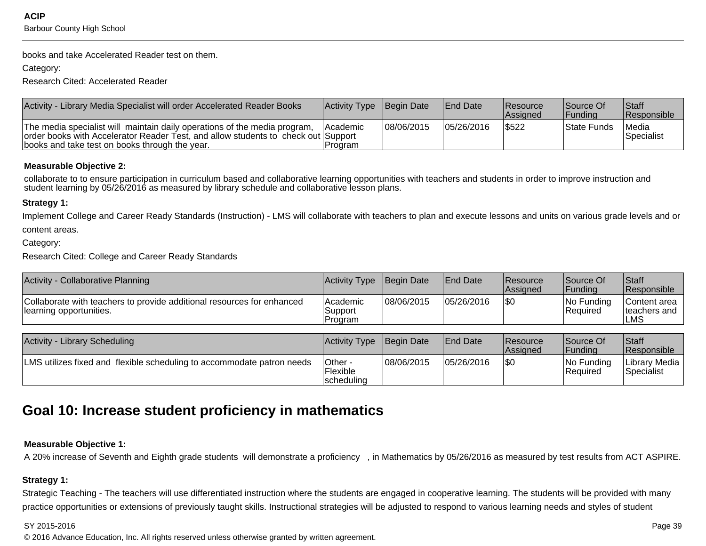books and take Accelerated Reader test on them.

Category:

Research Cited: Accelerated Reader

| Activity - Library Media Specialist will order Accelerated Reader Books                                                                                                                                          | Activity Type Begin Date   |            | <b>IEnd Date</b> | Resource<br><b>Assigned</b> | <b>Source Of</b><br><b>IFundina</b> | Staff<br><b>Responsible</b> |
|------------------------------------------------------------------------------------------------------------------------------------------------------------------------------------------------------------------|----------------------------|------------|------------------|-----------------------------|-------------------------------------|-----------------------------|
| The media specialist will maintain daily operations of the media program,<br>order books with Accelerator Reader Test, and allow students to check out Support<br>books and take test on books through the year. | <b>Academic</b><br>Program | 08/06/2015 | 05/26/2016       | \$522                       | State Funds                         | Media<br>Specialist         |

### **Measurable Objective 2:**

collaborate to to ensure participation in curriculum based and collaborative learning opportunities with teachers and students in order to improve instruction andstudent learning by 05/26/2016 as measured by library schedule and collaborative lesson plans.

### **Strategy 1:**

Implement College and Career Ready Standards (Instruction) - LMS will collaborate with teachers to plan and execute lessons and units on various grade levels and orcontent areas.

Category:

Research Cited: College and Career Ready Standards

| Activity - Collaborative Planning                                                                 | Activity Type                    | Begin Date | <b>End Date</b> | <b>IResource</b><br><b>Assigned</b> | Source Of<br><b> Fundina</b> | <b>Staff</b><br><b>Responsible</b>   |
|---------------------------------------------------------------------------------------------------|----------------------------------|------------|-----------------|-------------------------------------|------------------------------|--------------------------------------|
| Collaborate with teachers to provide additional resources for enhanced<br>learning opportunities. | lAcademic<br>Support<br>IProgram | 08/06/2015 | 05/26/2016      | \$0                                 | No Funding<br> Required      | Content area<br>lteachers and<br>∟MS |

| <b>Activity - Library Scheduling</b>                                   | Activity Type                       | Begin Date | <b>IEnd Date</b> | <b>Resource</b><br><b>Assigned</b> | Source Of<br><b>IFundina</b> | <sup>1</sup> Staff<br><b>Responsible</b> |
|------------------------------------------------------------------------|-------------------------------------|------------|------------------|------------------------------------|------------------------------|------------------------------------------|
| LMS utilizes fixed and flexible scheduling to accommodate patron needs | 'Other -<br>'Flexible<br>scheduling | 08/06/2015 | 05/26/2016       | \$0                                | $ No$ Funding<br>Required    | Library Media  <br> Specialist           |

# **Goal 10: Increase student proficiency in mathematics**

### **Measurable Objective 1:**

A 20% increase of Seventh and Eighth grade students will demonstrate a proficiency , in Mathematics by 05/26/2016 as measured by test results from ACT ASPIRE.

### **Strategy 1:**

Strategic Teaching - The teachers will use differentiated instruction where the students are engaged in cooperative learning. The students will be provided with manypractice opportunities or extensions of previously taught skills. Instructional strategies will be adjusted to respond to various learning needs and styles of student

en and the set of the set of the set of the set of the set of the set of the set of the set of the set of the set of the set of the set of the set of the set of the set of the set of the set of the set of the set of the se © 2016 Advance Education, Inc. All rights reserved unless otherwise granted by written agreement.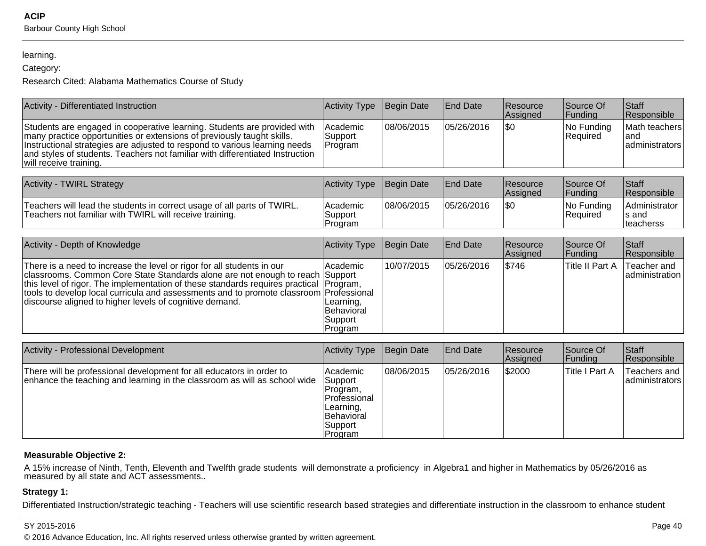#### learning.

### Category:

Research Cited: Alabama Mathematics Course of Study

| Activity - Differentiated Instruction                                                                                                                                                                                                                                                                                                                                            | <b>Activity Type</b>                                                                             | <b>Begin Date</b> | <b>End Date</b> | Resource<br>Assigned | Source Of<br>Funding      | Staff<br>Responsible                          |
|----------------------------------------------------------------------------------------------------------------------------------------------------------------------------------------------------------------------------------------------------------------------------------------------------------------------------------------------------------------------------------|--------------------------------------------------------------------------------------------------|-------------------|-----------------|----------------------|---------------------------|-----------------------------------------------|
| Students are engaged in cooperative learning. Students are provided with<br>many practice opportunities or extensions of previously taught skills.<br>Instructional strategies are adjusted to respond to various learning needs<br>and styles of students. Teachers not familiar with differentiated Instruction<br>will receive training.                                      | Academic<br>Support<br>Program                                                                   | 08/06/2015        | 05/26/2016      | \$0                  | No Funding<br>Required    | Math teachers<br>and<br>administrators        |
| <b>Activity - TWIRL Strategy</b>                                                                                                                                                                                                                                                                                                                                                 | <b>Activity Type</b>                                                                             | <b>Begin Date</b> | <b>End Date</b> | Resource<br>Assigned | Source Of<br>Funding      | Staff<br>Responsible                          |
| Teachers will lead the students in correct usage of all parts of TWIRL.<br>Teachers not familiar with TWIRL will receive training.                                                                                                                                                                                                                                               | Academic<br>Support<br>Program                                                                   | 08/06/2015        | 05/26/2016      | \$0                  | No Funding<br>Required    | Administrator<br>s and<br>teacherss           |
| Activity - Depth of Knowledge                                                                                                                                                                                                                                                                                                                                                    | <b>Activity Type</b>                                                                             | <b>Begin Date</b> | <b>End Date</b> | Resource<br>Assigned | Source Of<br>Funding      | Staff<br>Responsible                          |
| There is a need to increase the level or rigor for all students in our<br>classrooms. Common Core State Standards alone are not enough to reach Support<br>this level of rigor. The implementation of these standards requires practical<br>tools to develop local curricula and assessments and to promote classroom<br>discourse aligned to higher levels of cognitive demand. | Academic<br>Program,<br>Professional<br>Learning,<br>Behavioral<br>Support<br>Program            | 10/07/2015        | 05/26/2016      | \$746                | <b>Title II Part A</b>    | Teacher and<br>administration                 |
| Activity - Professional Development                                                                                                                                                                                                                                                                                                                                              | <b>Activity Type</b>                                                                             | <b>Begin Date</b> | <b>End Date</b> | Resource             | Source Of                 | Staff                                         |
| There will be professional development for all educators in order to<br>enhance the teaching and learning in the classroom as will as school wide                                                                                                                                                                                                                                | Academic<br>Support<br>Program,<br>Professional<br>Learning,<br>Behavioral<br>Support<br>Program | 08/06/2015        | 05/26/2016      | Assigned<br>\$2000   | Funding<br>Title I Part A | Responsible<br>Teachers and<br>administrators |

#### **Measurable Objective 2:**

A 15% increase of Ninth, Tenth, Eleventh and Twelfth grade students will demonstrate a proficiency in Algebra1 and higher in Mathematics by 05/26/2016 as<br>measured by all state and ACT assessments..

### **Strategy 1:**

Differentiated Instruction/strategic teaching - Teachers will use scientific research based strategies and differentiate instruction in the classroom to enhance student

#### SY 2015-2016

estimate the contract of the contract of the contract of the contract of the contract of the contract of the contract of the contract of the contract of the contract of the contract of the contract of the contract of the c © 2016 Advance Education, Inc. All rights reserved unless otherwise granted by written agreement.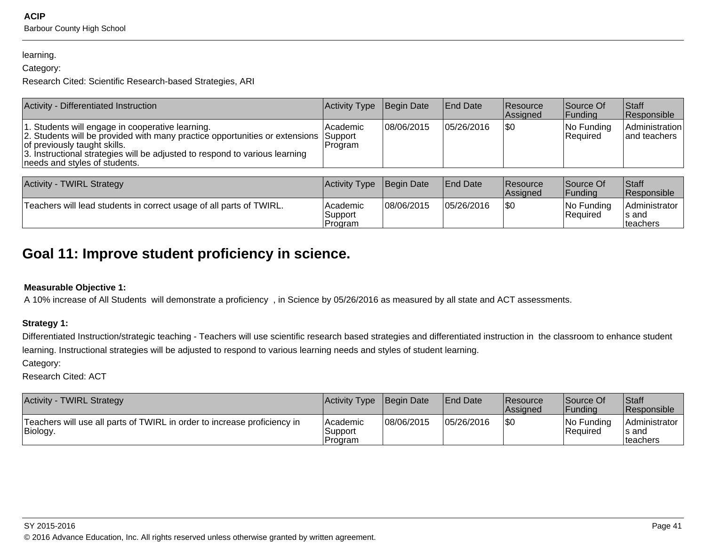#### learning.

### Category:

Research Cited: Scientific Research-based Strategies, ARI

| Activity - Differentiated Instruction                                                                                                                                                                                                                                                   | Activity Type Begin Date |            | <b>End Date</b> | <b>Resource</b><br>Assigned | Source Of<br> Fundina   | <b>Staff</b><br>Responsible    |
|-----------------------------------------------------------------------------------------------------------------------------------------------------------------------------------------------------------------------------------------------------------------------------------------|--------------------------|------------|-----------------|-----------------------------|-------------------------|--------------------------------|
| 1. Students will engage in cooperative learning.<br>2. Students will be provided with many practice opportunities or extensions Support<br>of previously taught skills.<br>3. Instructional strategies will be adjusted to respond to various learning<br>needs and styles of students. | l Academic<br>Program    | 08/06/2015 | 05/26/2016      | 1\$0                        | No Funding<br> Reauired | Administration<br>and teachers |

| <b>Activity - TWIRL Strategy</b>                                    | Activity Type Begin Date          |            | <b>IEnd Date</b> | <b>Resource</b><br><b>Assigned</b> | Source Of<br>lFundina     | Staff<br><b>Responsible</b>                |
|---------------------------------------------------------------------|-----------------------------------|------------|------------------|------------------------------------|---------------------------|--------------------------------------------|
| Teachers will lead students in correct usage of all parts of TWIRL. | lAcademic<br>Support<br>l Program | 08/06/2015 | 05/26/2016       | \$0                                | INo Fundina<br>l Reauired | Administrator<br>s and<br><b>Iteachers</b> |

# **Goal 11: Improve student proficiency in science.**

### **Measurable Objective 1:**

A 10% increase of All Students will demonstrate a proficiency , in Science by 05/26/2016 as measured by all state and ACT assessments.

### **Strategy 1:**

Differentiated Instruction/strategic teaching - Teachers will use scientific research based strategies and differentiated instruction in the classroom to enhance studentlearning. Instructional strategies will be adjusted to respond to various learning needs and styles of student learning.

Category:

Research Cited: ACT

| <b>Activity - TWIRL Strategy</b>                                                     | Activity Type Begin Date          |            | <b>IEnd Date</b> | Resource<br><b>Assigned</b> | Source Of<br> Fundina     | Staff<br><b>Responsible</b>                 |
|--------------------------------------------------------------------------------------|-----------------------------------|------------|------------------|-----------------------------|---------------------------|---------------------------------------------|
| Teachers will use all parts of TWIRL in order to increase proficiency in<br>Biology. | lAcademic<br>Support<br>l Program | 08/06/2015 | 05/26/2016       | \$0                         | INo Funding<br>l Reauired | Administrator<br>∣s and<br><b>Iteachers</b> |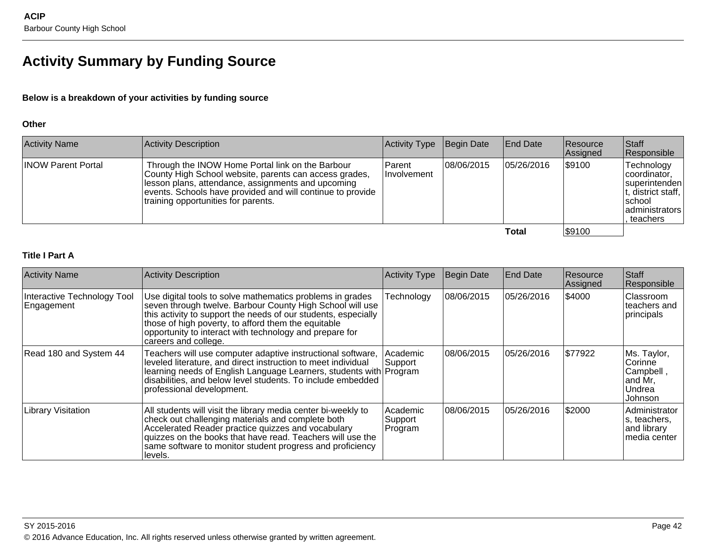# **Activity Summary by Funding Source**

### **Below is a breakdown of your activities by funding source**

#### **Other**

| <b>Activity Name</b>      | Activity Description                                                                                                                                                                                                                                                  | Activity Type                  | Begin Date  | <b>End Date</b> | <b>Resource</b><br>Assigned | Staff<br>Responsible                                                                                       |
|---------------------------|-----------------------------------------------------------------------------------------------------------------------------------------------------------------------------------------------------------------------------------------------------------------------|--------------------------------|-------------|-----------------|-----------------------------|------------------------------------------------------------------------------------------------------------|
| <b>INOW Parent Portal</b> | Through the INOW Home Portal link on the Barbour<br>County High School website, parents can access grades,<br>lesson plans, attendance, assignments and upcoming<br>events. Schools have provided and will continue to provide<br>training opportunities for parents. | l Parent<br><b>Involvement</b> | 108/06/2015 | 105/26/2016     | \$9100                      | Technology<br>coordinator,<br>superintenden<br>t, district staff,<br>Ischool<br>administrators<br>teachers |
|                           |                                                                                                                                                                                                                                                                       |                                |             | Total           | \$9100                      |                                                                                                            |

### **Title I Part A**

| <b>Activity Name</b>                      | <b>Activity Description</b>                                                                                                                                                                                                                                                                                                        | <b>Activity Type</b>             | Begin Date  | <b>End Date</b> | Resource<br>Assigned | Staff<br>Responsible                                                |
|-------------------------------------------|------------------------------------------------------------------------------------------------------------------------------------------------------------------------------------------------------------------------------------------------------------------------------------------------------------------------------------|----------------------------------|-------------|-----------------|----------------------|---------------------------------------------------------------------|
| Interactive Technology Tool<br>Engagement | Use digital tools to solve mathematics problems in grades<br>seven through twelve. Barbour County High School will use<br>this activity to support the needs of our students, especially<br>those of high poverty, to afford them the equitable<br>opportunity to interact with technology and prepare for<br>careers and college. | Technology                       | 08/06/2015  | 05/26/2016      | \$4000               | Classroom<br>teachers and<br>principals                             |
| Read 180 and System 44                    | Teachers will use computer adaptive instructional software,<br>leveled literature, and direct instruction to meet individual<br>learning needs of English Language Learners, students with Program<br>disabilities, and below level students. To include embedded<br>professional development.                                     | Academic<br>Support              | 108/06/2015 | 05/26/2016      | \$77922              | Ms. Taylor,<br>Corinne<br>Campbell,<br>and Mr,<br>Undrea<br>Johnson |
| Library Visitation                        | All students will visit the library media center bi-weekly to<br>check out challenging materials and complete both<br>Accelerated Reader practice quizzes and vocabulary<br>quizzes on the books that have read. Teachers will use the<br>same software to monitor student progress and proficiency<br>llevels.                    | l Academic<br>Support<br>Program | 108/06/2015 | 05/26/2016      | \$2000               | Administrator<br>ls, teachers,<br>and library<br>lmedia center      |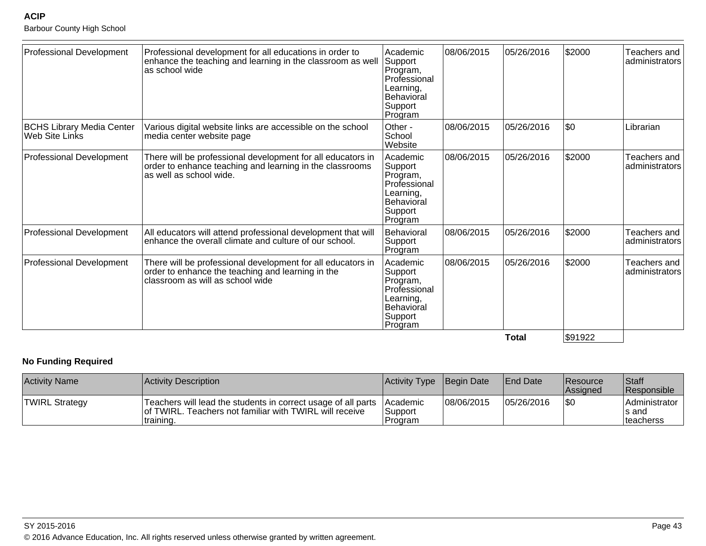Barbour County High School

| Professional Development                           | Professional development for all educations in order to<br>enhance the teaching and learning in the classroom as well<br>as school wide              | l Academic<br>Support<br>Program,<br>Professional<br>Learning,<br>Behavioral<br>Support<br>Program | 08/06/2015 | 05/26/2016   | \$2000  | Teachers and<br>administrators |
|----------------------------------------------------|------------------------------------------------------------------------------------------------------------------------------------------------------|----------------------------------------------------------------------------------------------------|------------|--------------|---------|--------------------------------|
| <b>BCHS Library Media Center</b><br>Web Site Links | Various digital website links are accessible on the school<br>media center website page                                                              | Other -<br>School<br>Website                                                                       | 08/06/2015 | 05/26/2016   | \$0     | Librarian                      |
| Professional Development                           | There will be professional development for all educators in<br>order to enhance teaching and learning in the classrooms<br>as well as school wide.   | Academic<br>Support<br>Program,<br>Professional<br>Learning,<br>Behavioral<br>Support<br>Program   | 08/06/2015 | 05/26/2016   | \$2000  | Teachers and<br>administrators |
| <b>Professional Development</b>                    | All educators will attend professional development that will<br>enhance the overall climate and culture of our school.                               | <b>Behavioral</b><br>Support<br>Program                                                            | 08/06/2015 | 05/26/2016   | \$2000  | Teachers and<br>administrators |
| <b>Professional Development</b>                    | There will be professional development for all educators in<br>order to enhance the teaching and learning in the<br>classroom as will as school wide | Academic<br>Support<br>Program,<br>Professional<br>Learning,<br>Behavioral<br>Support<br>Program   | 08/06/2015 | 05/26/2016   | \$2000  | Teachers and<br>administrators |
|                                                    |                                                                                                                                                      |                                                                                                    |            | <b>Total</b> | \$91922 |                                |

### **No Funding Required**

| <b>Activity Name</b>  | Activity Description                                                                                                                   | Activity Type   Begin Date                     |            | End Date   | <b>Resource</b><br><b>Assigned</b> | Staff<br><b>Responsible</b>                  |
|-----------------------|----------------------------------------------------------------------------------------------------------------------------------------|------------------------------------------------|------------|------------|------------------------------------|----------------------------------------------|
| <b>TWIRL Strategy</b> | Teachers will lead the students in correct usage of all parts<br>of TWIRL. Teachers not familiar with TWIRL will receive<br>∣training. | <b>IAcademic</b><br>Support<br><b>IProgram</b> | 08/06/2015 | 05/26/2016 | $ \$0$                             | Administrator<br>Is and<br><b>Iteacherss</b> |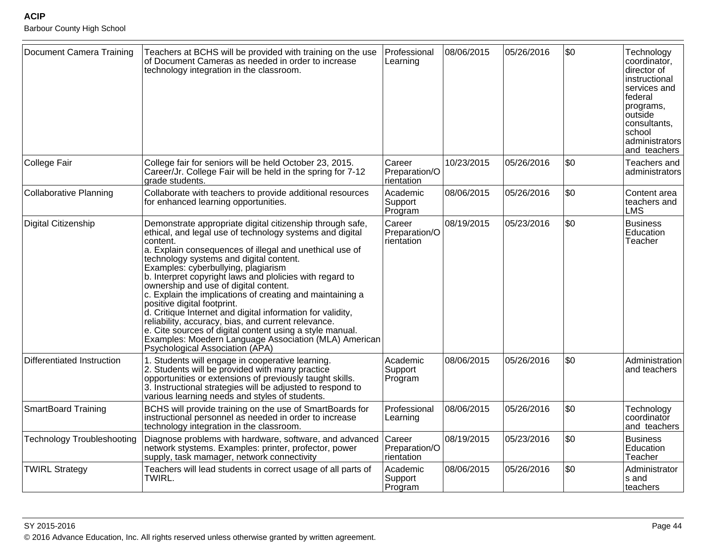Barbour County High School

| Document Camera Training          | Teachers at BCHS will be provided with training on the use<br>of Document Cameras as needed in order to increase<br>technology integration in the classroom.                                                                                                                                                                                                                                                                                                                                                                                                                                                                                                                                                                                                 | Professional<br>Learning              | 08/06/2015 | 05/26/2016 | \$0 | Technology<br>coordinator,<br>director of<br>instructional<br>services and<br> federal<br>programs,<br>outside<br>consultants,<br>school<br>administrators<br>and teachers |
|-----------------------------------|--------------------------------------------------------------------------------------------------------------------------------------------------------------------------------------------------------------------------------------------------------------------------------------------------------------------------------------------------------------------------------------------------------------------------------------------------------------------------------------------------------------------------------------------------------------------------------------------------------------------------------------------------------------------------------------------------------------------------------------------------------------|---------------------------------------|------------|------------|-----|----------------------------------------------------------------------------------------------------------------------------------------------------------------------------|
| College Fair                      | College fair for seniors will be held October 23, 2015.<br>Career/Jr. College Fair will be held in the spring for 7-12<br>grade students.                                                                                                                                                                                                                                                                                                                                                                                                                                                                                                                                                                                                                    | Career<br>Preparation/O<br>rientation | 10/23/2015 | 05/26/2016 | \$0 | Teachers and<br>administrators                                                                                                                                             |
| Collaborative Planning            | Collaborate with teachers to provide additional resources<br>for enhanced learning opportunities.                                                                                                                                                                                                                                                                                                                                                                                                                                                                                                                                                                                                                                                            | Academic<br>Support<br>Program        | 08/06/2015 | 05/26/2016 | \$0 | Content area<br>teachers and<br><b>LMS</b>                                                                                                                                 |
| Digital Citizenship               | Demonstrate appropriate digital citizenship through safe,<br>ethical, and legal use of technology systems and digital<br>content.<br>a. Explain consequences of illegal and unethical use of<br>technology systems and digital content.<br>Examples: cyberbullying, plagiarism<br>b. Interpret copyright laws and plolicies with regard to<br>ownership and use of digital content.<br>c. Explain the implications of creating and maintaining a<br>positive digital footprint.<br>d. Critique Internet and digital information for validity,<br>reliability, accuracy, bias, and current relevance.<br>e. Cite sources of digital content using a style manual.<br>Examples: Moedern Language Association (MLA) American<br>Psychological Association (APA) | Career<br>Preparation/O<br>rientation | 08/19/2015 | 05/23/2016 | \$0 | <b>Business</b><br>Education<br>Teacher                                                                                                                                    |
| Differentiated Instruction        | 1. Students will engage in cooperative learning.<br>2. Students will be provided with many practice<br>opportunities or extensions of previously taught skills.<br>3. Instructional strategies will be adjusted to respond to<br>various learning needs and styles of students.                                                                                                                                                                                                                                                                                                                                                                                                                                                                              | Academic<br>Support<br>Program        | 08/06/2015 | 05/26/2016 | \$0 | Administration<br>and teachers                                                                                                                                             |
| <b>SmartBoard Training</b>        | BCHS will provide training on the use of SmartBoards for<br>instructional personnel as needed in order to increase<br>technology integration in the classroom.                                                                                                                                                                                                                                                                                                                                                                                                                                                                                                                                                                                               | Professional<br>Learning              | 08/06/2015 | 05/26/2016 | \$0 | Technology<br>coordinator<br>and teachers                                                                                                                                  |
| <b>Technology Troubleshooting</b> | Diagnose problems with hardware, software, and advanced<br>network stystems. Examples: printer, profector, power<br>supply, task mamager, network connectivity                                                                                                                                                                                                                                                                                                                                                                                                                                                                                                                                                                                               | Career<br>Preparation/O<br>rientation | 08/19/2015 | 05/23/2016 | \$0 | <b>Business</b><br>Education<br>Teacher                                                                                                                                    |
| <b>TWIRL Strategy</b>             | Teachers will lead students in correct usage of all parts of<br>TWIRL.                                                                                                                                                                                                                                                                                                                                                                                                                                                                                                                                                                                                                                                                                       | Academic<br>Support<br>Program        | 08/06/2015 | 05/26/2016 | \$0 | Administrator<br>s and<br><b>Iteachers</b>                                                                                                                                 |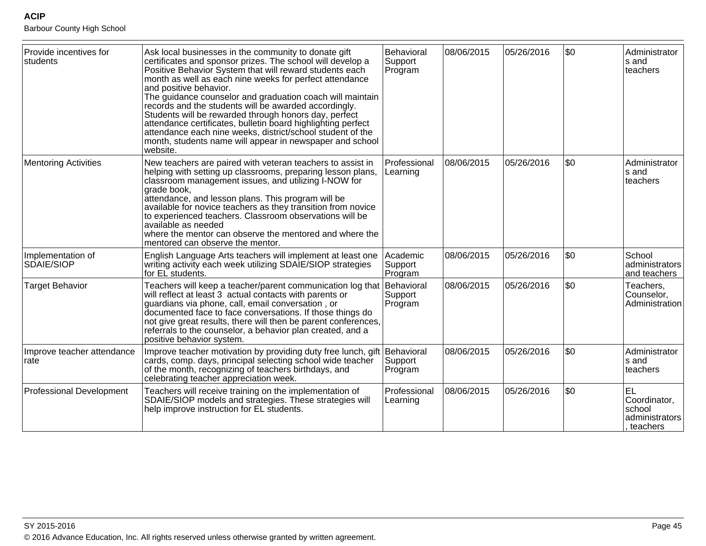Barbour County High School

| Provide incentives for<br>students | Ask local businesses in the community to donate gift<br>certificates and sponsor prizes. The school will develop a<br>Positive Behavior System that will reward students each<br>month as well as each nine weeks for perfect attendance<br>and positive behavior.<br>The guidance counselor and graduation coach will maintain<br>records and the students will be awarded accordingly.<br>Students will be rewarded through honors day, perfect<br>attendance certificates, bulletin board highlighting perfect<br>attendance each nine weeks, district/school student of the<br>month, students name will appear in newspaper and school<br>website. | Behavioral<br>Support<br>Program | 08/06/2015 | 05/26/2016 | \$0 | Administrator<br>s and<br>teachers                                |
|------------------------------------|---------------------------------------------------------------------------------------------------------------------------------------------------------------------------------------------------------------------------------------------------------------------------------------------------------------------------------------------------------------------------------------------------------------------------------------------------------------------------------------------------------------------------------------------------------------------------------------------------------------------------------------------------------|----------------------------------|------------|------------|-----|-------------------------------------------------------------------|
| <b>Mentoring Activities</b>        | New teachers are paired with veteran teachers to assist in<br>helping with setting up classrooms, preparing lesson plans,<br>classroom management issues, and utilizing I-NOW for<br>grade book,<br>attendance, and lesson plans. This program will be<br>available for novice teachers as they transition from novice<br>to experienced teachers. Classroom observations will be<br>available as needed<br>where the mentor can observe the mentored and where the<br>mentored can observe the mentor.                                                                                                                                                 | Professional<br>Learning         | 08/06/2015 | 05/26/2016 | \$0 | Administrator<br>s and<br>teachers                                |
| Implementation of<br>SDAIE/SIOP    | English Language Arts teachers will implement at least one<br>writing activity each week utilizing SDAIE/SIOP strategies<br>for EL students.                                                                                                                                                                                                                                                                                                                                                                                                                                                                                                            | Academic<br>Support<br>Program   | 08/06/2015 | 05/26/2016 | \$0 | School<br>administrators<br>and teachers                          |
| <b>Target Behavior</b>             | Teachers will keep a teacher/parent communication log that Behavioral<br>will reflect at least 3 actual contacts with parents or<br>guardians via phone, call, email conversation, or<br>documented face to face conversations. If those things do<br>not give great results, there will then be parent conferences,<br>referrals to the counselor, a behavior plan created, and a<br>positive behavior system.                                                                                                                                                                                                                                         | Support<br>Program               | 08/06/2015 | 05/26/2016 | \$0 | Teachers,<br>Counselor,<br>Administration                         |
| Improve teacher attendance<br>rate | Improve teacher motivation by providing duty free lunch, gift Behavioral<br>cards, comp. days, principal selecting school wide teacher<br>of the month, recognizing of teachers birthdays, and<br>celebrating teacher appreciation week.                                                                                                                                                                                                                                                                                                                                                                                                                | Support<br>Program               | 08/06/2015 | 05/26/2016 | \$0 | Administrator<br>s and<br>teachers                                |
| <b>Professional Development</b>    | Teachers will receive training on the implementation of<br>SDAIE/SIOP models and strategies. These strategies will<br>help improve instruction for EL students.                                                                                                                                                                                                                                                                                                                                                                                                                                                                                         | Professional<br>Learning         | 08/06/2015 | 05/26/2016 | \$0 | <b>EL</b><br>Coordinator,<br>school<br>administrators<br>teachers |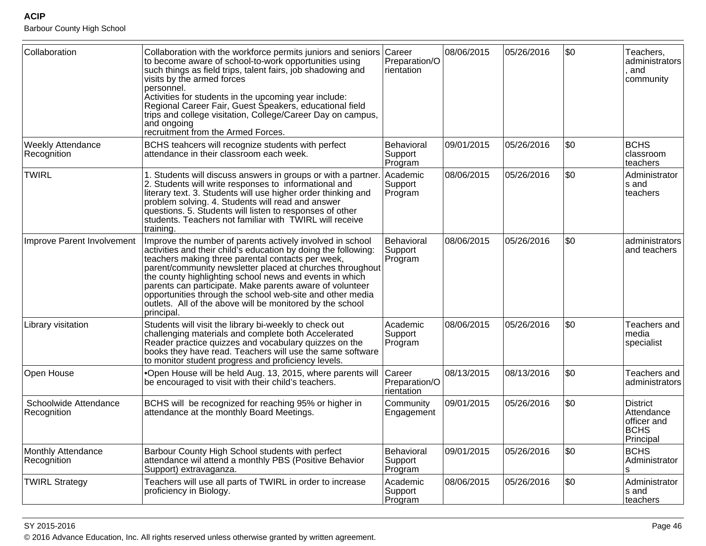Barbour County High School

| Collaboration                           | Collaboration with the workforce permits juniors and seniors Career<br>to become aware of school-to-work opportunities using<br>such things as field trips, talent fairs, job shadowing and<br>visits by the armed forces<br>personnel.<br>Activities for students in the upcoming year include:<br>Regional Career Fair, Guest Speakers, educational field<br>trips and college visitation, College/Career Day on campus,<br>and ongoing<br>recruitment from the Armed Forces.                              | Preparation/O<br>rientation           | 08/06/2015 | 05/26/2016 | \$0 | Teachers,<br>administrators<br>and<br>community                          |
|-----------------------------------------|--------------------------------------------------------------------------------------------------------------------------------------------------------------------------------------------------------------------------------------------------------------------------------------------------------------------------------------------------------------------------------------------------------------------------------------------------------------------------------------------------------------|---------------------------------------|------------|------------|-----|--------------------------------------------------------------------------|
| <b>Weekly Attendance</b><br>Recognition | BCHS teahcers will recognize students with perfect<br>attendance in their classroom each week.                                                                                                                                                                                                                                                                                                                                                                                                               | Behavioral<br>Support<br>Program      | 09/01/2015 | 05/26/2016 | \$0 | <b>BCHS</b><br>classroom<br>teachers                                     |
| <b>TWIRL</b>                            | 1. Students will discuss answers in groups or with a partner<br>2. Students will write responses to informational and<br>literary text. 3. Students will use higher order thinking and<br>problem solving. 4. Students will read and answer<br>questions. 5. Students will listen to responses of other<br>students. Teachers not familiar with TWIRL will receive<br>training.                                                                                                                              | Academic<br>Support<br>Program        | 08/06/2015 | 05/26/2016 | \$0 | Administrator<br>s and<br>teachers                                       |
| Improve Parent Involvement              | Improve the number of parents actively involved in school<br>activities and their child's education by doing the following:<br>teachers making three parental contacts per week,<br>parent/community newsletter placed at churches throughout<br>the county highlighting school news and events in which<br>parents can participate. Make parents aware of volunteer<br>opportunities through the school web-site and other media<br>outlets. All of the above will be monitored by the school<br>principal. | Behavioral<br>Support<br>Program      | 08/06/2015 | 05/26/2016 | \$0 | administrators<br>and teachers                                           |
| Library visitation                      | Students will visit the library bi-weekly to check out<br>challenging materials and complete both Accelerated<br>Reader practice quizzes and vocabulary quizzes on the<br>books they have read. Teachers will use the same software<br>to monitor student progress and proficiency levels.                                                                                                                                                                                                                   | Academic<br>Support<br>Program        | 08/06/2015 | 05/26/2016 | \$0 | Teachers and<br>media<br>specialist                                      |
| Open House                              | .Open House will be held Aug. 13, 2015, where parents will<br>be encouraged to visit with their child's teachers.                                                                                                                                                                                                                                                                                                                                                                                            | Career<br>Preparation/O<br>rientation | 08/13/2015 | 08/13/2016 | \$0 | Teachers and<br>administrators                                           |
| Schoolwide Attendance<br>Recognition    | BCHS will be recognized for reaching 95% or higher in<br>attendance at the monthly Board Meetings.                                                                                                                                                                                                                                                                                                                                                                                                           | Community<br>Engagement               | 09/01/2015 | 05/26/2016 | \$0 | <b>District</b><br>Attendance<br>officer and<br><b>BCHS</b><br>Principal |
| Monthly Attendance<br>Recognition       | Barbour County High School students with perfect<br>attendance wil attend a monthly PBS (Positive Behavior<br>Support) extravaganza.                                                                                                                                                                                                                                                                                                                                                                         | Behavioral<br>Support<br>Program      | 09/01/2015 | 05/26/2016 | \$0 | <b>BCHS</b><br>Administrator                                             |
| <b>TWIRL Strategy</b>                   | Teachers will use all parts of TWIRL in order to increase<br>proficiency in Biology.                                                                                                                                                                                                                                                                                                                                                                                                                         | Academic<br>Support<br>Program        | 08/06/2015 | 05/26/2016 | \$0 | Administrator<br>s and<br>teachers                                       |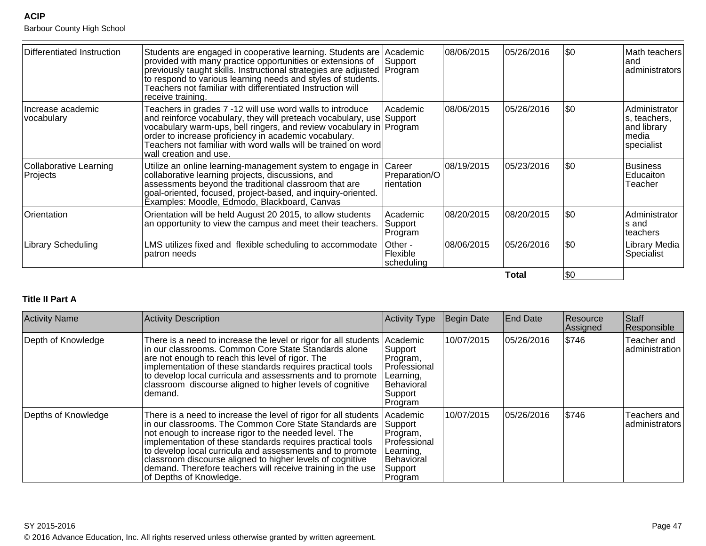Barbour County High School

| Differentiated Instruction                | Students are engaged in cooperative learning. Students are Academic<br>provided with many practice opportunities or extensions of<br>previously taught skills. Instructional strategies are adjusted Program<br>to respond to various learning needs and styles of students.<br>Teachers not familiar with differentiated Instruction will<br>receive training. | Support                               | 08/06/2015 | 05/26/2016 | \$0         | Math teachers<br>land<br>administrators                              |
|-------------------------------------------|-----------------------------------------------------------------------------------------------------------------------------------------------------------------------------------------------------------------------------------------------------------------------------------------------------------------------------------------------------------------|---------------------------------------|------------|------------|-------------|----------------------------------------------------------------------|
| Increase academic<br>vocabulary           | Teachers in grades 7 -12 will use word walls to introduce<br>and reinforce vocabulary, they will preteach vocabulary, use Support<br>vocabulary warm-ups, bell ringers, and review vocabulary in Program<br>order to increase proficiency in academic vocabulary.<br>Teachers not familiar with word walls will be trained on word<br>wall creation and use.    | Academic                              | 08/06/2015 | 05/26/2016 | \$0         | Administrator<br>s, teachers,<br>and library<br>Imedia<br>specialist |
| <b>Collaborative Learning</b><br>Projects | Utilize an online learning-management system to engage in<br>collaborative learning projects, discussions, and<br>assessments beyond the traditional classroom that are<br>goal-oriented, focused, project-based, and inquiry-oriented.<br>Examples: Moodle, Edmodo, Blackboard, Canvas                                                                         | Career<br>Preparation/O<br>rientation | 08/19/2015 | 05/23/2016 | 1\$0        | Business<br><b>Educaiton</b><br>Teacher                              |
| Orientation                               | Orientation will be held August 20 2015, to allow students<br>an opportunity to view the campus and meet their teachers.                                                                                                                                                                                                                                        | Academic<br>Support<br>Program        | 08/20/2015 | 08/20/2015 | \$0         | Administrator<br>ls and<br>teachers                                  |
| <b>Library Scheduling</b>                 | LMS utilizes fixed and flexible scheduling to accommodate<br>patron needs                                                                                                                                                                                                                                                                                       | Other -<br>Flexible<br>scheduling     | 08/06/2015 | 05/26/2016 | \$0         | Library Media<br>Specialist                                          |
|                                           |                                                                                                                                                                                                                                                                                                                                                                 |                                       |            | Total      | <b>\\$0</b> |                                                                      |

### **Title II Part A**

| <b>Activity Name</b> | <b>Activity Description</b>                                                                                                                                                                                                                                                                                                                                                                                                                                          | <b>Activity Type</b>                                                                                    | Begin Date | <b>End Date</b> | Resource<br>Assigned | Staff<br>Responsible           |
|----------------------|----------------------------------------------------------------------------------------------------------------------------------------------------------------------------------------------------------------------------------------------------------------------------------------------------------------------------------------------------------------------------------------------------------------------------------------------------------------------|---------------------------------------------------------------------------------------------------------|------------|-----------------|----------------------|--------------------------------|
| Depth of Knowledge   | There is a need to increase the level or rigor for all students<br>In our classrooms. Common Core State Standards alone<br>are not enough to reach this level of rigor. The<br>implementation of these standards requires practical tools<br>to develop local curricula and assessments and to promote<br>classroom discourse aligned to higher levels of cognitive<br>demand.                                                                                       | Academic<br>Support<br>Program,<br>Professional<br>Learning,<br>Behavioral<br>Support<br>Program        | 10/07/2015 | 05/26/2016      | \$746                | Teacher and<br>administration  |
| Depths of Knowledge  | There is a need to increase the level of rigor for all students<br>in our classrooms. The Common Core State Standards are<br>not enough to increase rigor to the needed level. The<br>implementation of these standards requires practical tools<br>to develop local curricula and assessments and to promote<br>classroom discourse aligned to higher levels of cognitive<br>demand. Therefore teachers will receive training in the use<br>of Depths of Knowledge. | Academic<br>Support<br>Program,<br>Professional<br>Learning,<br><b>Behavioral</b><br>Support<br>Program | 10/07/2015 | 05/26/2016      | \$746                | Teachers and<br>administrators |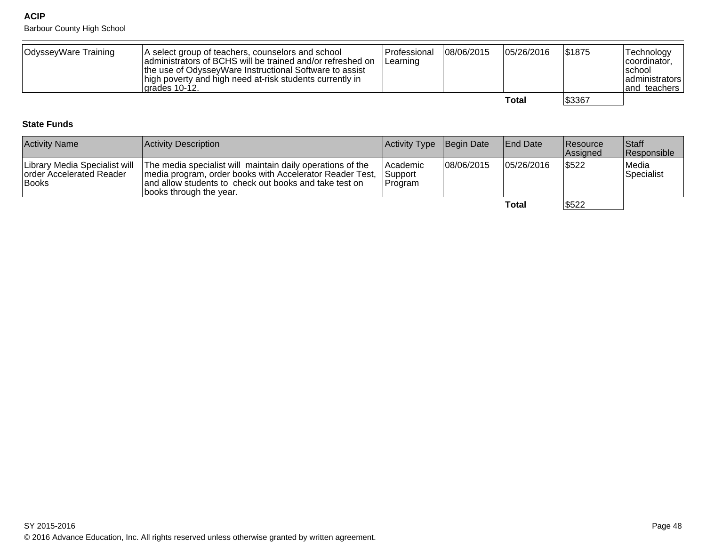Barbour County High School

| OdysseyWare Training | A select group of teachers, counselors and school<br>administrators of BCHS will be trained and/or refreshed on<br>the use of OdysseyWare Instructional Software to assist<br>high poverty and high need at-risk students currently in<br>Igrades 10-12. | <b>Professional</b><br>Learning | 08/06/2015 | 05/26/2016 | \$1875 | Technology<br>coordinator,<br>Ischool<br>  administrators<br>and teachers |
|----------------------|----------------------------------------------------------------------------------------------------------------------------------------------------------------------------------------------------------------------------------------------------------|---------------------------------|------------|------------|--------|---------------------------------------------------------------------------|
|                      |                                                                                                                                                                                                                                                          |                                 |            | Total      | \$3367 |                                                                           |

### **State Funds**

| <b>Activity Name</b>                             | Activity Description                                                                                                                                                                                                                      | Activity Type Begin Date                     |             | <b>End Date</b> | Resource<br><b>Assigned</b> | <b>Staff</b><br>Responsible |
|--------------------------------------------------|-------------------------------------------------------------------------------------------------------------------------------------------------------------------------------------------------------------------------------------------|----------------------------------------------|-------------|-----------------|-----------------------------|-----------------------------|
| <b>Torder Accelerated Reader</b><br><b>Books</b> | Library Media Specialist will The media specialist will maintain daily operations of the<br>media program, order books with Accelerator Reader Test,<br>and allow students to check out books and take test on<br>books through the year. | <b>Academic</b><br>Support<br><b>Program</b> | 108/06/2015 | 105/26/2016     | \$522                       | Medial<br>Specialist        |
|                                                  |                                                                                                                                                                                                                                           |                                              |             | Total           | \$522                       |                             |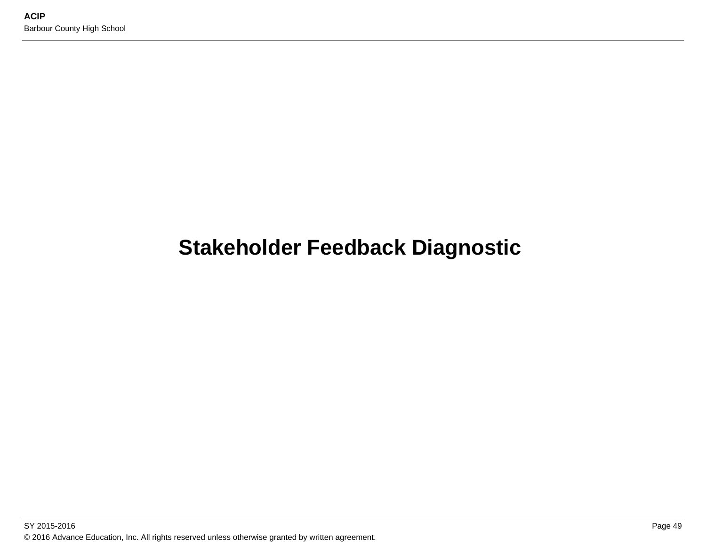# **Stakeholder Feedback Diagnostic**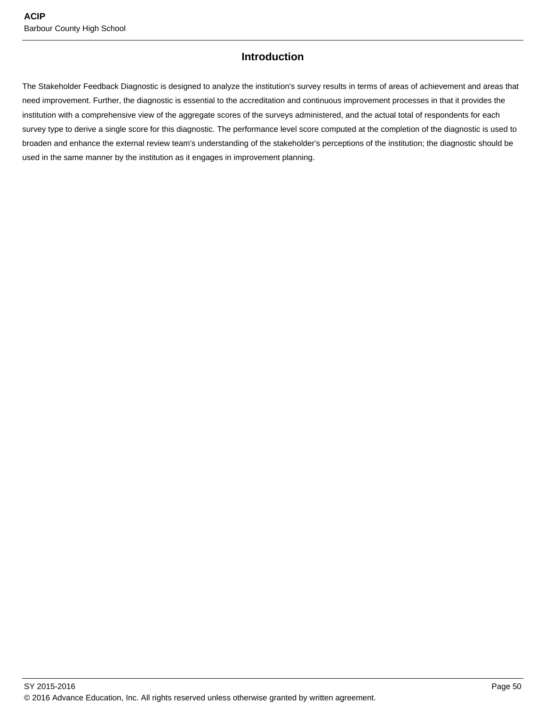### **Introduction**

The Stakeholder Feedback Diagnostic is designed to analyze the institution's survey results in terms of areas of achievement and areas that need improvement. Further, the diagnostic is essential to the accreditation and continuous improvement processes in that it provides the institution with a comprehensive view of the aggregate scores of the surveys administered, and the actual total of respondents for each survey type to derive a single score for this diagnostic. The performance level score computed at the completion of the diagnostic is used to broaden and enhance the external review team's understanding of the stakeholder's perceptions of the institution; the diagnostic should be used in the same manner by the institution as it engages in improvement planning.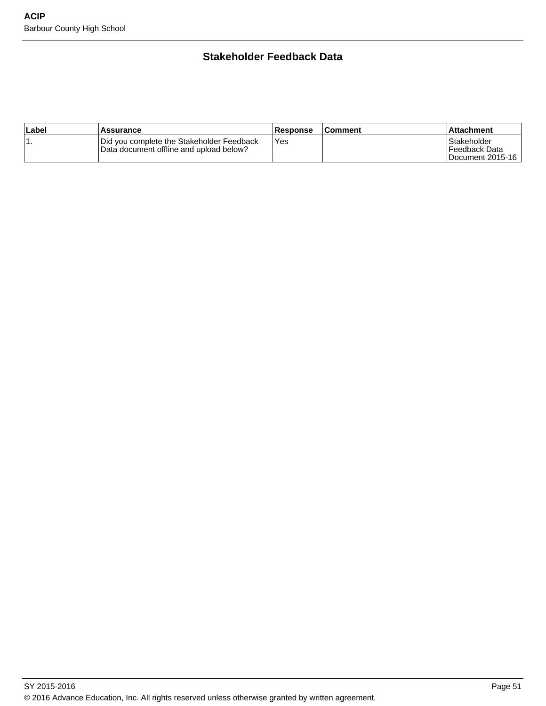### **Stakeholder Feedback Data**

| ∣Label | Assurance                                                                            | <b>Response</b> | ∣Comment | ⊺Attachment                                          |
|--------|--------------------------------------------------------------------------------------|-----------------|----------|------------------------------------------------------|
| . .    | Did you complete the Stakeholder Feedback<br>Data document offline and upload below? | Yes             |          | l Stakeholder<br>l Feedback Data<br>Document 2015-16 |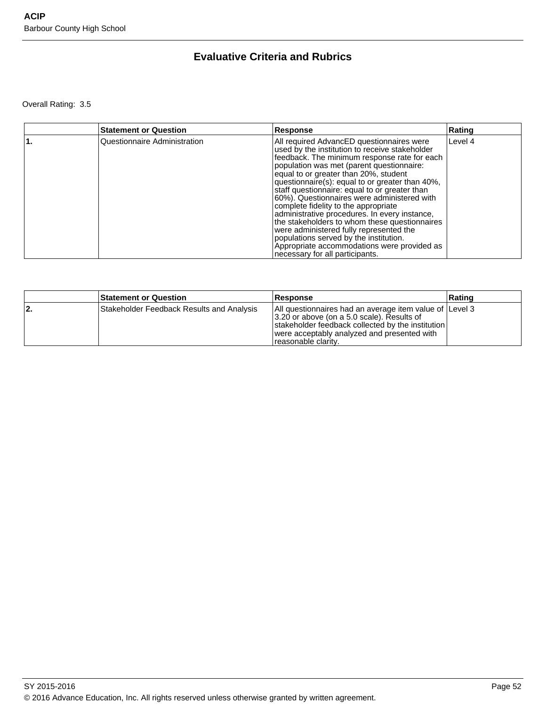### **Evaluative Criteria and Rubrics**

Overall Rating: 3.5

| <b>Statement or Question</b> | Response                                                                                                                                                                                                                                                                                                                                                                                                                                                                                                                                                                                                                                                                                              | Rating  |
|------------------------------|-------------------------------------------------------------------------------------------------------------------------------------------------------------------------------------------------------------------------------------------------------------------------------------------------------------------------------------------------------------------------------------------------------------------------------------------------------------------------------------------------------------------------------------------------------------------------------------------------------------------------------------------------------------------------------------------------------|---------|
| Questionnaire Administration | All required AdvancED questionnaires were<br>used by the institution to receive stakeholder<br>feedback. The minimum response rate for each<br>population was met (parent questionnaire:<br>equal to or greater than 20%, student<br>questionnaire(s): equal to or greater than 40%,<br>staff questionnaire: equal to or greater than<br>60%). Questionnaires were administered with<br>complete fidelity to the appropriate<br>administrative procedures. In every instance,<br>the stakeholders to whom these questionnaires<br>were administered fully represented the<br>populations served by the institution.<br>Appropriate accommodations were provided as<br>necessary for all participants. | Level 4 |

|     | <b>Statement or Question</b>              | <b>Response</b>                                                                                                                                                                                                                   | ∣Ratinɑ |
|-----|-------------------------------------------|-----------------------------------------------------------------------------------------------------------------------------------------------------------------------------------------------------------------------------------|---------|
| 12. | Stakeholder Feedback Results and Analysis | All questionnaires had an average item value of Level 3<br>3.20 or above (on a 5.0 scale). Results of<br>stakeholder feedback collected by the institution<br>were acceptably analyzed and presented with<br>Treasonable clarity. |         |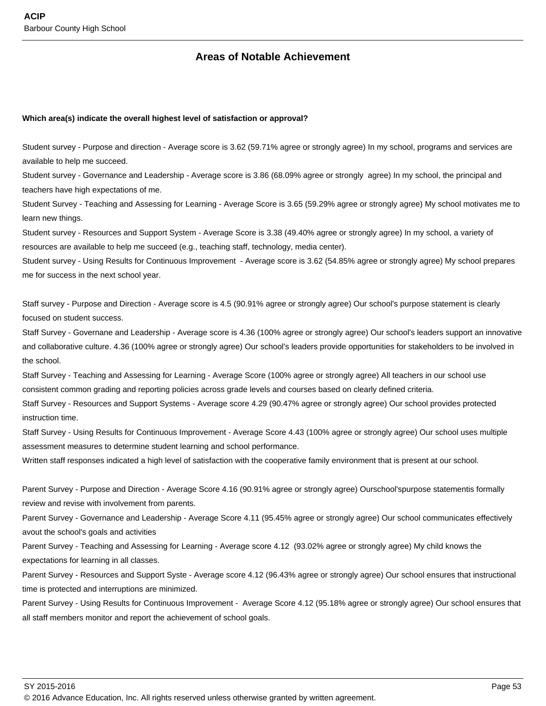### **Areas of Notable Achievement**

#### **Which area(s) indicate the overall highest level of satisfaction or approval?**

Student survey - Purpose and direction - Average score is 3.62 (59.71% agree or strongly agree) In my school, programs and services are available to help me succeed.

Student survey - Governance and Leadership - Average score is 3.86 (68.09% agree or strongly agree) In my school, the principal and teachers have high expectations of me.

Student Survey - Teaching and Assessing for Learning - Average Score is 3.65 (59.29% agree or strongly agree) My school motivates me to learn new things.

Student survey - Resources and Support System - Average Score is 3.38 (49.40% agree or strongly agree) In my school, a variety of resources are available to help me succeed (e.g., teaching staff, technology, media center).

Student survey - Using Results for Continuous Improvement - Average score is 3.62 (54.85% agree or strongly agree) My school prepares me for success in the next school year.

Staff survey - Purpose and Direction - Average score is 4.5 (90.91% agree or strongly agree) Our school's purpose statement is clearly focused on student success.

Staff Survey - Governane and Leadership - Average score is 4.36 (100% agree or strongly agree) Our school's leaders support an innovative and collaborative culture. 4.36 (100% agree or strongly agree) Our school's leaders provide opportunities for stakeholders to be involved in the school.

Staff Survey - Teaching and Assessing for Learning - Average Score (100% agree or strongly agree) All teachers in our school use consistent common grading and reporting policies across grade levels and courses based on clearly defined criteria.

Staff Survey - Resources and Support Systems - Average score 4.29 (90.47% agree or strongly agree) Our school provides protected instruction time.

Staff Survey - Using Results for Continuous Improvement - Average Score 4.43 (100% agree or strongly agree) Our school uses multiple assessment measures to determine student learning and school performance.

Written staff responses indicated a high level of satisfaction with the cooperative family environment that is present at our school.

Parent Survey - Purpose and Direction - Average Score 4.16 (90.91% agree or strongly agree) Ourschool'spurpose statementis formally review and revise with involvement from parents.

Parent Survey - Governance and Leadership - Average Score 4.11 (95.45% agree or strongly agree) Our school communicates effectively avout the school's goals and activities

Parent Survey - Teaching and Assessing for Learning - Average score 4.12 (93.02% agree or strongly agree) My child knows the expectations for learning in all classes.

Parent Survey - Resources and Support Syste - Average score 4.12 (96.43% agree or strongly agree) Our school ensures that instructional time is protected and interruptions are minimized.

Parent Survey - Using Results for Continuous Improvement - Average Score 4.12 (95.18% agree or strongly agree) Our school ensures that all staff members monitor and report the achievement of school goals.

<sup>© 2016</sup> Advance Education, Inc. All rights reserved unless otherwise granted by written agreement.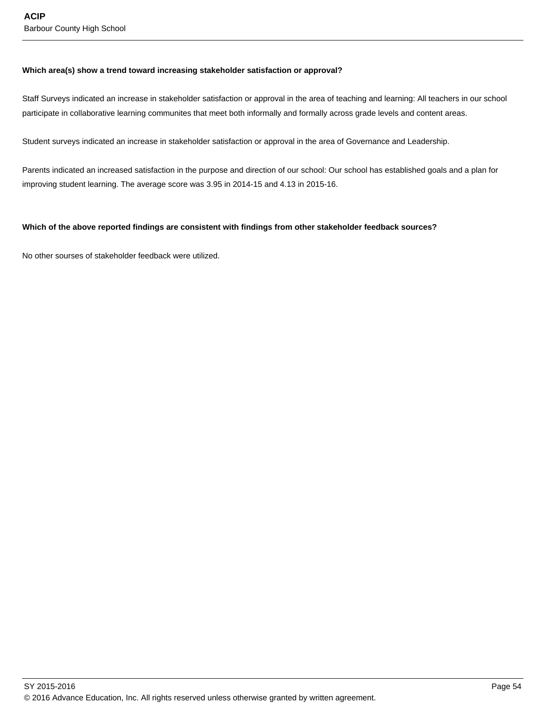#### **Which area(s) show a trend toward increasing stakeholder satisfaction or approval?**

Staff Surveys indicated an increase in stakeholder satisfaction or approval in the area of teaching and learning: All teachers in our school participate in collaborative learning communites that meet both informally and formally across grade levels and content areas.

Student surveys indicated an increase in stakeholder satisfaction or approval in the area of Governance and Leadership.

Parents indicated an increased satisfaction in the purpose and direction of our school: Our school has established goals and a plan for improving student learning. The average score was 3.95 in 2014-15 and 4.13 in 2015-16.

#### **Which of the above reported findings are consistent with findings from other stakeholder feedback sources?**

No other sourses of stakeholder feedback were utilized.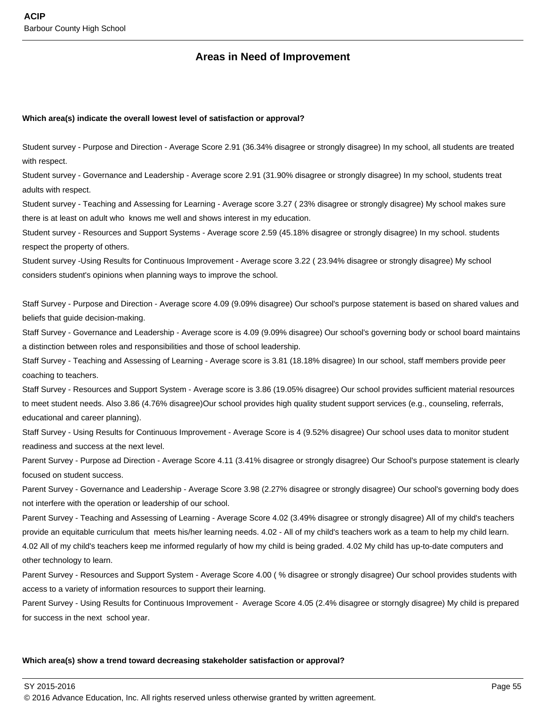### **Areas in Need of Improvement**

#### **Which area(s) indicate the overall lowest level of satisfaction or approval?**

Student survey - Purpose and Direction - Average Score 2.91 (36.34% disagree or strongly disagree) In my school, all students are treated with respect.

Student survey - Governance and Leadership - Average score 2.91 (31.90% disagree or strongly disagree) In my school, students treat adults with respect.

Student survey - Teaching and Assessing for Learning - Average score 3.27 ( 23% disagree or strongly disagree) My school makes sure there is at least on adult who knows me well and shows interest in my education.

Student survey - Resources and Support Systems - Average score 2.59 (45.18% disagree or strongly disagree) In my school. students respect the property of others.

Student survey -Using Results for Continuous Improvement - Average score 3.22 ( 23.94% disagree or strongly disagree) My school considers student's opinions when planning ways to improve the school.

Staff Survey - Purpose and Direction - Average score 4.09 (9.09% disagree) Our school's purpose statement is based on shared values and beliefs that guide decision-making.

Staff Survey - Governance and Leadership - Average score is 4.09 (9.09% disagree) Our school's governing body or school board maintains a distinction between roles and responsibilities and those of school leadership.

Staff Survey - Teaching and Assessing of Learning - Average score is 3.81 (18.18% disagree) In our school, staff members provide peer coaching to teachers.

Staff Survey - Resources and Support System - Average score is 3.86 (19.05% disagree) Our school provides sufficient material resources to meet student needs. Also 3.86 (4.76% disagree)Our school provides high quality student support services (e.g., counseling, referrals, educational and career planning).

Staff Survey - Using Results for Continuous Improvement - Average Score is 4 (9.52% disagree) Our school uses data to monitor student readiness and success at the next level.

Parent Survey - Purpose ad Direction - Average Score 4.11 (3.41% disagree or strongly disagree) Our School's purpose statement is clearly focused on student success.

Parent Survey - Governance and Leadership - Average Score 3.98 (2.27% disagree or strongly disagree) Our school's governing body does not interfere with the operation or leadership of our school.

Parent Survey - Teaching and Assessing of Learning - Average Score 4.02 (3.49% disagree or strongly disagree) All of my child's teachers provide an equitable curriculum that meets his/her learning needs. 4.02 - All of my child's teachers work as a team to help my child learn. 4.02 All of my child's teachers keep me informed regularly of how my child is being graded. 4.02 My child has up-to-date computers and other technology to learn.

Parent Survey - Resources and Support System - Average Score 4.00 (% disagree or strongly disagree) Our school provides students with access to a variety of information resources to support their learning.

Parent Survey - Using Results for Continuous Improvement - Average Score 4.05 (2.4% disagree or storngly disagree) My child is prepared for success in the next school year.

#### **Which area(s) show a trend toward decreasing stakeholder satisfaction or approval?**

SY 2015-2016 Page 55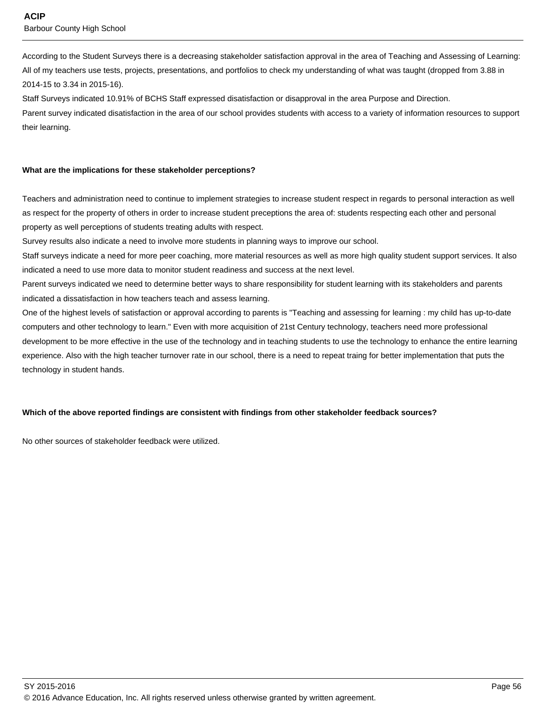According to the Student Surveys there is a decreasing stakeholder satisfaction approval in the area of Teaching and Assessing of Learning: All of my teachers use tests, projects, presentations, and portfolios to check my understanding of what was taught (dropped from 3.88 in 2014-15 to 3.34 in 2015-16).

Staff Surveys indicated 10.91% of BCHS Staff expressed disatisfaction or disapproval in the area Purpose and Direction.

Parent survey indicated disatisfaction in the area of our school provides students with access to a variety of information resources to support their learning.

#### **What are the implications for these stakeholder perceptions?**

Teachers and administration need to continue to implement strategies to increase student respect in regards to personal interaction as well as respect for the property of others in order to increase student preceptions the area of: students respecting each other and personal property as well perceptions of students treating adults with respect.

Survey results also indicate a need to involve more students in planning ways to improve our school.

Staff surveys indicate a need for more peer coaching, more material resources as well as more high quality student support services. It also indicated a need to use more data to monitor student readiness and success at the next level.

Parent surveys indicated we need to determine better ways to share responsibility for student learning with its stakeholders and parents indicated a dissatisfaction in how teachers teach and assess learning.

One of the highest levels of satisfaction or approval according to parents is "Teaching and assessing for learning : my child has up-to-date computers and other technology to learn." Even with more acquisition of 21st Century technology, teachers need more professional development to be more effective in the use of the technology and in teaching students to use the technology to enhance the entire learning experience. Also with the high teacher turnover rate in our school, there is a need to repeat traing for better implementation that puts the technology in student hands.

#### **Which of the above reported findings are consistent with findings from other stakeholder feedback sources?**

No other sources of stakeholder feedback were utilized.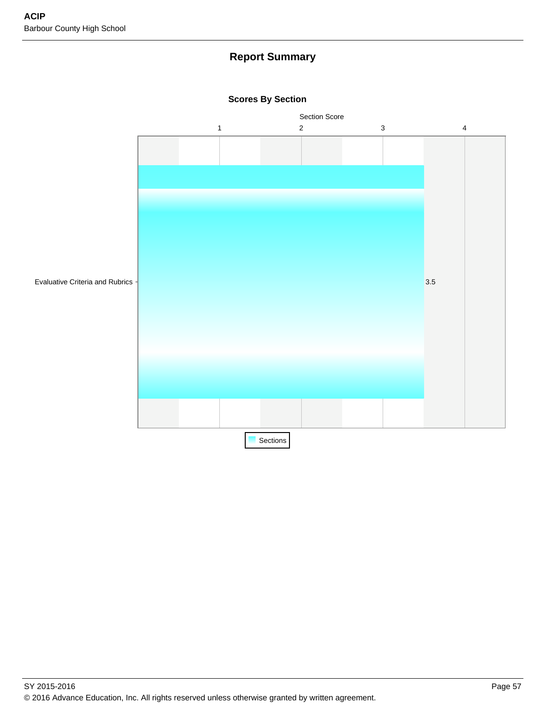### **Report Summary**



**Scores By Section**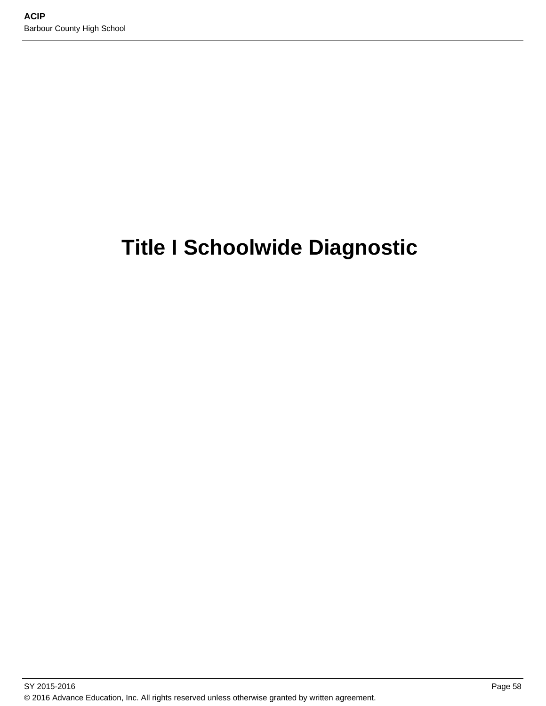# **Title I Schoolwide Diagnostic**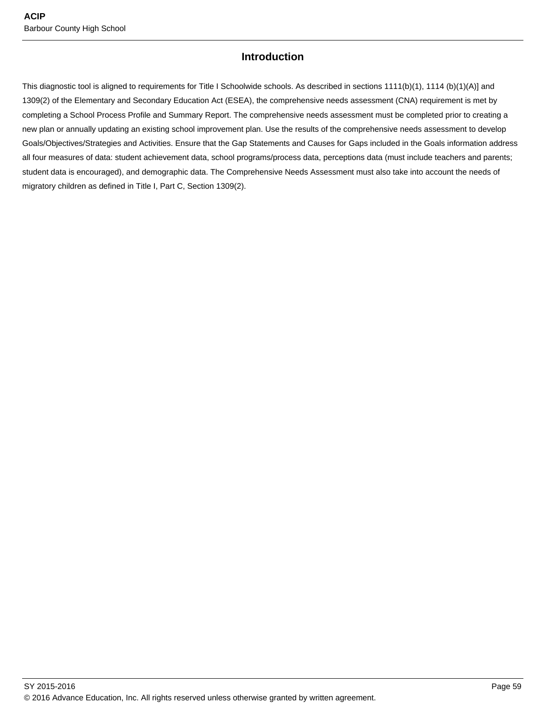### **Introduction**

This diagnostic tool is aligned to requirements for Title I Schoolwide schools. As described in sections 1111(b)(1), 1114 (b)(1)(A)] and 1309(2) of the Elementary and Secondary Education Act (ESEA), the comprehensive needs assessment (CNA) requirement is met by completing a School Process Profile and Summary Report. The comprehensive needs assessment must be completed prior to creating a new plan or annually updating an existing school improvement plan. Use the results of the comprehensive needs assessment to develop Goals/Objectives/Strategies and Activities. Ensure that the Gap Statements and Causes for Gaps included in the Goals information address all four measures of data: student achievement data, school programs/process data, perceptions data (must include teachers and parents; student data is encouraged), and demographic data. The Comprehensive Needs Assessment must also take into account the needs of migratory children as defined in Title I, Part C, Section 1309(2).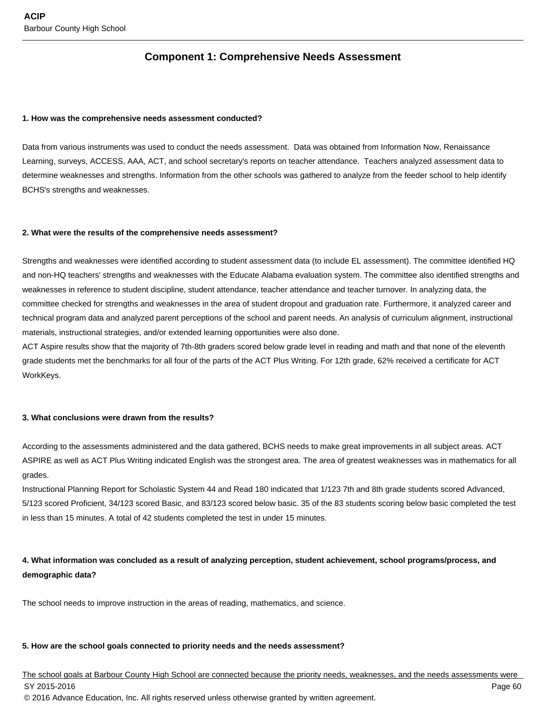### **Component 1: Comprehensive Needs Assessment**

#### **1. How was the comprehensive needs assessment conducted?**

Data from various instruments was used to conduct the needs assessment. Data was obtained from Information Now, Renaissance Learning, surveys, ACCESS, AAA, ACT, and school secretary's reports on teacher attendance. Teachers analyzed assessment data to determine weaknesses and strengths. Information from the other schools was gathered to analyze from the feeder school to help identify BCHS's strengths and weaknesses.

#### **2. What were the results of the comprehensive needs assessment?**

Strengths and weaknesses were identified according to student assessment data (to include EL assessment). The committee identified HQ and non-HQ teachers' strengths and weaknesses with the Educate Alabama evaluation system. The committee also identified strengths and weaknesses in reference to student discipline, student attendance, teacher attendance and teacher turnover. In analyzing data, the committee checked for strengths and weaknesses in the area of student dropout and graduation rate. Furthermore, it analyzed career and technical program data and analyzed parent perceptions of the school and parent needs. An analysis of curriculum alignment, instructional materials, instructional strategies, and/or extended learning opportunities were also done.

ACT Aspire results show that the majority of 7th-8th graders scored below grade level in reading and math and that none of the eleventh grade students met the benchmarks for all four of the parts of the ACT Plus Writing. For 12th grade, 62% received a certificate for ACT WorkKeys.

#### **3. What conclusions were drawn from the results?**

According to the assessments administered and the data gathered, BCHS needs to make great improvements in all subject areas. ACT ASPIRE as well as ACT Plus Writing indicated English was the strongest area. The area of greatest weaknesses was in mathematics for all grades.

Instructional Planning Report for Scholastic System 44 and Read 180 indicated that 1/123 7th and 8th grade students scored Advanced, 5/123 scored Proficient, 34/123 scored Basic, and 83/123 scored below basic. 35 of the 83 students scoring below basic completed the test in less than 15 minutes. A total of 42 students completed the test in under 15 minutes.

### **4. What information was concluded as a result of analyzing perception, student achievement, school programs/process, and demographic data?**

The school needs to improve instruction in the areas of reading, mathematics, and science.

#### **5. How are the school goals connected to priority needs and the needs assessment?**

The school goals at Barbour County High School are connected because the priority needs, weaknesses, and the needs assessments were SY 2015-2016 Page 60 © 2016 Advance Education, Inc. All rights reserved unless otherwise granted by written agreement.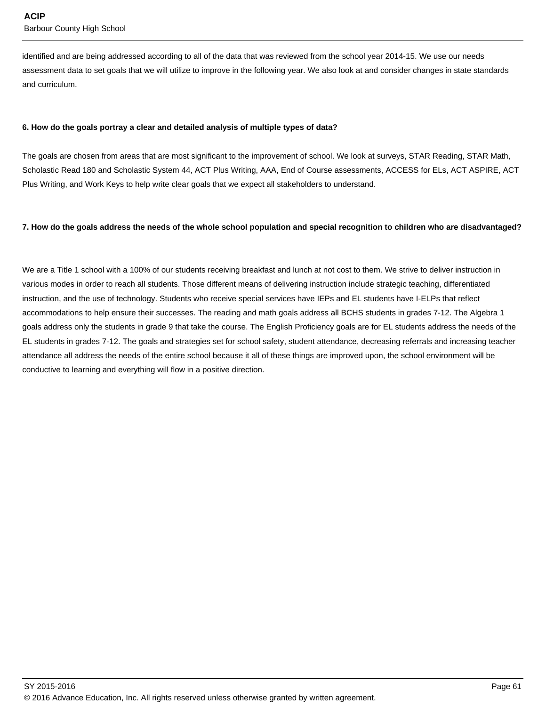identified and are being addressed according to all of the data that was reviewed from the school year 2014-15. We use our needs assessment data to set goals that we will utilize to improve in the following year. We also look at and consider changes in state standards and curriculum.

#### **6. How do the goals portray a clear and detailed analysis of multiple types of data?**

The goals are chosen from areas that are most significant to the improvement of school. We look at surveys, STAR Reading, STAR Math, Scholastic Read 180 and Scholastic System 44, ACT Plus Writing, AAA, End of Course assessments, ACCESS for ELs, ACT ASPIRE, ACT Plus Writing, and Work Keys to help write clear goals that we expect all stakeholders to understand.

#### **7. How do the goals address the needs of the whole school population and special recognition to children who are disadvantaged?**

We are a Title 1 school with a 100% of our students receiving breakfast and lunch at not cost to them. We strive to deliver instruction in various modes in order to reach all students. Those different means of delivering instruction include strategic teaching, differentiated instruction, and the use of technology. Students who receive special services have IEPs and EL students have I-ELPs that reflect accommodations to help ensure their successes. The reading and math goals address all BCHS students in grades 7-12. The Algebra 1 goals address only the students in grade 9 that take the course. The English Proficiency goals are for EL students address the needs of the EL students in grades 7-12. The goals and strategies set for school safety, student attendance, decreasing referrals and increasing teacher attendance all address the needs of the entire school because it all of these things are improved upon, the school environment will be conductive to learning and everything will flow in a positive direction.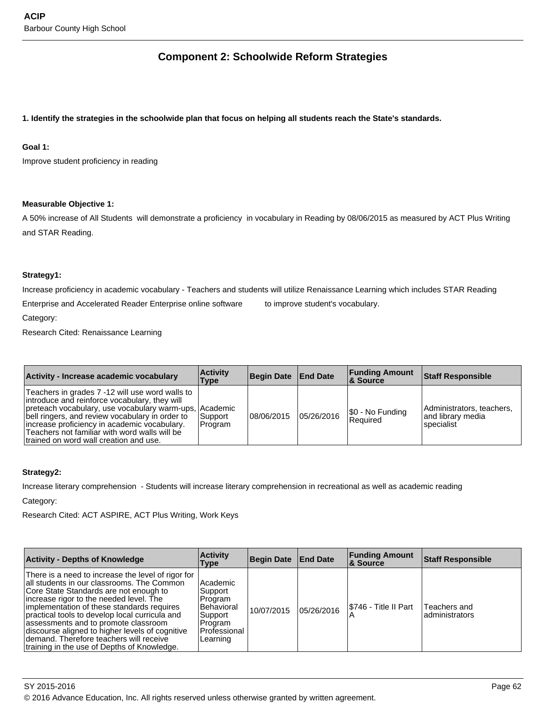### **Component 2: Schoolwide Reform Strategies**

#### **1. Identify the strategies in the schoolwide plan that focus on helping all students reach the State's standards.**

#### **Goal 1:**

Improve student proficiency in reading

#### **Measurable Objective 1:**

A 50% increase of All Students will demonstrate a proficiency in vocabulary in Reading by 08/06/2015 as measured by ACT Plus Writing and STAR Reading.

#### **Strategy1:**

Increase proficiency in academic vocabulary - Teachers and students will utilize Renaissance Learning which includes STAR Reading

Enterprise and Accelerated Reader Enterprise online software to improve student's vocabulary.

Category:

Research Cited: Renaissance Learning

| Activity - Increase academic vocabulary                                                                                                                                                                                                                                                                                                                    | <b>Activity</b><br>Type | Begin Date   End Date |            | <b>Funding Amount</b><br><b>8 Source</b> | <b>Staff Responsible</b>                                      |
|------------------------------------------------------------------------------------------------------------------------------------------------------------------------------------------------------------------------------------------------------------------------------------------------------------------------------------------------------------|-------------------------|-----------------------|------------|------------------------------------------|---------------------------------------------------------------|
| Teachers in grades 7 -12 will use word walls to<br>introduce and reinforce vocabulary, they will<br>preteach vocabulary, use vocabulary warm-ups, Academic<br>bell ringers, and review vocabulary in order to<br>lincrease proficiency in academic vocabulary.<br>Teachers not familiar with word walls will be<br>Itrained on word wall creation and use. | Support<br>Program      | 08/06/2015            | 05/26/2016 | \$0 - No Funding<br>l Reauired           | Administrators, teachers,<br>land librarv media<br>specialist |

#### **Strategy2:**

Increase literary comprehension - Students will increase literary comprehension in recreational as well as academic reading

Category:

Research Cited: ACT ASPIRE, ACT Plus Writing, Work Keys

| <b>Activity - Depths of Knowledge</b>                                                                                                                                                                                                                                                                                                                                                                                                                                      | <b>Activity</b><br>Type                                                                        | Begin Date | <b>End Date</b> | <b>Funding Amount</b><br>∣& Source | <b>Staff Responsible</b>       |
|----------------------------------------------------------------------------------------------------------------------------------------------------------------------------------------------------------------------------------------------------------------------------------------------------------------------------------------------------------------------------------------------------------------------------------------------------------------------------|------------------------------------------------------------------------------------------------|------------|-----------------|------------------------------------|--------------------------------|
| There is a need to increase the level of rigor for<br>all students in our classrooms. The Common<br>Core State Standards are not enough to<br>increase rigor to the needed level. The<br>implementation of these standards requires<br>practical tools to develop local curricula and<br>assessments and to promote classroom<br>discourse aligned to higher levels of cognitive<br>demand. Therefore teachers will receive<br>training in the use of Depths of Knowledge. | Academic<br>Support<br>Program<br>Behavioral<br>Support<br>Program<br>Professional<br>Learning | 10/07/2015 | 05/26/2016      | I\$746 - Title II Part             | Teachers and<br>administrators |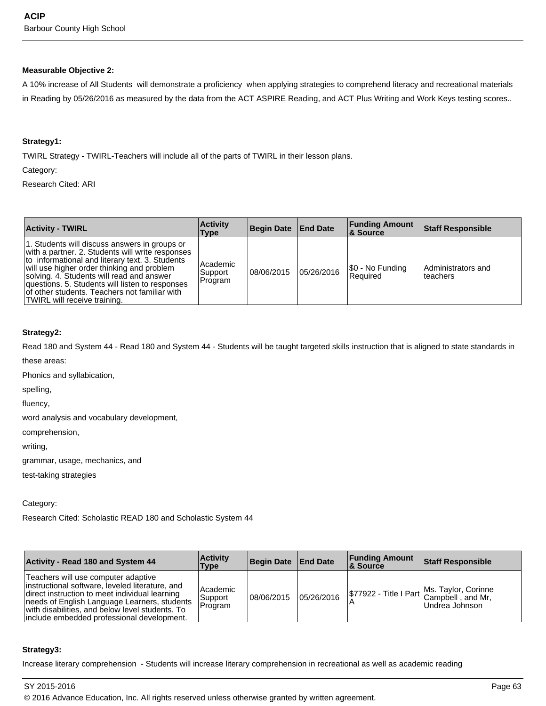#### **Measurable Objective 2:**

A 10% increase of All Students will demonstrate a proficiency when applying strategies to comprehend literacy and recreational materials in Reading by 05/26/2016 as measured by the data from the ACT ASPIRE Reading, and ACT Plus Writing and Work Keys testing scores..

#### **Strategy1:**

TWIRL Strategy - TWIRL-Teachers will include all of the parts of TWIRL in their lesson plans.

Category:

Research Cited: ARI

| <b>Activity - TWIRL</b>                                                                                                                                                                                                                                                                                                                                                             | <b>Activity</b><br>Type        | Begin Date   End Date |            | <b>Funding Amount</b><br>∣& Source  | <b>Staff Responsible</b>       |
|-------------------------------------------------------------------------------------------------------------------------------------------------------------------------------------------------------------------------------------------------------------------------------------------------------------------------------------------------------------------------------------|--------------------------------|-----------------------|------------|-------------------------------------|--------------------------------|
| 1. Students will discuss answers in groups or<br>with a partner. 2. Students will write responses<br>to informational and literary text. 3. Students<br>will use higher order thinking and problem<br>solving. 4. Students will read and answer<br>questions. 5. Students will listen to responses<br>of other students. Teachers not familiar with<br>TWIRL will receive training. | Academic<br>Support<br>Program | 108/06/2015           | 05/26/2016 | \$0 - No Funding<br><b>Required</b> | Administrators and<br>teachers |

#### **Strategy2:**

Read 180 and System 44 - Read 180 and System 44 - Students will be taught targeted skills instruction that is aligned to state standards in

these areas:

Phonics and syllabication,

spelling,

fluency,

word analysis and vocabulary development,

comprehension,

writing,

grammar, usage, mechanics, and

test-taking strategies

#### Category:

Research Cited: Scholastic READ 180 and Scholastic System 44

| <b>Activity - Read 180 and System 44</b>                                                                                                                                                                                                                                                   | <b>Activity</b><br>Type          | Begin Date End Date |            | <b>Funding Amount</b><br>8. Source | <b>Staff Responsible</b>                                                          |
|--------------------------------------------------------------------------------------------------------------------------------------------------------------------------------------------------------------------------------------------------------------------------------------------|----------------------------------|---------------------|------------|------------------------------------|-----------------------------------------------------------------------------------|
| Teachers will use computer adaptive<br>instructional software, leveled literature, and<br>direct instruction to meet individual learning<br>needs of English Language Learners, students<br>with disabilities, and below level students. To<br>linclude embedded professional development. | l Academic<br>Support<br>Program | 08/06/2015          | 05/26/2016 |                                    | \$77922 - Title I Part Ms. Taylor, Corinne<br>Campbell, and Mr,<br>Undrea Johnson |

#### **Strategy3:**

Increase literary comprehension - Students will increase literary comprehension in recreational as well as academic reading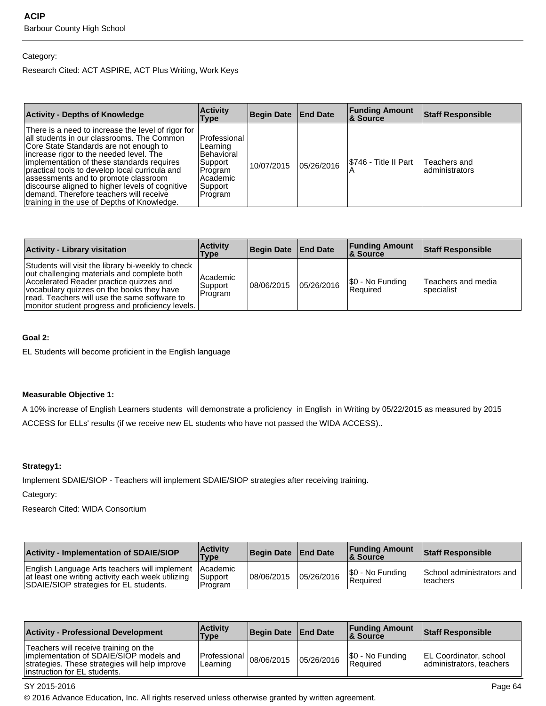#### Category:

Research Cited: ACT ASPIRE, ACT Plus Writing, Work Keys

| <b>Activity - Depths of Knowledge</b>                                                                                                                                                                                                                                                                                                                                                                                                                                       | <b>Activity</b><br>Type                                                                               | <b>Begin Date End Date</b> |            | <b>Funding Amount</b><br>8 Source | <b>Staff Responsible</b>       |
|-----------------------------------------------------------------------------------------------------------------------------------------------------------------------------------------------------------------------------------------------------------------------------------------------------------------------------------------------------------------------------------------------------------------------------------------------------------------------------|-------------------------------------------------------------------------------------------------------|----------------------------|------------|-----------------------------------|--------------------------------|
| There is a need to increase the level of rigor for<br>all students in our classrooms. The Common<br>Core State Standards are not enough to<br>increase rigor to the needed level. The<br>implementation of these standards requires<br>practical tools to develop local curricula and<br>assessments and to promote classroom<br>discourse aligned to higher levels of cognitive<br>demand. Therefore teachers will receive<br>Itraining in the use of Depths of Knowledge. | Professional<br>Learning<br><b>Behavioral</b><br>Support<br>Program<br>Academic<br>Support<br>Program | 10/07/2015                 | 05/26/2016 | I\$746 - Title II Part            | Teachers and<br>administrators |

| <b>Activity - Library visitation</b>                                                                                                                                                                                                                                                          | <b>Activity</b><br>Type        | Begin Date End Date |            | <b>Funding Amount</b><br>8. Source  | Staff Responsible                |
|-----------------------------------------------------------------------------------------------------------------------------------------------------------------------------------------------------------------------------------------------------------------------------------------------|--------------------------------|---------------------|------------|-------------------------------------|----------------------------------|
| Students will visit the library bi-weekly to check<br>out challenging materials and complete both<br>Accelerated Reader practice guizzes and<br>vocabulary quizzes on the books they have<br>read. Teachers will use the same software to<br>monitor student progress and proficiency levels. | Academic<br>Support<br>Program | 108/06/2015         | 05/26/2016 | \$0 - No Funding<br><b>Required</b> | Teachers and media<br>specialist |

#### **Goal 2:**

EL Students will become proficient in the English language

#### **Measurable Objective 1:**

A 10% increase of English Learners students will demonstrate a proficiency in English in Writing by 05/22/2015 as measured by 2015 ACCESS for ELLs' results (if we receive new EL students who have not passed the WIDA ACCESS)..

#### **Strategy1:**

Implement SDAIE/SIOP - Teachers will implement SDAIE/SIOP strategies after receiving training.

Category:

Research Cited: WIDA Consortium

| <b>Activity - Implementation of SDAIE/SIOP</b>                                                                                                        | <b>Activity</b><br>Type     | Begin Date   End Date |            | <b>Funding Amount</b><br><b>8 Source</b> | <b>Staff Responsible</b>               |
|-------------------------------------------------------------------------------------------------------------------------------------------------------|-----------------------------|-----------------------|------------|------------------------------------------|----------------------------------------|
| English Language Arts teachers will implement Academic<br>at least one writing activity each week utilizing<br>SDAIE/SIOP strategies for EL students. | <b>Support</b><br>l Program | 08/06/2015            | 05/26/2016 | S0 - No Funding<br>l Reauired            | School administrators and<br>'teachers |

| <b>Activity - Professional Development</b>                                                                                                                          | <b>Activity</b><br>Type                 | Begin Date   End Date |            | <b>Funding Amount</b><br><b>8. Source</b> | <b>Staff Responsible</b>                                  |
|---------------------------------------------------------------------------------------------------------------------------------------------------------------------|-----------------------------------------|-----------------------|------------|-------------------------------------------|-----------------------------------------------------------|
| Teachers will receive training on the<br>implementation of SDAIE/SIOP models and<br>strategies. These strategies will help improve<br>linstruction for EL students. | Professional $ 08/06/2015 $<br>Learning |                       | 05/26/2016 | \$0 - No Funding<br>l Reauired            | <b>EL Coordinator, school</b><br>administrators, teachers |

#### SY 2015-2016 Page 64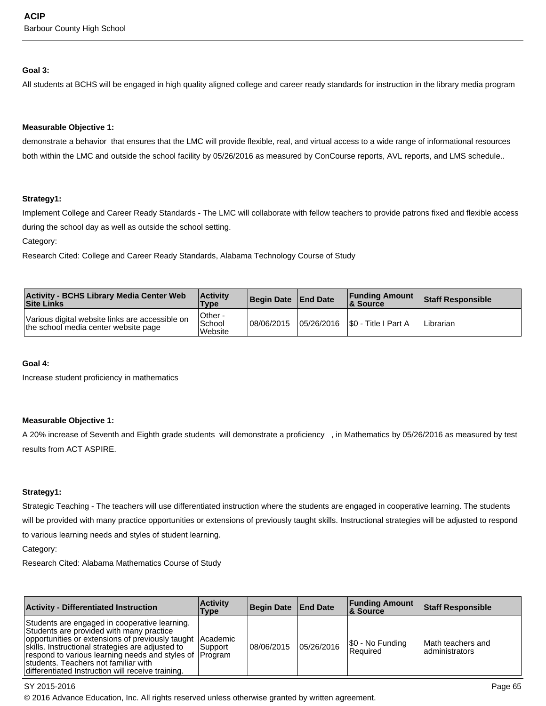#### **Goal 3:**

All students at BCHS will be engaged in high quality aligned college and career ready standards for instruction in the library media program

#### **Measurable Objective 1:**

demonstrate a behavior that ensures that the LMC will provide flexible, real, and virtual access to a wide range of informational resources both within the LMC and outside the school facility by 05/26/2016 as measured by ConCourse reports, AVL reports, and LMS schedule..

#### **Strategy1:**

Implement College and Career Ready Standards - The LMC will collaborate with fellow teachers to provide patrons fixed and flexible access during the school day as well as outside the school setting.

Category:

Research Cited: College and Career Ready Standards, Alabama Technology Course of Study

| <b>Activity - BCHS Library Media Center Web</b><br><b>Site Links</b>                    | <b>Activity</b><br><b>Type</b> | Begin Date End Date | <b>Funding Amount</b><br>8. Source | <b>Staff Responsible</b> |
|-----------------------------------------------------------------------------------------|--------------------------------|---------------------|------------------------------------|--------------------------|
| Various digital website links are accessible on<br>the school media center website page | Other -<br>School<br>Website   | 08/06/2015          | 105/26/2016 S0 - Title I Part A    | Librarian                |

#### **Goal 4:**

Increase student proficiency in mathematics

#### **Measurable Objective 1:**

A 20% increase of Seventh and Eighth grade students will demonstrate a proficiency , in Mathematics by 05/26/2016 as measured by test results from ACT ASPIRE.

#### **Strategy1:**

Strategic Teaching - The teachers will use differentiated instruction where the students are engaged in cooperative learning. The students will be provided with many practice opportunities or extensions of previously taught skills. Instructional strategies will be adjusted to respond to various learning needs and styles of student learning.

Category:

Research Cited: Alabama Mathematics Course of Study

| <b>Activity - Differentiated Instruction</b>                                                                                                                                                                                                                                                                                                                        | <b>Activity</b><br>Type | Begin Date End Date |            | <b>Funding Amount</b><br><b>8 Source</b> | <b>Staff Responsible</b>              |
|---------------------------------------------------------------------------------------------------------------------------------------------------------------------------------------------------------------------------------------------------------------------------------------------------------------------------------------------------------------------|-------------------------|---------------------|------------|------------------------------------------|---------------------------------------|
| Students are engaged in cooperative learning.<br>Students are provided with many practice<br>opportunities or extensions of previously taught Academic<br>skills. Instructional strategies are adjusted to<br>respond to various learning needs and styles of  Program<br>students. Teachers not familiar with<br>differentiated Instruction will receive training. | l Support               | 108/06/2015         | 05/26/2016 | \$0 - No Funding<br>Required             | lMath teachers and<br>ladministrators |

#### SY 2015-2016 Page 65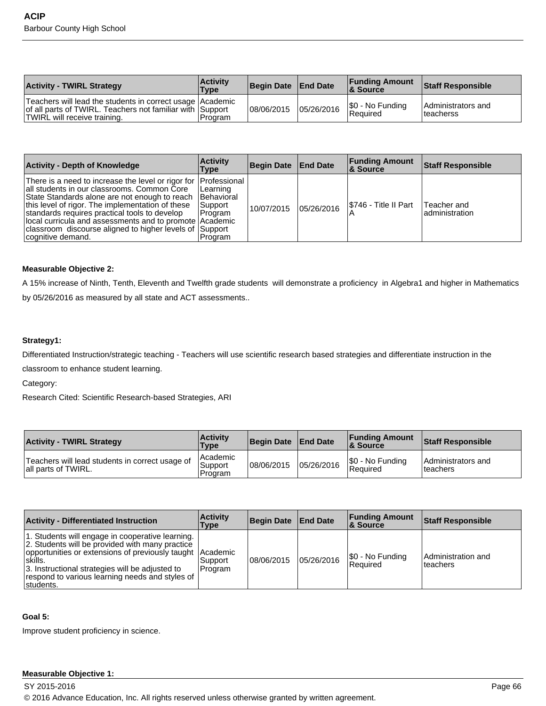| <b>Activity - TWIRL Strategy</b>                                                                                                                         | <b>Activity</b><br><b>Type</b> | Begin Date   End Date | <b>Funding Amount</b><br><b>&amp; Source</b> | <b>Staff Responsible</b>         |
|----------------------------------------------------------------------------------------------------------------------------------------------------------|--------------------------------|-----------------------|----------------------------------------------|----------------------------------|
| Teachers will lead the students in correct usage   Academic<br>of all parts of TWIRL. Teachers not familiar with Support<br>TWIRL will receive training. | Program                        | 08/06/2015 05/26/2016 | \$0 - No Funding<br>Required                 | Administrators and<br>lteacherss |

| <b>Activity - Depth of Knowledge</b>                                                                                                                                                                                                                                                                                                                                                                            | <b>Activity</b><br>Type                                           | Begin Date End Date |            | <b>Funding Amount</b><br>∣& Source | <b>Staff Responsible</b>       |
|-----------------------------------------------------------------------------------------------------------------------------------------------------------------------------------------------------------------------------------------------------------------------------------------------------------------------------------------------------------------------------------------------------------------|-------------------------------------------------------------------|---------------------|------------|------------------------------------|--------------------------------|
| There is a need to increase the level or rigor for Professional<br>all students in our classrooms. Common Core<br>State Standards alone are not enough to reach<br>this level of rigor. The implementation of these<br>standards requires practical tools to develop<br>local curricula and assessments and to promote Academic<br>classroom discourse aligned to higher levels of Support<br>cognitive demand. | Learning<br><b>IBehavioral</b><br>Support<br>I Program<br>Program | 10/07/2015          | 05/26/2016 | S746 - Title II Part               | Teacher and<br>ladministration |

#### **Measurable Objective 2:**

A 15% increase of Ninth, Tenth, Eleventh and Twelfth grade students will demonstrate a proficiency in Algebra1 and higher in Mathematics by 05/26/2016 as measured by all state and ACT assessments..

#### **Strategy1:**

Differentiated Instruction/strategic teaching - Teachers will use scientific research based strategies and differentiate instruction in the

classroom to enhance student learning.

Category:

Research Cited: Scientific Research-based Strategies, ARI

| <b>Activity - TWIRL Strategy</b>                                       | <b>Activity</b><br><b>Type</b>   | Begin Date End Date |            | <b>Funding Amount</b><br><b>&amp; Source</b> | <b>Staff Responsible</b>        |
|------------------------------------------------------------------------|----------------------------------|---------------------|------------|----------------------------------------------|---------------------------------|
| Teachers will lead students in correct usage of<br>all parts of TWIRL. | l Academic<br>Support<br>Program | 08/06/2015          | 05/26/2016 | \$0 - No Funding<br>Required                 | Administrators and<br>Iteachers |

| <b>Activity - Differentiated Instruction</b>                                                                                                                                                                                                                                                     | <b>Activity</b><br>Type | <b>Begin Date</b> | <b>End Date</b> | <b>Funding Amount</b><br><b>8 Source</b> | <b>Staff Responsible</b>        |
|--------------------------------------------------------------------------------------------------------------------------------------------------------------------------------------------------------------------------------------------------------------------------------------------------|-------------------------|-------------------|-----------------|------------------------------------------|---------------------------------|
| 1. Students will engage in cooperative learning.<br>2. Students will be provided with many practice<br>opportunities or extensions of previously taught Academic<br>Iskills.<br>3. Instructional strategies will be adjusted to<br>respond to various learning needs and styles of<br>Istudents. | l Support<br>Program    | 108/06/2015       | 05/26/2016      | \$0 - No Funding<br><b>Required</b>      | Administration and<br>lteachers |

#### **Goal 5:**

Improve student proficiency in science.

#### **Measurable Objective 1:**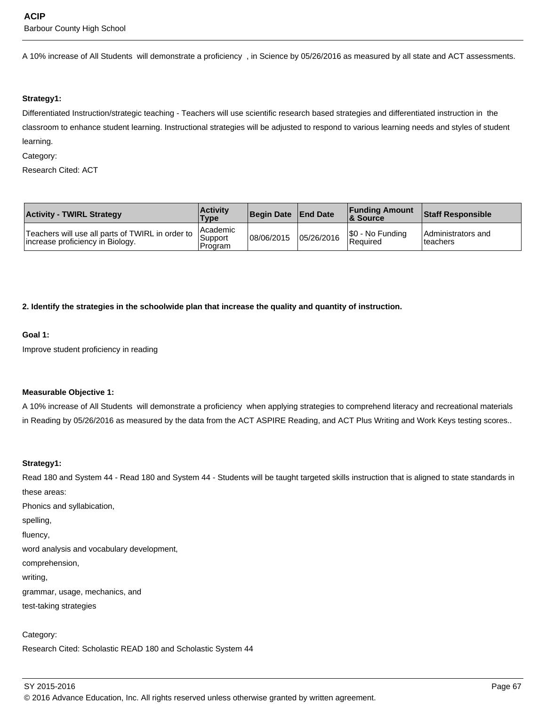A 10% increase of All Students will demonstrate a proficiency , in Science by 05/26/2016 as measured by all state and ACT assessments.

#### **Strategy1:**

Differentiated Instruction/strategic teaching - Teachers will use scientific research based strategies and differentiated instruction in the classroom to enhance student learning. Instructional strategies will be adjusted to respond to various learning needs and styles of student learning.

#### Category:

Research Cited: ACT

| <b>Activity - TWIRL Strategy</b>                                                     | <b>Activity</b><br><b>Type</b> | Begin Date   End Date |            | <b>Funding Amount</b><br>& Source | <b>Staff Responsible</b>        |
|--------------------------------------------------------------------------------------|--------------------------------|-----------------------|------------|-----------------------------------|---------------------------------|
| Teachers will use all parts of TWIRL in order to<br>Increase proficiency in Biology. | Academic<br>Support<br>Program | 08/06/2015            | 05/26/2016 | \$0 - No Funding<br>Required      | Administrators and<br>lteachers |

**2. Identify the strategies in the schoolwide plan that increase the quality and quantity of instruction.**

#### **Goal 1:**

Improve student proficiency in reading

#### **Measurable Objective 1:**

A 10% increase of All Students will demonstrate a proficiency when applying strategies to comprehend literacy and recreational materials in Reading by 05/26/2016 as measured by the data from the ACT ASPIRE Reading, and ACT Plus Writing and Work Keys testing scores..

#### **Strategy1:**

Read 180 and System 44 - Read 180 and System 44 - Students will be taught targeted skills instruction that is aligned to state standards in these areas:

Phonics and syllabication,

spelling,

fluency,

word analysis and vocabulary development,

comprehension,

writing,

grammar, usage, mechanics, and

test-taking strategies

Category:

Research Cited: Scholastic READ 180 and Scholastic System 44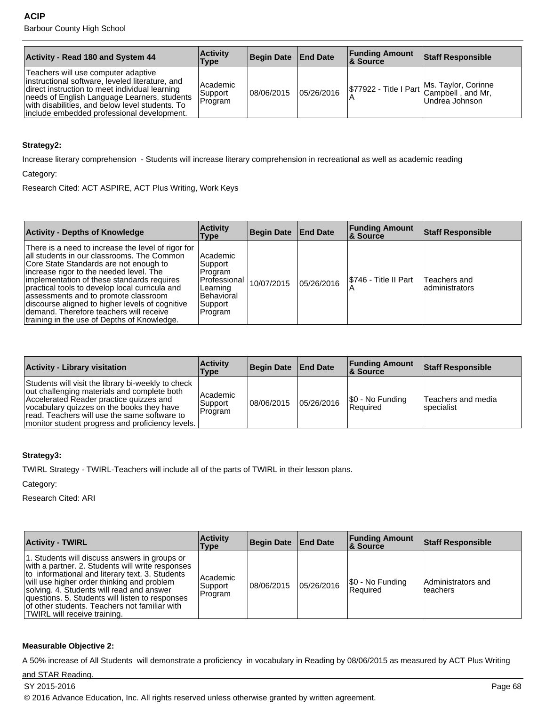| <b>Activity - Read 180 and System 44</b>                                                                                                                                                                                                                                                   | <b>Activity</b><br>Type        | Begin Date   End Date |            | <b>Funding Amount</b><br>8. Source | Staff Responsible                                                                 |
|--------------------------------------------------------------------------------------------------------------------------------------------------------------------------------------------------------------------------------------------------------------------------------------------|--------------------------------|-----------------------|------------|------------------------------------|-----------------------------------------------------------------------------------|
| Teachers will use computer adaptive<br>instructional software, leveled literature, and<br>direct instruction to meet individual learning<br>needs of English Language Learners, students<br>with disabilities, and below level students. To<br>linclude embedded professional development. | Academic<br>Support<br>Program | 108/06/2015           | 05/26/2016 |                                    | \$77922 - Title I Part Ms. Taylor, Corinne<br>Campbell, and Mr,<br>Undrea Johnson |

## **Strategy2:**

Increase literary comprehension - Students will increase literary comprehension in recreational as well as academic reading

Category:

Research Cited: ACT ASPIRE, ACT Plus Writing, Work Keys

| <b>Activity - Depths of Knowledge</b>                                                                                                                                                                                                                                                                                                                                                                                                                                      | <b>Activity</b><br>Type                                                                        | Begin Date   End Date |            | <b>Funding Amount</b><br><b>8 Source</b> | <b>Staff Responsible</b>       |
|----------------------------------------------------------------------------------------------------------------------------------------------------------------------------------------------------------------------------------------------------------------------------------------------------------------------------------------------------------------------------------------------------------------------------------------------------------------------------|------------------------------------------------------------------------------------------------|-----------------------|------------|------------------------------------------|--------------------------------|
| There is a need to increase the level of rigor for<br>all students in our classrooms. The Common<br>Core State Standards are not enough to<br>increase rigor to the needed level. The<br>implementation of these standards requires<br>practical tools to develop local curricula and<br>assessments and to promote classroom<br>discourse aligned to higher levels of cognitive<br>demand. Therefore teachers will receive<br>training in the use of Depths of Knowledge. | Academic<br>Support<br>Program<br>Professional<br>Learning<br>Behavioral<br>Support<br>Program | 10/07/2015            | 05/26/2016 | I\$746 - Title II Part                   | Teachers and<br>administrators |

| <b>Activity - Library visitation</b>                                                                                                                                                                                                                                                          | <b>Activity</b><br>Type        | Begin Date End Date |            | <b>Funding Amount</b><br>∣& Source  | <b>Staff Responsible</b>         |
|-----------------------------------------------------------------------------------------------------------------------------------------------------------------------------------------------------------------------------------------------------------------------------------------------|--------------------------------|---------------------|------------|-------------------------------------|----------------------------------|
| Students will visit the library bi-weekly to check<br>out challenging materials and complete both<br>Accelerated Reader practice quizzes and<br>vocabulary quizzes on the books they have<br>read. Teachers will use the same software to<br>monitor student progress and proficiency levels. | Academic<br>Support<br>Program | 108/06/2015         | 05/26/2016 | \$0 - No Funding<br><b>Required</b> | Teachers and media<br>specialist |

## **Strategy3:**

TWIRL Strategy - TWIRL-Teachers will include all of the parts of TWIRL in their lesson plans.

Category:

Research Cited: ARI

| <b>Activity - TWIRL</b>                                                                                                                                                                                                                                                                                                                                                             | <b>Activity</b><br>Type        | Begin Date End Date |            | <b>Funding Amount</b><br>8. Source | <b>Staff Responsible</b>       |
|-------------------------------------------------------------------------------------------------------------------------------------------------------------------------------------------------------------------------------------------------------------------------------------------------------------------------------------------------------------------------------------|--------------------------------|---------------------|------------|------------------------------------|--------------------------------|
| 1. Students will discuss answers in groups or<br>with a partner. 2. Students will write responses<br>to informational and literary text. 3. Students<br>will use higher order thinking and problem<br>solving. 4. Students will read and answer<br>questions. 5. Students will listen to responses<br>of other students. Teachers not familiar with<br>TWIRL will receive training. | Academic<br>Support<br>Program | 08/06/2015          | 05/26/2016 | \$0 - No Funding<br>l Reauired     | Administrators and<br>teachers |

#### **Measurable Objective 2:**

A 50% increase of All Students will demonstrate a proficiency in vocabulary in Reading by 08/06/2015 as measured by ACT Plus Writing

and STAR Reading.

SY 2015-2016 Page 68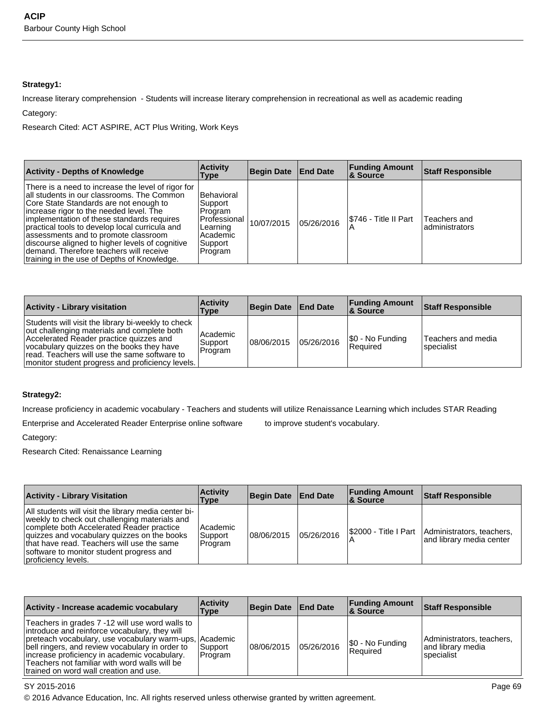## **Strategy1:**

Increase literary comprehension - Students will increase literary comprehension in recreational as well as academic reading Category:

Research Cited: ACT ASPIRE, ACT Plus Writing, Work Keys

| <b>Activity - Depths of Knowledge</b>                                                                                                                                                                                                                                                                                                                                                                                                                                      | <b>Activity</b><br>Type                                                                           | Begin Date   End Date |            | <b>Funding Amount</b><br><b>8 Source</b> | <b>Staff Responsible</b>       |
|----------------------------------------------------------------------------------------------------------------------------------------------------------------------------------------------------------------------------------------------------------------------------------------------------------------------------------------------------------------------------------------------------------------------------------------------------------------------------|---------------------------------------------------------------------------------------------------|-----------------------|------------|------------------------------------------|--------------------------------|
| There is a need to increase the level of rigor for<br>all students in our classrooms. The Common<br>Core State Standards are not enough to<br>increase rigor to the needed level. The<br>implementation of these standards requires<br>practical tools to develop local curricula and<br>assessments and to promote classroom<br>discourse aligned to higher levels of cognitive<br>demand. Therefore teachers will receive<br>training in the use of Depths of Knowledge. | l Behavioral<br>Support<br>⊦Program<br>Professional<br>Learning<br>Academic<br>Support<br>Program | 10/07/2015            | 05/26/2016 | I\$746 - Title II Part                   | Teachers and<br>administrators |

| <b>Activity - Library visitation</b>                                                                                                                                                                                                                                                          | <b>Activity</b><br>Type          | Begin Date   End Date |            | <b>Funding Amount</b><br>∣& Source | Staff Responsible                |
|-----------------------------------------------------------------------------------------------------------------------------------------------------------------------------------------------------------------------------------------------------------------------------------------------|----------------------------------|-----------------------|------------|------------------------------------|----------------------------------|
| Students will visit the library bi-weekly to check<br>out challenging materials and complete both<br>Accelerated Reader practice quizzes and<br>vocabulary quizzes on the books they have<br>read. Teachers will use the same software to<br>monitor student progress and proficiency levels. | l Academic<br>Support<br>Program | 08/06/2015            | 05/26/2016 | \$0 - No Funding<br>Required       | Teachers and media<br>specialist |

## **Strategy2:**

Increase proficiency in academic vocabulary - Teachers and students will utilize Renaissance Learning which includes STAR Reading

Enterprise and Accelerated Reader Enterprise online software to improve student's vocabulary.

Category:

Research Cited: Renaissance Learning

| <b>Activity - Library Visitation</b>                                                                                                                                                                                                                                                                               | <b>Activity</b><br><b>Type</b> | Begin Date End Date |            | <b>Funding Amount</b><br>8. Source | <b>Staff Responsible</b>                                                     |
|--------------------------------------------------------------------------------------------------------------------------------------------------------------------------------------------------------------------------------------------------------------------------------------------------------------------|--------------------------------|---------------------|------------|------------------------------------|------------------------------------------------------------------------------|
| All students will visit the library media center bi-<br>weekly to check out challenging materials and<br>complete both Accelerated Reader practice<br>quizzes and vocabulary quizzes on the books<br>that have read. Teachers will use the same<br>software to monitor student progress and<br>proficiency levels. | Academic<br>Support<br>Program | 08/06/2015          | 05/26/2016 |                                    | S2000 - Title I Part   Administrators, teachers,<br>and library media center |

| Activity - Increase academic vocabulary                                                                                                                                                                                                                                                                                                                  | <b>Activity</b><br>Type | Begin Date   End Date |            | <b>Funding Amount</b><br><b>&amp; Source</b> | <b>Staff Responsible</b>                                      |
|----------------------------------------------------------------------------------------------------------------------------------------------------------------------------------------------------------------------------------------------------------------------------------------------------------------------------------------------------------|-------------------------|-----------------------|------------|----------------------------------------------|---------------------------------------------------------------|
| Teachers in grades 7 -12 will use word walls to<br>introduce and reinforce vocabulary, they will<br>preteach vocabulary, use vocabulary warm-ups, Academic<br>bell ringers, and review vocabulary in order to<br>increase proficiency in academic vocabulary.<br>Teachers not familiar with word walls will be<br>trained on word wall creation and use. | Support<br>Program      | 08/06/2015            | 05/26/2016 | \$0 - No Funding<br>l Reauired               | Administrators, teachers,<br>and library media<br>lspecialist |

## SY 2015-2016 Page 69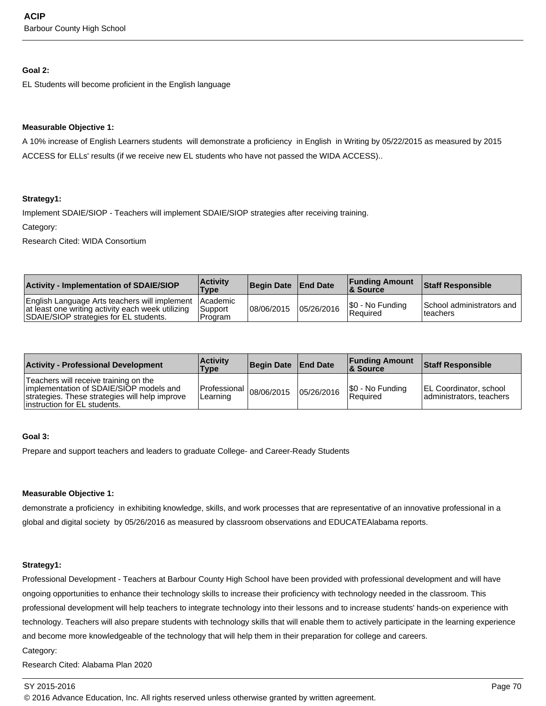#### **Goal 2:**

EL Students will become proficient in the English language

#### **Measurable Objective 1:**

A 10% increase of English Learners students will demonstrate a proficiency in English in Writing by 05/22/2015 as measured by 2015 ACCESS for ELLs' results (if we receive new EL students who have not passed the WIDA ACCESS)..

#### **Strategy1:**

Implement SDAIE/SIOP - Teachers will implement SDAIE/SIOP strategies after receiving training.

Category:

Research Cited: WIDA Consortium

| <b>Activity - Implementation of SDAIE/SIOP</b>                                                                                                        | <b>Activity</b><br>Type     | Begin Date   End Date |            | <b>Funding Amount</b><br><b>&amp; Source</b> | <b>Staff Responsible</b>                           |
|-------------------------------------------------------------------------------------------------------------------------------------------------------|-----------------------------|-----------------------|------------|----------------------------------------------|----------------------------------------------------|
| English Language Arts teachers will implement Academic<br>at least one writing activity each week utilizing<br>SDAIE/SIOP strategies for EL students. | <b>Support</b><br>I Program | 108/06/2015           | 05/26/2016 | S0 - No Funding<br>l Reauired                | School administrators and<br><sup>1</sup> teachers |

| <b>Activity - Professional Development</b>                                                                                                                          | <b>Activity</b><br><b>Type</b>          | Begin Date   End Date |            | <b>Funding Amount</b><br><b>8 Source</b> | <b>Staff Responsible</b>                                  |
|---------------------------------------------------------------------------------------------------------------------------------------------------------------------|-----------------------------------------|-----------------------|------------|------------------------------------------|-----------------------------------------------------------|
| Teachers will receive training on the<br>implementation of SDAIE/SIOP models and<br>strategies. These strategies will help improve<br>linstruction for EL students. | Professional $ 08/06/2015 $<br>Learning |                       | 05/26/2016 | S0 - No Funding<br><b>Required</b>       | <b>EL Coordinator, school</b><br>administrators, teachers |

## **Goal 3:**

Prepare and support teachers and leaders to graduate College- and Career-Ready Students

#### **Measurable Objective 1:**

demonstrate a proficiency in exhibiting knowledge, skills, and work processes that are representative of an innovative professional in a global and digital society by 05/26/2016 as measured by classroom observations and EDUCATEAlabama reports.

#### **Strategy1:**

Professional Development - Teachers at Barbour County High School have been provided with professional development and will have ongoing opportunities to enhance their technology skills to increase their proficiency with technology needed in the classroom. This professional development will help teachers to integrate technology into their lessons and to increase students' hands-on experience with technology. Teachers will also prepare students with technology skills that will enable them to actively participate in the learning experience and become more knowledgeable of the technology that will help them in their preparation for college and careers.

Research Cited: Alabama Plan 2020

#### SY 2015-2016 Page 70

Category: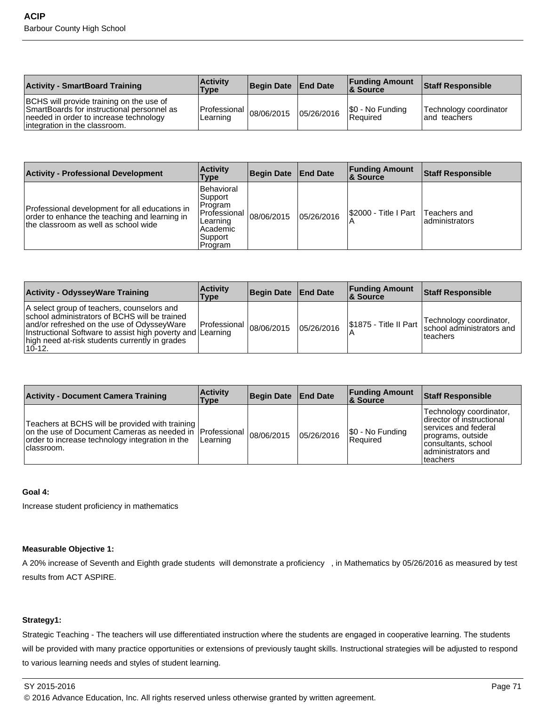| <b>Activity - SmartBoard Training</b>                                                                                                                             | <b>Activity</b><br>Type                 | Begin Date End Date |            | <b>Funding Amount</b><br>& Source | <b>Staff Responsible</b>                |
|-------------------------------------------------------------------------------------------------------------------------------------------------------------------|-----------------------------------------|---------------------|------------|-----------------------------------|-----------------------------------------|
| BCHS will provide training on the use of<br>SmartBoards for instructional personnel as<br>needed in order to increase technology<br>integration in the classroom. | Professional $ 08/06/2015 $<br>Learning |                     | 05/26/2016 | \$0 - No Funding<br>Required      | Technology coordinator<br>land teachers |

| Activity - Professional Development                                                                                                     | <b>Activity</b><br>Type                                                                              | <b>Begin Date</b> | <b>End Date</b> | <b>Funding Amount</b><br>8 Source | <b>Staff Responsible</b>        |
|-----------------------------------------------------------------------------------------------------------------------------------------|------------------------------------------------------------------------------------------------------|-------------------|-----------------|-----------------------------------|---------------------------------|
| Professional development for all educations in<br>order to enhance the teaching and learning in<br>the classroom as well as school wide | Behavioral<br> Support <br>IProgram<br> Professional '<br>Learning<br>Academic<br>Support<br>Program | 08/06/2015        | 05/26/2016      | S2000 - Title I Part              | Teachers and<br>ladministrators |

| <b>Activity - OdysseyWare Training</b>                                                                                                                                                                                                                                | <b>Activity</b><br>Type | Begin Date   End Date |            | <b>Funding Amount</b><br>∣& Source | <b>Staff Responsible</b>                                         |
|-----------------------------------------------------------------------------------------------------------------------------------------------------------------------------------------------------------------------------------------------------------------------|-------------------------|-----------------------|------------|------------------------------------|------------------------------------------------------------------|
| A select group of teachers, counselors and<br>school administrators of BCHS will be trained<br>and/or refreshed on the use of OdysseyWare<br>Instructional Software to assist high poverty and Learning<br>high need at-risk students currently in grades<br>$10-12.$ | l Professional I        | 08/06/2015            | 05/26/2016 | I\$1875 - Title II Part            | Technology coordinator,<br>school administrators and<br>teachers |

| <b>Activity - Document Camera Training</b>                                                                                                                                      | <b>Activity</b><br>Type | Begin Date   End Date |            | <b>Funding Amount</b><br>∣& Source | <b>Staff Responsible</b>                                                                                                                                       |
|---------------------------------------------------------------------------------------------------------------------------------------------------------------------------------|-------------------------|-----------------------|------------|------------------------------------|----------------------------------------------------------------------------------------------------------------------------------------------------------------|
| Teachers at BCHS will be provided with training<br>on the use of Document Cameras as needed in Professional  <br>order to increase technology integration in the<br>Iclassroom. | Learning                | 08/06/2015            | 05/26/2016 | \$0 - No Funding<br>Required       | Technology coordinator,<br>Idirector of instructional<br>Iservices and federal<br>programs, outside<br>consultants, school<br>ladministrators and<br>lteachers |

## **Goal 4:**

Increase student proficiency in mathematics

## **Measurable Objective 1:**

A 20% increase of Seventh and Eighth grade students will demonstrate a proficiency , in Mathematics by 05/26/2016 as measured by test results from ACT ASPIRE.

## **Strategy1:**

Strategic Teaching - The teachers will use differentiated instruction where the students are engaged in cooperative learning. The students will be provided with many practice opportunities or extensions of previously taught skills. Instructional strategies will be adjusted to respond to various learning needs and styles of student learning.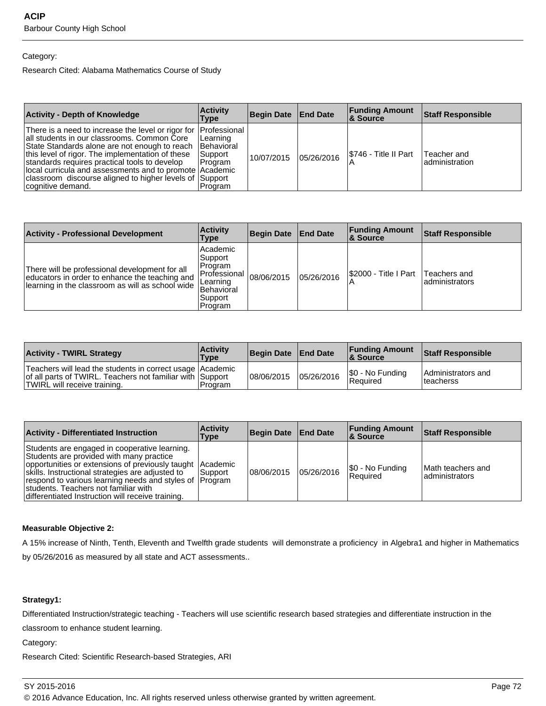## Category:

Research Cited: Alabama Mathematics Course of Study

| <b>Activity - Depth of Knowledge</b>                                                                                                                                                                                                                                                                                                                                                                             | <b>Activity</b><br>Type                                           | Begin Date End Date |            | <b>Funding Amount</b><br>8 Source | <b>Staff Responsible</b>       |
|------------------------------------------------------------------------------------------------------------------------------------------------------------------------------------------------------------------------------------------------------------------------------------------------------------------------------------------------------------------------------------------------------------------|-------------------------------------------------------------------|---------------------|------------|-----------------------------------|--------------------------------|
| There is a need to increase the level or rigor for  Professional<br>all students in our classrooms. Common Core<br>State Standards alone are not enough to reach<br>this level of rigor. The implementation of these<br>standards requires practical tools to develop<br>local curricula and assessments and to promote Academic<br>classroom discourse aligned to higher levels of Support<br>cognitive demand. | Learning<br><b>IBehavioral</b><br>Support<br>l Program<br>Program | 10/07/2015          | 05/26/2016 | I\$746 - Title II Part            | Teacher and<br>ladministration |

| <b>Activity - Professional Development</b>                                                                                                           | <b>Activity</b><br>Type                                                                                        | Begin Date | <b>End Date</b> | <b>Funding Amount</b><br>∣& Source | <b>Staff Responsible</b>        |
|------------------------------------------------------------------------------------------------------------------------------------------------------|----------------------------------------------------------------------------------------------------------------|------------|-----------------|------------------------------------|---------------------------------|
| There will be professional development for all<br>educators in order to enhance the teaching and<br>learning in the classroom as will as school wide | l Academic<br> Support <br>l Program<br><b>IProfessional</b><br>Learning<br>Behavioral<br> Support <br>Program | 08/06/2015 | 05/26/2016      | S2000 - Title I Part               | Teachers and<br>ladministrators |

| <b>Activity - TWIRL Strategy</b>                                                                                                                         | <b>Activity</b><br>'Type | Begin Date   End Date |            | <b>Funding Amount</b><br>8 Source | <b>Staff Responsible</b>                |
|----------------------------------------------------------------------------------------------------------------------------------------------------------|--------------------------|-----------------------|------------|-----------------------------------|-----------------------------------------|
| Teachers will lead the students in correct usage   Academic<br>of all parts of TWIRL. Teachers not familiar with Support<br>TWIRL will receive training. | Program                  | 108/06/2015           | 05/26/2016 | \$0 - No Funding<br>l Reauired    | Administrators and<br><b>Iteacherss</b> |

| <b>Activity - Differentiated Instruction</b>                                                                                                                                                                                                                                                                                                                        | <b>Activity</b><br>Type | Begin Date End Date |            | <b>Funding Amount</b><br>∣& Source | Staff Responsible                     |
|---------------------------------------------------------------------------------------------------------------------------------------------------------------------------------------------------------------------------------------------------------------------------------------------------------------------------------------------------------------------|-------------------------|---------------------|------------|------------------------------------|---------------------------------------|
| Students are engaged in cooperative learning.<br>Students are provided with many practice<br>opportunities or extensions of previously taught Academic<br>skills. Instructional strategies are adjusted to<br>respond to various learning needs and styles of Program<br>Istudents. Teachers not familiar with<br>differentiated Instruction will receive training. | Support                 | 108/06/2015         | 05/26/2016 | S0 - No Funding<br>l Reauired      | lMath teachers and<br>ladministrators |

## **Measurable Objective 2:**

A 15% increase of Ninth, Tenth, Eleventh and Twelfth grade students will demonstrate a proficiency in Algebra1 and higher in Mathematics by 05/26/2016 as measured by all state and ACT assessments..

## **Strategy1:**

Differentiated Instruction/strategic teaching - Teachers will use scientific research based strategies and differentiate instruction in the

classroom to enhance student learning.

Category:

Research Cited: Scientific Research-based Strategies, ARI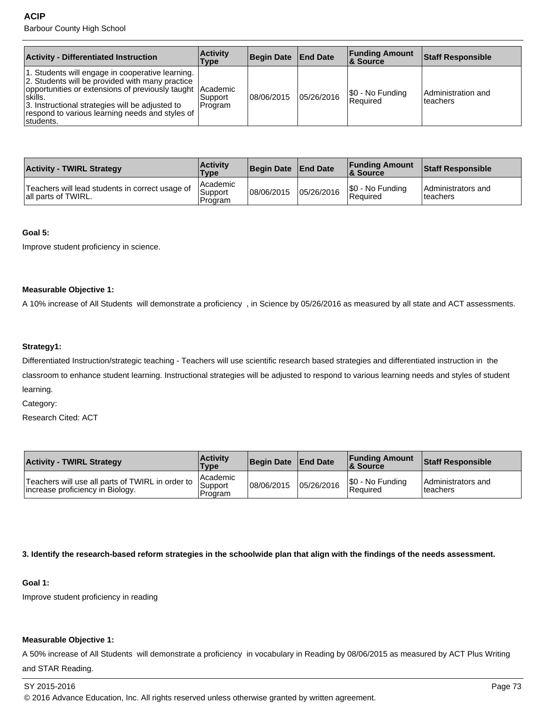#### **ACIP**

Barbour County High School

| <b>Activity - Differentiated Instruction</b>                                                                                                                                                                                                                                                    | <b>Activity</b><br>Type | Begin Date End Date |            | <b>Funding Amount</b><br><b>8 Source</b> | <b>Staff Responsible</b>       |
|-------------------------------------------------------------------------------------------------------------------------------------------------------------------------------------------------------------------------------------------------------------------------------------------------|-------------------------|---------------------|------------|------------------------------------------|--------------------------------|
| 1. Students will engage in cooperative learning.<br>2. Students will be provided with many practice<br>opportunities or extensions of previously taught Academic<br>∣skills.<br>3. Instructional strategies will be adjusted to<br>respond to various learning needs and styles of<br>students. | l Support<br>Program    | 08/06/2015          | 05/26/2016 | \$0 - No Funding<br>l Reauired           | Administration and<br>teachers |

| <b>Activity - TWIRL Strategy</b>                                       | <b>Activity</b><br><b>Type</b> | Begin Date   End Date |            | <b>Funding Amount</b><br><b>&amp; Source</b> | <b>Staff Responsible</b>        |
|------------------------------------------------------------------------|--------------------------------|-----------------------|------------|----------------------------------------------|---------------------------------|
| Teachers will lead students in correct usage of<br>all parts of TWIRL. | Academic<br>Support<br>Program | 08/06/2015            | 05/26/2016 | \$0 - No Funding<br>l Reauired               | Administrators and<br>Iteachers |

#### **Goal 5:**

Improve student proficiency in science.

#### **Measurable Objective 1:**

A 10% increase of All Students will demonstrate a proficiency , in Science by 05/26/2016 as measured by all state and ACT assessments.

## **Strategy1:**

Differentiated Instruction/strategic teaching - Teachers will use scientific research based strategies and differentiated instruction in the classroom to enhance student learning. Instructional strategies will be adjusted to respond to various learning needs and styles of student learning.

Category:

Research Cited: ACT

| <b>Activity - TWIRL Strategy</b>                                                     | <b>Activity</b><br><b>Type</b> | Begin Date   End Date |            | <b>Funding Amount</b><br><b>&amp; Source</b> | <b>Staff Responsible</b>        |
|--------------------------------------------------------------------------------------|--------------------------------|-----------------------|------------|----------------------------------------------|---------------------------------|
| Teachers will use all parts of TWIRL in order to<br>Increase proficiency in Biology. | Academic<br>Support<br>Program | 108/06/2015           | 05/26/2016 | S0 - No Funding<br>l Reauired                | Administrators and<br>Iteachers |

**3. Identify the research-based reform strategies in the schoolwide plan that align with the findings of the needs assessment.**

## **Goal 1:**

Improve student proficiency in reading

#### **Measurable Objective 1:**

A 50% increase of All Students will demonstrate a proficiency in vocabulary in Reading by 08/06/2015 as measured by ACT Plus Writing and STAR Reading.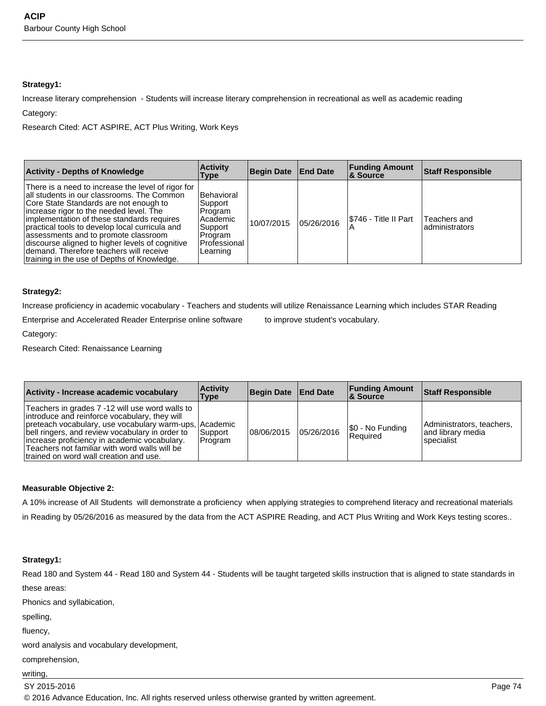## **Strategy1:**

Increase literary comprehension - Students will increase literary comprehension in recreational as well as academic reading Category:

Research Cited: ACT ASPIRE, ACT Plus Writing, Work Keys

| <b>Activity - Depths of Knowledge</b>                                                                                                                                                                                                                                                                                                                                                                                                                                      | <b>Activity</b><br>Type                                                                          | Begin Date   End Date |            | <b>Funding Amount</b><br><b>8 Source</b> | <b>Staff Responsible</b>       |
|----------------------------------------------------------------------------------------------------------------------------------------------------------------------------------------------------------------------------------------------------------------------------------------------------------------------------------------------------------------------------------------------------------------------------------------------------------------------------|--------------------------------------------------------------------------------------------------|-----------------------|------------|------------------------------------------|--------------------------------|
| There is a need to increase the level of rigor for<br>all students in our classrooms. The Common<br>Core State Standards are not enough to<br>increase rigor to the needed level. The<br>implementation of these standards requires<br>practical tools to develop local curricula and<br>assessments and to promote classroom<br>discourse aligned to higher levels of cognitive<br>demand. Therefore teachers will receive<br>training in the use of Depths of Knowledge. | l Behavioral<br>Support<br>Program<br>Academic<br>Support<br>Program<br>Professional<br>Learning | 10/07/2015            | 05/26/2016 | I\$746 - Title II Part                   | Teachers and<br>administrators |

## **Strategy2:**

Increase proficiency in academic vocabulary - Teachers and students will utilize Renaissance Learning which includes STAR Reading

Enterprise and Accelerated Reader Enterprise online software to improve student's vocabulary.

Category:

Research Cited: Renaissance Learning

| Activity - Increase academic vocabulary                                                                                                                                                                                                                                                                                                                  | <b>Activity</b><br><b>Type</b> | Begin Date End Date |            | <b>Funding Amount</b><br><b>&amp; Source</b> | Staff Responsible                                              |
|----------------------------------------------------------------------------------------------------------------------------------------------------------------------------------------------------------------------------------------------------------------------------------------------------------------------------------------------------------|--------------------------------|---------------------|------------|----------------------------------------------|----------------------------------------------------------------|
| Teachers in grades 7 -12 will use word walls to<br>introduce and reinforce vocabulary, they will<br>preteach vocabulary, use vocabulary warm-ups, Academic<br>bell ringers, and review vocabulary in order to<br>increase proficiency in academic vocabulary.<br>Teachers not familiar with word walls will be<br>trained on word wall creation and use. | Support <br>Program            | 08/06/2015          | 05/26/2016 | \$0 - No Funding<br><b>Required</b>          | Administrators, teachers,<br>land librarv media<br>lspecialist |

## **Measurable Objective 2:**

A 10% increase of All Students will demonstrate a proficiency when applying strategies to comprehend literacy and recreational materials in Reading by 05/26/2016 as measured by the data from the ACT ASPIRE Reading, and ACT Plus Writing and Work Keys testing scores..

## **Strategy1:**

Read 180 and System 44 - Read 180 and System 44 - Students will be taught targeted skills instruction that is aligned to state standards in these areas:

Phonics and syllabication,

spelling,

fluency,

word analysis and vocabulary development,

comprehension,

writing,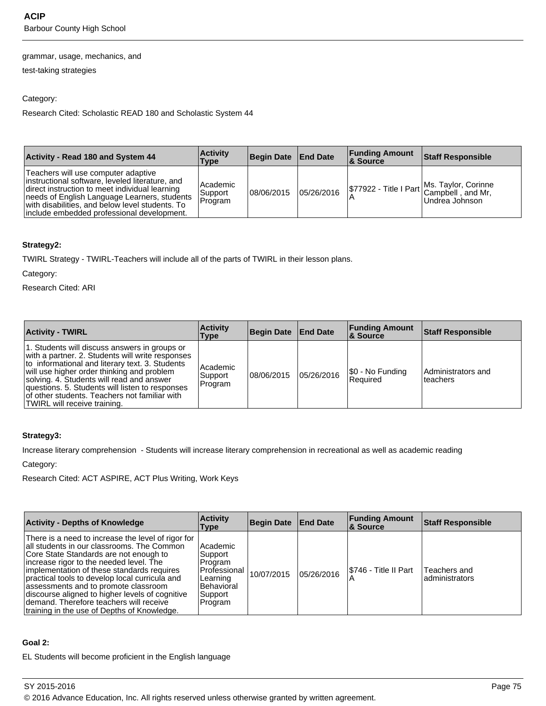#### grammar, usage, mechanics, and

test-taking strategies

## Category:

Research Cited: Scholastic READ 180 and Scholastic System 44

| <b>Activity - Read 180 and System 44</b>                                                                                                                                                                                                                                                   | <b>Activity</b><br>Type          | Begin Date End Date |            | <b>Funding Amount</b><br>∣& Source | Staff Responsible                                                                 |
|--------------------------------------------------------------------------------------------------------------------------------------------------------------------------------------------------------------------------------------------------------------------------------------------|----------------------------------|---------------------|------------|------------------------------------|-----------------------------------------------------------------------------------|
| Teachers will use computer adaptive<br>instructional software, leveled literature, and<br>direct instruction to meet individual learning<br>needs of English Language Learners, students<br>with disabilities, and below level students. To<br>linclude embedded professional development. | l Academic<br>Support<br>Program | 108/06/2015         | 05/26/2016 |                                    | \$77922 - Title I Part Ms. Taylor, Corinne<br>Campbell, and Mr,<br>Undrea Johnson |

## **Strategy2:**

TWIRL Strategy - TWIRL-Teachers will include all of the parts of TWIRL in their lesson plans.

Category:

Research Cited: ARI

| <b>Activity - TWIRL</b>                                                                                                                                                                                                                                                                                                                                                             | <b>Activity</b><br>Type        | Begin Date End Date |            | <b>Funding Amount</b><br>∣& Source | <b>Staff Responsible</b>       |
|-------------------------------------------------------------------------------------------------------------------------------------------------------------------------------------------------------------------------------------------------------------------------------------------------------------------------------------------------------------------------------------|--------------------------------|---------------------|------------|------------------------------------|--------------------------------|
| 1. Students will discuss answers in groups or<br>with a partner. 2. Students will write responses<br>to informational and literary text. 3. Students<br>will use higher order thinking and problem<br>solving. 4. Students will read and answer<br>questions. 5. Students will listen to responses<br>of other students. Teachers not familiar with<br>TWIRL will receive training. | Academic<br>Support<br>Program | 108/06/2015         | 05/26/2016 | \$0 - No Funding<br>l Reauired     | Administrators and<br>teachers |

## **Strategy3:**

Increase literary comprehension - Students will increase literary comprehension in recreational as well as academic reading

Category:

Research Cited: ACT ASPIRE, ACT Plus Writing, Work Keys

| <b>Activity - Depths of Knowledge</b>                                                                                                                                                                                                                                                                                                                                                                                                                                      | <b>Activity</b><br><b>Type</b>                                                                        | <b>Begin Date</b> | <b>End Date</b> | <b>Funding Amount</b><br>& Source | <b>Staff Responsible</b>       |
|----------------------------------------------------------------------------------------------------------------------------------------------------------------------------------------------------------------------------------------------------------------------------------------------------------------------------------------------------------------------------------------------------------------------------------------------------------------------------|-------------------------------------------------------------------------------------------------------|-------------------|-----------------|-----------------------------------|--------------------------------|
| There is a need to increase the level of rigor for<br>all students in our classrooms. The Common<br>Core State Standards are not enough to<br>increase rigor to the needed level. The<br>implementation of these standards requires<br>practical tools to develop local curricula and<br>assessments and to promote classroom<br>discourse aligned to higher levels of cognitive<br>demand. Therefore teachers will receive<br>training in the use of Depths of Knowledge. | Academic<br>Support<br>Program<br>Professional<br>Learning<br><b>Behavioral</b><br>Support<br>Program | 10/07/2015        | 05/26/2016      | I\$746 - Title II Part            | Teachers and<br>administrators |

## **Goal 2:**

EL Students will become proficient in the English language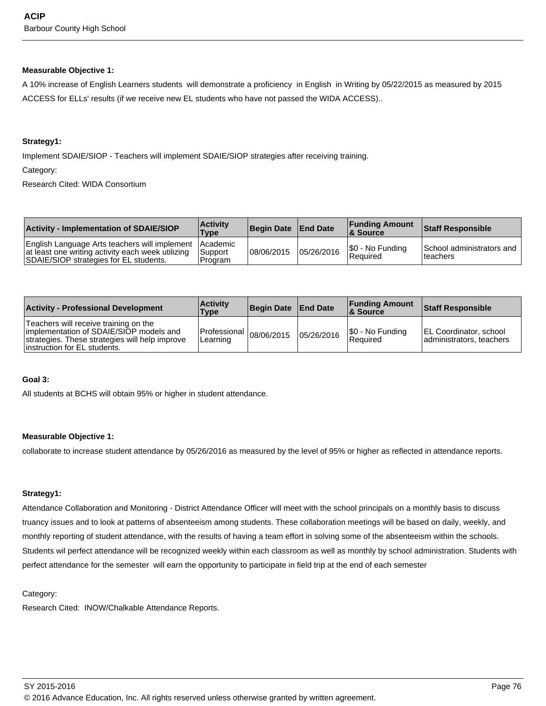#### **Measurable Objective 1:**

A 10% increase of English Learners students will demonstrate a proficiency in English in Writing by 05/22/2015 as measured by 2015 ACCESS for ELLs' results (if we receive new EL students who have not passed the WIDA ACCESS)..

#### **Strategy1:**

Implement SDAIE/SIOP - Teachers will implement SDAIE/SIOP strategies after receiving training.

Category:

Research Cited: WIDA Consortium

| <b>Activity - Implementation of SDAIE/SIOP</b>                                                                                                        | <b>Activity</b><br>Type     | Begin Date   End Date |            | <b>Funding Amount</b><br><b>&amp; Source</b> | <b>Staff Responsible</b>               |
|-------------------------------------------------------------------------------------------------------------------------------------------------------|-----------------------------|-----------------------|------------|----------------------------------------------|----------------------------------------|
| English Language Arts teachers will implement Academic<br>at least one writing activity each week utilizing<br>SDAIE/SIOP strategies for EL students. | <b>Support</b><br>l Program | 108/06/2015           | 05/26/2016 | S0 - No Funding<br>l Reauired                | School administrators and<br>Iteachers |

| <b>Activity - Professional Development</b>                                                                                                                          | <b>Activity</b><br><b>Type</b>         | Begin Date   End Date |            | <b>Funding Amount</b><br><b>8 Source</b> | <b>Staff Responsible</b>                                  |
|---------------------------------------------------------------------------------------------------------------------------------------------------------------------|----------------------------------------|-----------------------|------------|------------------------------------------|-----------------------------------------------------------|
| Teachers will receive training on the<br>implementation of SDAIE/SIOP models and<br>strategies. These strategies will help improve<br>linstruction for EL students. | Professional $ 08/06/2015$<br>Learning |                       | 05/26/2016 | S0 - No Funding<br><b>Required</b>       | <b>EL Coordinator, school</b><br>administrators, teachers |

#### **Goal 3:**

All students at BCHS will obtain 95% or higher in student attendance.

## **Measurable Objective 1:**

collaborate to increase student attendance by 05/26/2016 as measured by the level of 95% or higher as reflected in attendance reports.

## **Strategy1:**

Attendance Collaboration and Monitoring - District Attendance Officer will meet with the school principals on a monthly basis to discuss truancy issues and to look at patterns of absenteeism among students. These collaboration meetings will be based on daily, weekly, and monthly reporting of student attendance, with the results of having a team effort in solving some of the absenteeism within the schools. Students wil perfect attendance will be recognized weekly within each classroom as well as monthly by school administration. Students with perfect attendance for the semester will earn the opportunity to participate in field trip at the end of each semester

## Category:

Research Cited: INOW/Chalkable Attendance Reports.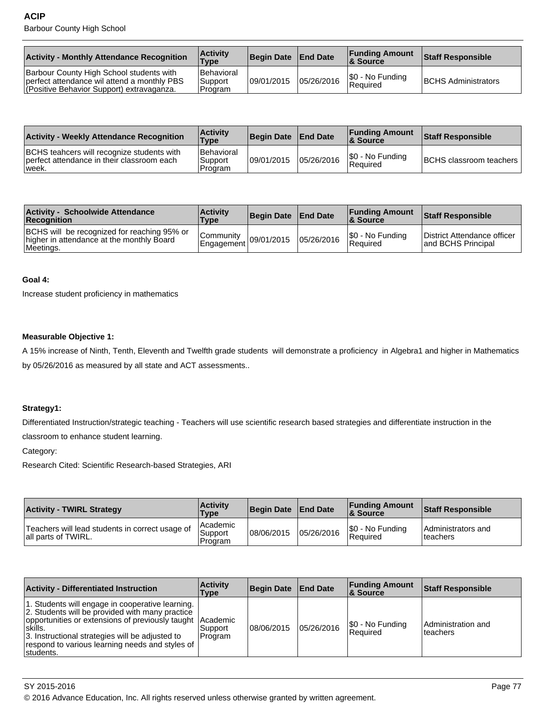| <b>Activity - Monthly Attendance Recognition</b>                                                                                     | <b>Activity</b><br>Type            | Begin Date   End Date |            | <b>Funding Amount</b><br>∣& Source | <b>Staff Responsible</b>   |
|--------------------------------------------------------------------------------------------------------------------------------------|------------------------------------|-----------------------|------------|------------------------------------|----------------------------|
| Barbour County High School students with<br>perfect attendance wil attend a monthly PBS<br>(Positive Behavior Support) extravaganza. | l Behavioral<br>Support<br>Program | 109/01/2015           | 05/26/2016 | \$0 - No Funding<br>Required       | <b>BCHS Administrators</b> |

| <b>Activity - Weekly Attendance Recognition</b>                                                    | <b>Activity</b><br><b>Type</b>        | Begin Date End Date |            | <b>Funding Amount</b><br>∣& Source | Staff Responsible                |
|----------------------------------------------------------------------------------------------------|---------------------------------------|---------------------|------------|------------------------------------|----------------------------------|
| BCHS teahcers will recognize students with<br>perfect attendance in their classroom each<br>lweek. | l Behavioral<br>'Support<br>l Program | 109/01/2015         | 05/26/2016 | \$0 - No Funding<br>Required       | <b>BCHS</b> classroom teachers I |

| <b>Activity - Schoolwide Attendance</b><br><b>Recognition</b>                                         | <b>Activity</b><br>Type                                       | Begin Date   End Date |            | <b>Funding Amount</b><br>8 Source  | <b>Staff Responsible</b>                          |
|-------------------------------------------------------------------------------------------------------|---------------------------------------------------------------|-----------------------|------------|------------------------------------|---------------------------------------------------|
| BCHS will be recognized for reaching 95% or<br>higher in attendance at the monthly Board<br>Meetings. | l Communitv<br>$\frac{1}{2}$   Engagement 09/01/2015   Ubized |                       | 05/26/2016 | S0 - No Funding<br><b>Required</b> | District Attendance officer<br>and BCHS Principal |

## **Goal 4:**

Increase student proficiency in mathematics

## **Measurable Objective 1:**

A 15% increase of Ninth, Tenth, Eleventh and Twelfth grade students will demonstrate a proficiency in Algebra1 and higher in Mathematics by 05/26/2016 as measured by all state and ACT assessments..

## **Strategy1:**

Differentiated Instruction/strategic teaching - Teachers will use scientific research based strategies and differentiate instruction in the classroom to enhance student learning.

#### Category:

Research Cited: Scientific Research-based Strategies, ARI

| <b>Activity - TWIRL Strategy</b>                                       | <b>Activity</b><br>Type          | Begin Date   End Date |            | <b>Funding Amount</b><br>& Source | <b>Staff Responsible</b>        |
|------------------------------------------------------------------------|----------------------------------|-----------------------|------------|-----------------------------------|---------------------------------|
| Teachers will lead students in correct usage of<br>all parts of TWIRL. | l Academic<br>Support<br>Program | 08/06/2015            | 05/26/2016 | S0 - No Funding<br>Required       | Administrators and<br>Iteachers |

| <b>Activity - Differentiated Instruction</b>                                                                                                                                                                                                                                                       | <b>Activity</b><br>Type | <b>Begin Date</b> | <b>End Date</b> | <b>Funding Amount</b><br>∣& Source | <b>Staff Responsible</b>        |
|----------------------------------------------------------------------------------------------------------------------------------------------------------------------------------------------------------------------------------------------------------------------------------------------------|-------------------------|-------------------|-----------------|------------------------------------|---------------------------------|
| 1. Students will engage in cooperative learning.<br>2. Students will be provided with many practice<br>opportunities or extensions of previously taught   Academic<br>!skills.<br>3. Instructional strategies will be adjusted to<br>respond to various learning needs and styles of<br>∣students. | Support<br>Program      | 108/06/2015       | 05/26/2016      | \$0 - No Funding<br>Required       | Administration and<br>lteachers |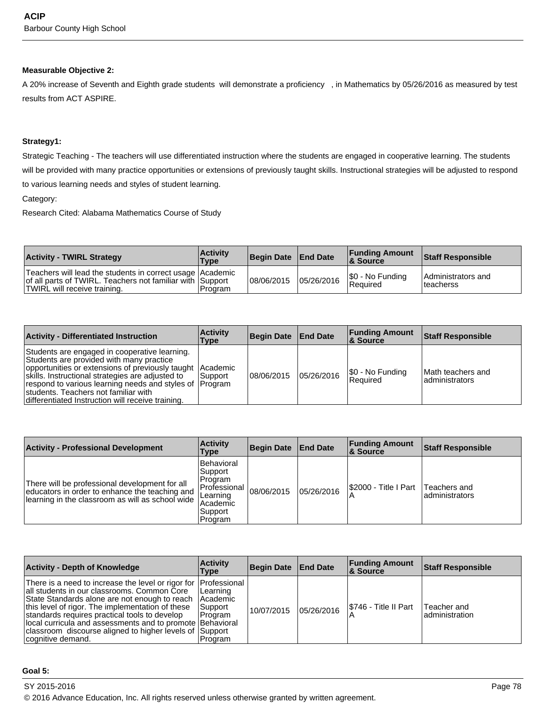## **Measurable Objective 2:**

A 20% increase of Seventh and Eighth grade students will demonstrate a proficiency , in Mathematics by 05/26/2016 as measured by test results from ACT ASPIRE.

#### **Strategy1:**

Strategic Teaching - The teachers will use differentiated instruction where the students are engaged in cooperative learning. The students will be provided with many practice opportunities or extensions of previously taught skills. Instructional strategies will be adjusted to respond to various learning needs and styles of student learning.

Category:

Research Cited: Alabama Mathematics Course of Study

| <b>Activity - TWIRL Strategy</b>                                                                                                                         | <b>Activity</b><br><b>Type</b> | Begin Date   End Date |            | <b>Funding Amount</b><br>8 Source | <b>Staff Responsible</b>         |
|----------------------------------------------------------------------------------------------------------------------------------------------------------|--------------------------------|-----------------------|------------|-----------------------------------|----------------------------------|
| Teachers will lead the students in correct usage   Academic<br>of all parts of TWIRL. Teachers not familiar with Support<br>TWIRL will receive training. | 'Program                       | 08/06/2015            | 05/26/2016 | \$0 - No Funding<br>l Reauired    | Administrators and<br>Iteacherss |

| <b>Activity - Differentiated Instruction</b>                                                                                                                                                                                                                                                                                                                         | <b>Activity</b><br>Type | <b>Begin Date</b> | ⊦ End Date | <b>Funding Amount</b><br>8 Source | <b>Staff Responsible</b>             |
|----------------------------------------------------------------------------------------------------------------------------------------------------------------------------------------------------------------------------------------------------------------------------------------------------------------------------------------------------------------------|-------------------------|-------------------|------------|-----------------------------------|--------------------------------------|
| Students are engaged in cooperative learning.<br>Students are provided with many practice<br>opportunities or extensions of previously taught Academic<br>skills. Instructional strategies are adjusted to<br>respond to various learning needs and styles of [Program]<br>students. Teachers not familiar with<br>differentiated Instruction will receive training. | l Support               | 08/06/2015        | 05/26/2016 | S0 - No Funding<br>Required       | Math teachers and<br>ladministrators |

| <b>Activity - Professional Development</b>                                                                                                           | <b>Activity</b><br>Type                                                                               | Begin Date | <b>End Date</b> | <b>Funding Amount</b><br><b>8 Source</b> | <b>Staff Responsible</b>        |
|------------------------------------------------------------------------------------------------------------------------------------------------------|-------------------------------------------------------------------------------------------------------|------------|-----------------|------------------------------------------|---------------------------------|
| There will be professional development for all<br>educators in order to enhance the teaching and<br>learning in the classroom as will as school wide | Behavioral<br> Support <br>l Program<br> Professional<br>Learning<br>Academic<br> Support <br>Program | 08/06/2015 | 05/26/2016      | S2000 - Title I Part                     | Teachers and<br>ladministrators |

| <b>Activity - Depth of Knowledge</b>                                                                                                                                                                                                                                                                                                                                                                                         | <b>Activity</b><br>Type                     | Begin Date End Date |            | <b>Funding Amount</b><br>∣& Source | <b>Staff Responsible</b>       |
|------------------------------------------------------------------------------------------------------------------------------------------------------------------------------------------------------------------------------------------------------------------------------------------------------------------------------------------------------------------------------------------------------------------------------|---------------------------------------------|---------------------|------------|------------------------------------|--------------------------------|
| There is a need to increase the level or rigor for Professional<br>all students in our classrooms. Common Core<br>State Standards alone are not enough to reach   Academic<br>this level of rigor. The implementation of these<br>standards requires practical tools to develop<br>local curricula and assessments and to promote Behavioral<br>classroom discourse aligned to higher levels of Support<br>cognitive demand. | Learning<br>Support<br>I Program<br>Program | 10/07/2015          | 05/26/2016 | S746 - Title II Part               | Teacher and<br>ladministration |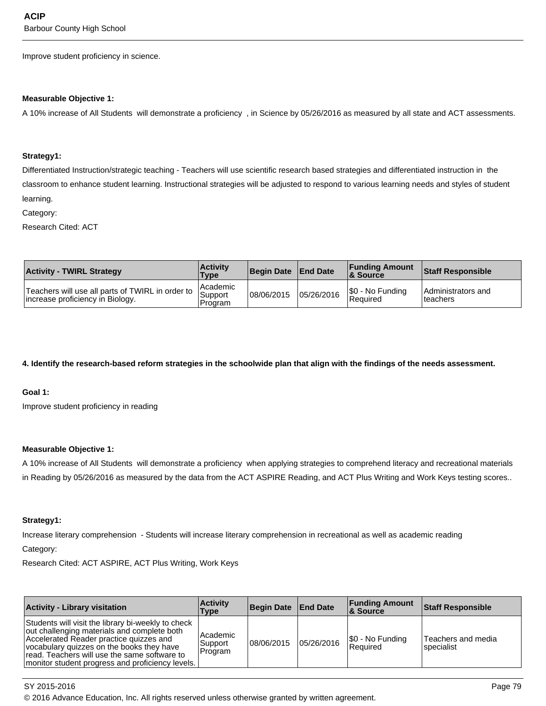Improve student proficiency in science.

#### **Measurable Objective 1:**

A 10% increase of All Students will demonstrate a proficiency , in Science by 05/26/2016 as measured by all state and ACT assessments.

#### **Strategy1:**

Differentiated Instruction/strategic teaching - Teachers will use scientific research based strategies and differentiated instruction in the classroom to enhance student learning. Instructional strategies will be adjusted to respond to various learning needs and styles of student learning.

Category:

Research Cited: ACT

| <b>Activity - TWIRL Strategy</b>                                                     | <b>Activity</b><br>Type          | Begin Date   End Date |            | <b>Funding Amount</b><br><b>&amp; Source</b> | <b>Staff Responsible</b>        |
|--------------------------------------------------------------------------------------|----------------------------------|-----------------------|------------|----------------------------------------------|---------------------------------|
| Teachers will use all parts of TWIRL in order to<br>increase proficiency in Biology. | l Academic<br>Support<br>Program | 08/06/2015            | 05/26/2016 | \$0 - No Funding<br><b>Required</b>          | Administrators and<br>Iteachers |

## **4. Identify the research-based reform strategies in the schoolwide plan that align with the findings of the needs assessment.**

**Goal 1:**

Improve student proficiency in reading

#### **Measurable Objective 1:**

A 10% increase of All Students will demonstrate a proficiency when applying strategies to comprehend literacy and recreational materials in Reading by 05/26/2016 as measured by the data from the ACT ASPIRE Reading, and ACT Plus Writing and Work Keys testing scores..

#### **Strategy1:**

Increase literary comprehension - Students will increase literary comprehension in recreational as well as academic reading Category:

Research Cited: ACT ASPIRE, ACT Plus Writing, Work Keys

| <b>Activity - Library visitation</b>                                                                                                                                                                                                                                                          | <b>Activity</b><br>Type        | Begin Date   End Date |            | <b>Funding Amount</b><br>∣& Source  | Staff Responsible                |
|-----------------------------------------------------------------------------------------------------------------------------------------------------------------------------------------------------------------------------------------------------------------------------------------------|--------------------------------|-----------------------|------------|-------------------------------------|----------------------------------|
| Students will visit the library bi-weekly to check<br>out challenging materials and complete both<br>Accelerated Reader practice quizzes and<br>vocabulary quizzes on the books they have<br>read. Teachers will use the same software to<br>monitor student progress and proficiency levels. | Academic<br>Support<br>Program | 108/06/2015           | 05/26/2016 | \$0 - No Funding<br><b>Required</b> | Teachers and media<br>specialist |

SY 2015-2016 Page 79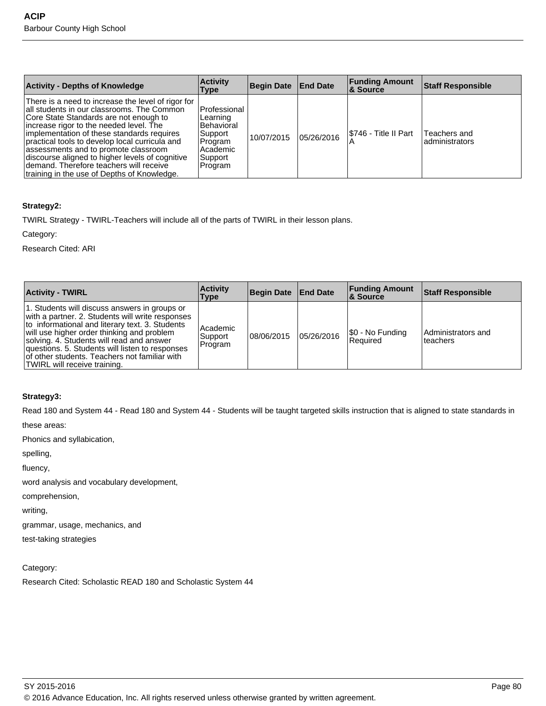| <b>Activity - Depths of Knowledge</b>                                                                                                                                                                                                                                                                                                                                                                                                                                         | <b>Activity</b><br>Type                                                                               | <b>Begin Date</b> | <b>End Date</b> | <b>Funding Amount</b><br><b>8</b> Source | <b>Staff Responsible</b>        |
|-------------------------------------------------------------------------------------------------------------------------------------------------------------------------------------------------------------------------------------------------------------------------------------------------------------------------------------------------------------------------------------------------------------------------------------------------------------------------------|-------------------------------------------------------------------------------------------------------|-------------------|-----------------|------------------------------------------|---------------------------------|
| There is a need to increase the level of rigor for<br>all students in our classrooms. The Common<br>Core State Standards are not enough to<br>increase rigor to the needed level. The<br>implementation of these standards requires<br>practical tools to develop local curricula and<br>lassessments and to promote classroom<br>discourse aligned to higher levels of cognitive<br>Idemand. Therefore teachers will receive<br>Itraining in the use of Depths of Knowledge. | Professional<br>Learning<br><b>Behavioral</b><br>Support<br>Program<br>Academic<br>Support<br>Program | 10/07/2015        | 05/26/2016      | I\$746 - Title II Part                   | Teachers and<br>ladministrators |

## **Strategy2:**

TWIRL Strategy - TWIRL-Teachers will include all of the parts of TWIRL in their lesson plans.

Category:

Research Cited: ARI

| <b>Activity - TWIRL</b>                                                                                                                                                                                                                                                                                                                                                             | <b>Activity</b><br>Type          | Begin Date End Date |            | <b>Funding Amount</b><br><b>8 Source</b> | <b>Staff Responsible</b>       |
|-------------------------------------------------------------------------------------------------------------------------------------------------------------------------------------------------------------------------------------------------------------------------------------------------------------------------------------------------------------------------------------|----------------------------------|---------------------|------------|------------------------------------------|--------------------------------|
| 1. Students will discuss answers in groups or<br>with a partner. 2. Students will write responses<br>to informational and literary text. 3. Students<br>will use higher order thinking and problem<br>solving. 4. Students will read and answer<br>questions. 5. Students will listen to responses<br>of other students. Teachers not familiar with<br>TWIRL will receive training. | l Academic<br>Support<br>Program | 108/06/2015         | 05/26/2016 | \$0 - No Funding<br><b>Required</b>      | Administrators and<br>teachers |

## **Strategy3:**

Read 180 and System 44 - Read 180 and System 44 - Students will be taught targeted skills instruction that is aligned to state standards in

these areas:

Phonics and syllabication,

spelling,

fluency,

word analysis and vocabulary development,

comprehension,

writing,

grammar, usage, mechanics, and

test-taking strategies

Category:

Research Cited: Scholastic READ 180 and Scholastic System 44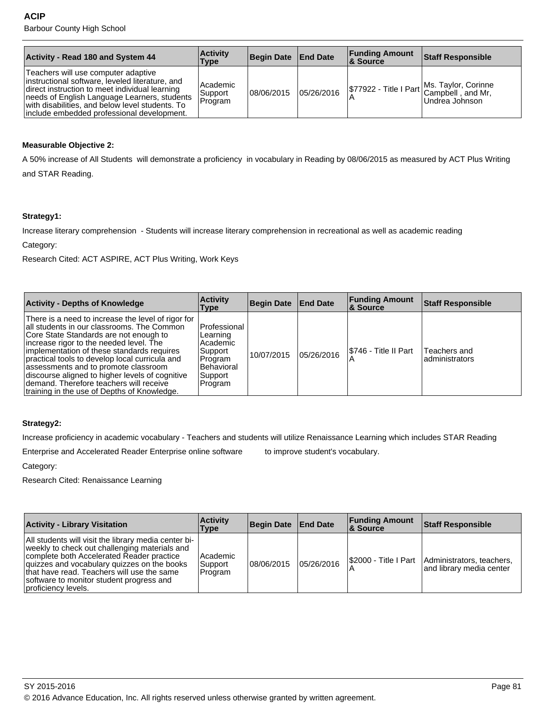| <b>Activity - Read 180 and System 44</b>                                                                                                                                                                                                                                                  | <b>Activity</b><br>Type        | Begin Date End Date |            | <b>Funding Amount</b><br><b>&amp; Source</b> | Staff Responsible                                                                                         |
|-------------------------------------------------------------------------------------------------------------------------------------------------------------------------------------------------------------------------------------------------------------------------------------------|--------------------------------|---------------------|------------|----------------------------------------------|-----------------------------------------------------------------------------------------------------------|
| Teachers will use computer adaptive<br>instructional software, leveled literature, and<br>direct instruction to meet individual learning<br>needs of English Language Learners, students<br>with disabilities, and below level students. To<br>include embedded professional development. | Academic<br>Support<br>Program | 08/06/2015          | 05/26/2016 |                                              | \$77922 - Title I Part Ms. Taylor, Corinne<br>A 27922 - Title I Part Campbell , and Mr,<br>Undrea Johnson |

## **Measurable Objective 2:**

A 50% increase of All Students will demonstrate a proficiency in vocabulary in Reading by 08/06/2015 as measured by ACT Plus Writing and STAR Reading.

**Strategy1:**

Increase literary comprehension - Students will increase literary comprehension in recreational as well as academic reading

Category:

Research Cited: ACT ASPIRE, ACT Plus Writing, Work Keys

| <b>Activity - Depths of Knowledge</b>                                                                                                                                                                                                                                                                                                                                                                                                                                      | <b>Activity</b><br><b>Type</b>                                                                          | Begin Date End Date |            | <b>Funding Amount</b><br><b>&amp; Source</b> | <b>Staff Responsible</b>       |
|----------------------------------------------------------------------------------------------------------------------------------------------------------------------------------------------------------------------------------------------------------------------------------------------------------------------------------------------------------------------------------------------------------------------------------------------------------------------------|---------------------------------------------------------------------------------------------------------|---------------------|------------|----------------------------------------------|--------------------------------|
| There is a need to increase the level of rigor for<br>all students in our classrooms. The Common<br>Core State Standards are not enough to<br>increase rigor to the needed level. The<br>implementation of these standards requires<br>practical tools to develop local curricula and<br>assessments and to promote classroom<br>discourse aligned to higher levels of cognitive<br>demand. Therefore teachers will receive<br>training in the use of Depths of Knowledge. | l Professional<br>Learning<br>Academic<br>Support<br>Program<br><b>Behavioral</b><br>Support<br>Program | 10/07/2015          | 05/26/2016 | S5746 - Title II Part                        | Teachers and<br>administrators |

## **Strategy2:**

Increase proficiency in academic vocabulary - Teachers and students will utilize Renaissance Learning which includes STAR Reading

Enterprise and Accelerated Reader Enterprise online software to improve student's vocabulary.

Category:

Research Cited: Renaissance Learning

| <b>Activity - Library Visitation</b>                                                                                                                                                                                                                                                                               | <b>Activity</b><br>Type        | Begin Date End Date |            | <b>Funding Amount</b><br><b>8 Source</b> | <b>Staff Responsible</b>                              |
|--------------------------------------------------------------------------------------------------------------------------------------------------------------------------------------------------------------------------------------------------------------------------------------------------------------------|--------------------------------|---------------------|------------|------------------------------------------|-------------------------------------------------------|
| All students will visit the library media center bi-<br>weekly to check out challenging materials and<br>complete both Accelerated Reader practice<br>quizzes and vocabulary quizzes on the books<br>that have read. Teachers will use the same<br>software to monitor student progress and<br>proficiency levels. | Academic<br>Support<br>Program | 08/06/2015          | 05/26/2016 | I\$2000 - Title I Part                   | Administrators, teachers,<br>and library media center |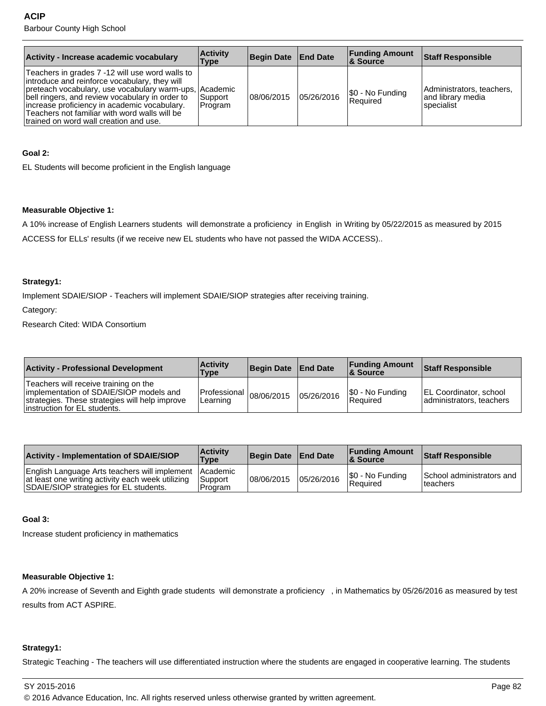| Activity - Increase academic vocabulary                                                                                                                                                                                                                                                                                                                  | <b>Activity</b><br>Type | <b>Begin Date</b> | <b>End Date</b> | <b>Funding Amount</b><br>8. Source | <b>Staff Responsible</b>                                     |
|----------------------------------------------------------------------------------------------------------------------------------------------------------------------------------------------------------------------------------------------------------------------------------------------------------------------------------------------------------|-------------------------|-------------------|-----------------|------------------------------------|--------------------------------------------------------------|
| Teachers in grades 7 -12 will use word walls to<br>introduce and reinforce vocabulary, they will<br>preteach vocabulary, use vocabulary warm-ups, Academic<br>bell ringers, and review vocabulary in order to<br>increase proficiency in academic vocabulary.<br>Teachers not familiar with word walls will be<br>trained on word wall creation and use. | Support<br>Program      | 08/06/2015        | 05/26/2016      | \$0 - No Funding<br>Required       | Administrators, teachers,<br>and library media<br>specialist |

#### **Goal 2:**

EL Students will become proficient in the English language

#### **Measurable Objective 1:**

A 10% increase of English Learners students will demonstrate a proficiency in English in Writing by 05/22/2015 as measured by 2015 ACCESS for ELLs' results (if we receive new EL students who have not passed the WIDA ACCESS)..

#### **Strategy1:**

Implement SDAIE/SIOP - Teachers will implement SDAIE/SIOP strategies after receiving training.

Category:

Research Cited: WIDA Consortium

| <b>Activity - Professional Development</b>                                                                                                                          | <b>Activity</b><br><b>Type</b>                               | Begin Date   End Date |            | <b>Funding Amount</b><br>∣& Source  | <b>Staff Responsible</b>                           |
|---------------------------------------------------------------------------------------------------------------------------------------------------------------------|--------------------------------------------------------------|-----------------------|------------|-------------------------------------|----------------------------------------------------|
| Teachers will receive training on the<br>implementation of SDAIE/SIOP models and<br>strategies. These strategies will help improve<br>linstruction for EL students. | $\left  \text{Professoral} \right _{08/06/2015}$<br>Learning |                       | 05/26/2016 | \$0 - No Funding<br><b>Required</b> | EL Coordinator, school<br>administrators, teachers |

| <b>Activity - Implementation of SDAIE/SIOP</b>                                                                                                        | <b>Activity</b><br>Type | Begin Date   End Date |            | <b>Funding Amount</b><br><b>&amp; Source</b> | <b>Staff Responsible</b>               |
|-------------------------------------------------------------------------------------------------------------------------------------------------------|-------------------------|-----------------------|------------|----------------------------------------------|----------------------------------------|
| English Language Arts teachers will implement Academic<br>at least one writing activity each week utilizing<br>SDAIE/SIOP strategies for EL students. | l Support<br>l Program  | 08/06/2015            | 05/26/2016 | S0 - No Funding<br>Required                  | School administrators and<br>Iteachers |

#### **Goal 3:**

Increase student proficiency in mathematics

## **Measurable Objective 1:**

A 20% increase of Seventh and Eighth grade students will demonstrate a proficiency , in Mathematics by 05/26/2016 as measured by test results from ACT ASPIRE.

## **Strategy1:**

Strategic Teaching - The teachers will use differentiated instruction where the students are engaged in cooperative learning. The students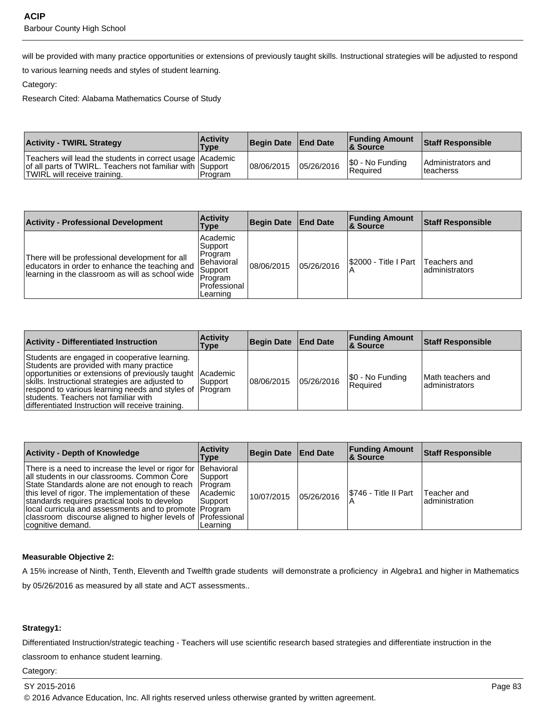will be provided with many practice opportunities or extensions of previously taught skills. Instructional strategies will be adjusted to respond

to various learning needs and styles of student learning.

#### Category:

Research Cited: Alabama Mathematics Course of Study

| <b>Activity - TWIRL Strategy</b>                                                                                                                         | <b>Activity</b><br>Type | Begin Date   End Date |            | <b>Funding Amount</b><br>8 Source | <b>Staff Responsible</b>         |
|----------------------------------------------------------------------------------------------------------------------------------------------------------|-------------------------|-----------------------|------------|-----------------------------------|----------------------------------|
| Teachers will lead the students in correct usage   Academic<br>of all parts of TWIRL. Teachers not familiar with Support<br>TWIRL will receive training. | l Program               | 08/06/2015            | 05/26/2016 | \$0 - No Funding<br>Required      | Administrators and<br>Iteacherss |

| <b>Activity - Professional Development</b>                                                                                                           | <b>Activity</b><br>Type                                                                                   | <b>Begin Date</b> | <b>End Date</b> | <b>Funding Amount</b><br>∣& Source | <b>Staff Responsible</b>        |
|------------------------------------------------------------------------------------------------------------------------------------------------------|-----------------------------------------------------------------------------------------------------------|-------------------|-----------------|------------------------------------|---------------------------------|
| There will be professional development for all<br>educators in order to enhance the teaching and<br>learning in the classroom as will as school wide | Academic<br> Support <br>Program<br>l Behavioral<br>Support<br><b>Program</b><br>Professional<br>Learning | 08/06/2015        | 05/26/2016      | I\$2000 - Title I Part             | Teachers and<br>ladministrators |

| <b>Activity - Differentiated Instruction</b>                                                                                                                                                                                                                                                                                                                       | <b>Activity</b><br>Type | Begin Date End Date |            | <b>Funding Amount</b><br>∣& Source | Staff Responsible                     |
|--------------------------------------------------------------------------------------------------------------------------------------------------------------------------------------------------------------------------------------------------------------------------------------------------------------------------------------------------------------------|-------------------------|---------------------|------------|------------------------------------|---------------------------------------|
| Students are engaged in cooperative learning.<br>Students are provided with many practice<br>opportunities or extensions of previously taught Academic<br>skills. Instructional strategies are adjusted to<br>respond to various learning needs and styles of Program<br>students. Teachers not familiar with<br>differentiated Instruction will receive training. | l Support               | 08/06/2015          | 05/26/2016 | \$0 - No Funding<br>l Reauired     | lMath teachers and<br>ladministrators |

| <b>Activity - Depth of Knowledge</b>                                                                                                                                                                                                                                                                                                                                                                                            | <b>Activity</b><br>Type                         | <b>Begin Date</b> | <b>End Date</b> | <b>Funding Amount</b><br><b>8</b> Source | <b>Staff Responsible</b>       |
|---------------------------------------------------------------------------------------------------------------------------------------------------------------------------------------------------------------------------------------------------------------------------------------------------------------------------------------------------------------------------------------------------------------------------------|-------------------------------------------------|-------------------|-----------------|------------------------------------------|--------------------------------|
| There is a need to increase the level or rigor for Behavioral<br>all students in our classrooms. Common Core<br>State Standards alone are not enough to reach   Program<br>this level of rigor. The implementation of these<br>standards requires practical tools to develop<br>local curricula and assessments and to promote   Program<br>classroom discourse aligned to higher levels of [Professional]<br>cognitive demand. | Support <br>l Academic<br>l Support<br>Learning | 10/07/2015        | 05/26/2016      | I\$746 - Title II Part                   | Teacher and<br>ladministration |

## **Measurable Objective 2:**

A 15% increase of Ninth, Tenth, Eleventh and Twelfth grade students will demonstrate a proficiency in Algebra1 and higher in Mathematics by 05/26/2016 as measured by all state and ACT assessments..

## **Strategy1:**

Differentiated Instruction/strategic teaching - Teachers will use scientific research based strategies and differentiate instruction in the

classroom to enhance student learning.

Category: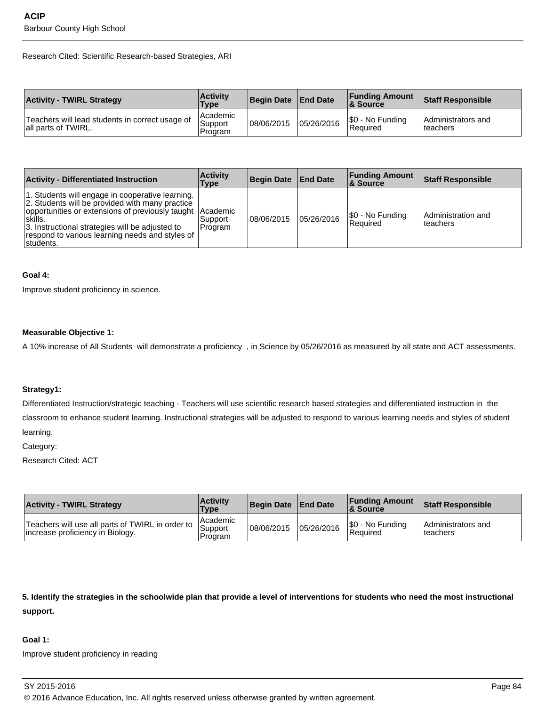Research Cited: Scientific Research-based Strategies, ARI

| <b>Activity - TWIRL Strategy</b>                                       | <b>Activity</b><br>Type          | Begin Date End Date |            | <b>Funding Amount</b><br>8 Source | <b>Staff Responsible</b>        |
|------------------------------------------------------------------------|----------------------------------|---------------------|------------|-----------------------------------|---------------------------------|
| Teachers will lead students in correct usage of<br>all parts of TWIRL. | l Academic<br>Support<br>Program | 108/06/2015         | 05/26/2016 | \$0 - No Funding<br>Required      | Administrators and<br>Iteachers |

| <b>Activity - Differentiated Instruction</b>                                                                                                                                                                                                                                                     | <b>Activity</b><br>Type | Begin Date   End Date |            | <b>Funding Amount</b><br>∣& Source | <b>Staff Responsible</b>        |
|--------------------------------------------------------------------------------------------------------------------------------------------------------------------------------------------------------------------------------------------------------------------------------------------------|-------------------------|-----------------------|------------|------------------------------------|---------------------------------|
| 1. Students will engage in cooperative learning.<br>2. Students will be provided with many practice<br>opportunities or extensions of previously taught Academic<br>ˈskills.<br>3. Instructional strategies will be adjusted to<br>respond to various learning needs and styles of<br>Istudents. | l Support<br>Program    | 108/06/2015           | 05/26/2016 | \$0 - No Funding<br>l Reauired     | Administration and<br>lteachers |

#### **Goal 4:**

Improve student proficiency in science.

#### **Measurable Objective 1:**

A 10% increase of All Students will demonstrate a proficiency , in Science by 05/26/2016 as measured by all state and ACT assessments.

#### **Strategy1:**

Differentiated Instruction/strategic teaching - Teachers will use scientific research based strategies and differentiated instruction in the classroom to enhance student learning. Instructional strategies will be adjusted to respond to various learning needs and styles of student learning.

Category:

Research Cited: ACT

| <b>Activity - TWIRL Strategy</b>                                                     | <b>Activity</b><br><b>Type</b>   | Begin Date   End Date |            | <b>Funding Amount</b><br>& Source | <b>Staff Responsible</b>          |
|--------------------------------------------------------------------------------------|----------------------------------|-----------------------|------------|-----------------------------------|-----------------------------------|
| Teachers will use all parts of TWIRL in order to<br>increase proficiency in Biology. | ı Academic<br>Support<br>Program | 08/06/2015            | 05/26/2016 | \$0 - No Funding<br>Required      | l Administrators and<br>lteachers |

**5. Identify the strategies in the schoolwide plan that provide a level of interventions for students who need the most instructional support.**

## **Goal 1:**

Improve student proficiency in reading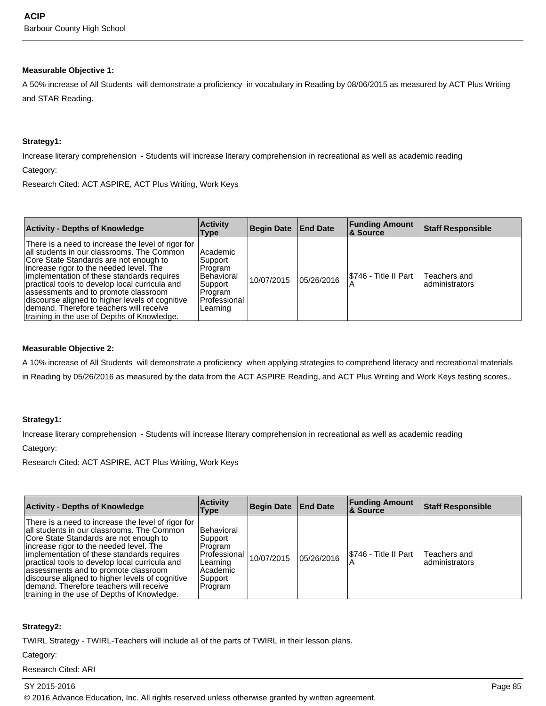#### **Measurable Objective 1:**

A 50% increase of All Students will demonstrate a proficiency in vocabulary in Reading by 08/06/2015 as measured by ACT Plus Writing and STAR Reading.

#### **Strategy1:**

Increase literary comprehension - Students will increase literary comprehension in recreational as well as academic reading

Category:

Research Cited: ACT ASPIRE, ACT Plus Writing, Work Keys

| <b>Activity - Depths of Knowledge</b>                                                                                                                                                                                                                                                                                                                                                                                                                                       | <b>Activity</b><br>Type                                                                           | <b>Begin Date</b> | <b>End Date</b> | <b>Funding Amount</b><br>8. Source | <b>Staff Responsible</b>       |
|-----------------------------------------------------------------------------------------------------------------------------------------------------------------------------------------------------------------------------------------------------------------------------------------------------------------------------------------------------------------------------------------------------------------------------------------------------------------------------|---------------------------------------------------------------------------------------------------|-------------------|-----------------|------------------------------------|--------------------------------|
| There is a need to increase the level of rigor for<br>all students in our classrooms. The Common<br>Core State Standards are not enough to<br>increase rigor to the needed level. The<br>implementation of these standards requires<br>practical tools to develop local curricula and<br>assessments and to promote classroom<br>discourse aligned to higher levels of cognitive<br>demand. Therefore teachers will receive<br>Itraining in the use of Depths of Knowledge. | Academic<br>Support<br>Program<br>Behavioral<br>Support<br>∣Program<br>l Professional<br>Learning | 10/07/2015        | 05/26/2016      | I\$746 - Title II Part             | Teachers and<br>administrators |

#### **Measurable Objective 2:**

A 10% increase of All Students will demonstrate a proficiency when applying strategies to comprehend literacy and recreational materials in Reading by 05/26/2016 as measured by the data from the ACT ASPIRE Reading, and ACT Plus Writing and Work Keys testing scores..

## **Strategy1:**

Increase literary comprehension - Students will increase literary comprehension in recreational as well as academic reading

#### Category:

Research Cited: ACT ASPIRE, ACT Plus Writing, Work Keys

| <b>Activity - Depths of Knowledge</b>                                                                                                                                                                                                                                                                                                                                                                                                                                      | <b>Activity</b><br>Type                                                                        | Begin Date End Date |            | <b>Funding Amount</b><br><b>8 Source</b> | <b>Staff Responsible</b>       |
|----------------------------------------------------------------------------------------------------------------------------------------------------------------------------------------------------------------------------------------------------------------------------------------------------------------------------------------------------------------------------------------------------------------------------------------------------------------------------|------------------------------------------------------------------------------------------------|---------------------|------------|------------------------------------------|--------------------------------|
| There is a need to increase the level of rigor for<br>all students in our classrooms. The Common<br>Core State Standards are not enough to<br>increase rigor to the needed level. The<br>implementation of these standards requires<br>practical tools to develop local curricula and<br>assessments and to promote classroom<br>discourse aligned to higher levels of cognitive<br>demand. Therefore teachers will receive<br>training in the use of Depths of Knowledge. | Behavioral<br>Support<br>Program<br>Professional<br>Learning<br>Academic<br>Support<br>Program | 10/07/2015          | 05/26/2016 | I\$746 - Title II Part<br>$\overline{A}$ | Teachers and<br>administrators |

#### **Strategy2:**

TWIRL Strategy - TWIRL-Teachers will include all of the parts of TWIRL in their lesson plans.

#### Category:

Research Cited: ARI

## SY 2015-2016 Page 85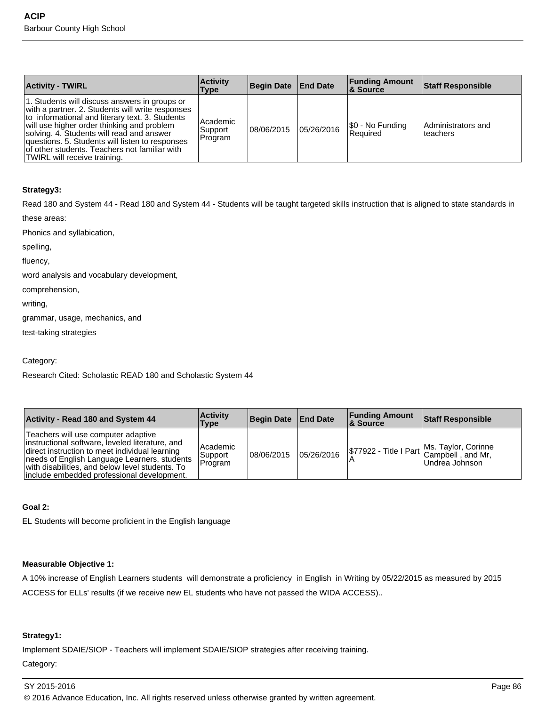| <b>Activity - TWIRL</b>                                                                                                                                                                                                                                                                                                                                                             | <b>Activity</b><br>Type            | <b>Begin Date End Date</b> |            | <b>Funding Amount</b><br>∣& Source | <b>Staff Responsible</b>       |
|-------------------------------------------------------------------------------------------------------------------------------------------------------------------------------------------------------------------------------------------------------------------------------------------------------------------------------------------------------------------------------------|------------------------------------|----------------------------|------------|------------------------------------|--------------------------------|
| 1. Students will discuss answers in groups or<br>with a partner. 2. Students will write responses<br>to informational and literary text. 3. Students<br>will use higher order thinking and problem<br>solving. 4. Students will read and answer<br>questions. 5. Students will listen to responses<br>of other students. Teachers not familiar with<br>TWIRL will receive training. | l Academic<br> Support <br>Program | 108/06/2015                | 05/26/2016 | \$0 - No Funding<br>l Reauired     | Administrators and<br>teachers |

## **Strategy3:**

Read 180 and System 44 - Read 180 and System 44 - Students will be taught targeted skills instruction that is aligned to state standards in

these areas:

Phonics and syllabication,

spelling,

fluency,

word analysis and vocabulary development,

comprehension,

writing,

grammar, usage, mechanics, and

test-taking strategies

Category:

Research Cited: Scholastic READ 180 and Scholastic System 44

| Activity - Read 180 and System 44                                                                                                                                                                                                                                                          | <b>Activity</b><br>Type        | Begin Date End Date |            | <b>Funding Amount</b><br><b>&amp; Source</b> | <b>Staff Responsible</b>                                                          |
|--------------------------------------------------------------------------------------------------------------------------------------------------------------------------------------------------------------------------------------------------------------------------------------------|--------------------------------|---------------------|------------|----------------------------------------------|-----------------------------------------------------------------------------------|
| Teachers will use computer adaptive<br>instructional software, leveled literature, and<br>direct instruction to meet individual learning<br>needs of English Language Learners, students<br>with disabilities, and below level students. To<br>linclude embedded professional development. | Academic<br>Support<br>Program | 08/06/2015          | 05/26/2016 |                                              | \$77922 - Title I Part Ms. Taylor, Corinne<br>Campbell, and Mr,<br>Undrea Johnson |

#### **Goal 2:**

EL Students will become proficient in the English language

## **Measurable Objective 1:**

A 10% increase of English Learners students will demonstrate a proficiency in English in Writing by 05/22/2015 as measured by 2015 ACCESS for ELLs' results (if we receive new EL students who have not passed the WIDA ACCESS)..

## **Strategy1:**

Implement SDAIE/SIOP - Teachers will implement SDAIE/SIOP strategies after receiving training.

Category: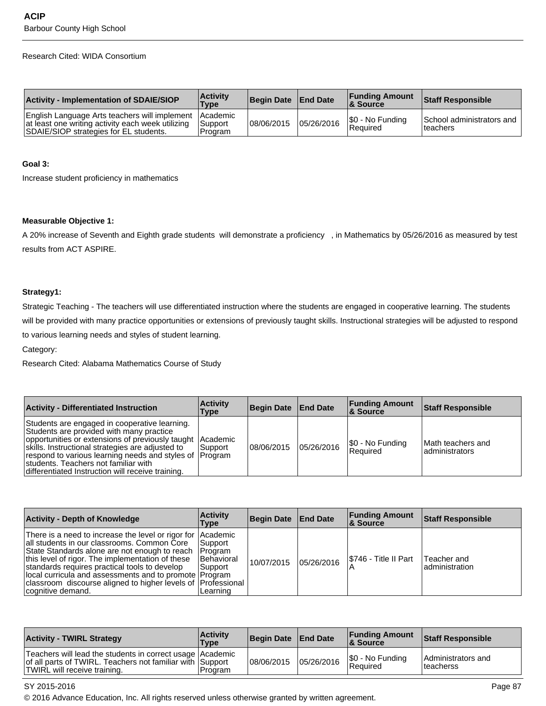#### Research Cited: WIDA Consortium

| <b>Activity - Implementation of SDAIE/SIOP</b>                                                                                                        | <b>Activity</b><br>Type     | Begin Date   End Date |            | <b>Funding Amount</b><br>& Source | <b>Staff Responsible</b>               |
|-------------------------------------------------------------------------------------------------------------------------------------------------------|-----------------------------|-----------------------|------------|-----------------------------------|----------------------------------------|
| English Language Arts teachers will implement Academic<br>at least one writing activity each week utilizing<br>SDAIE/SIOP strategies for EL students. | <b>Support</b><br>l Program | 08/06/2015            | 05/26/2016 | \$0 - No Funding<br>l Reauired    | School administrators and<br>Iteachers |

#### **Goal 3:**

Increase student proficiency in mathematics

#### **Measurable Objective 1:**

A 20% increase of Seventh and Eighth grade students will demonstrate a proficiency , in Mathematics by 05/26/2016 as measured by test results from ACT ASPIRE.

## **Strategy1:**

Strategic Teaching - The teachers will use differentiated instruction where the students are engaged in cooperative learning. The students will be provided with many practice opportunities or extensions of previously taught skills. Instructional strategies will be adjusted to respond to various learning needs and styles of student learning.

#### Category:

Research Cited: Alabama Mathematics Course of Study

| <b>Activity - Differentiated Instruction</b>                                                                                                                                                                                                                                                                                                                        | <b>Activity</b><br>Type | Begin Date End Date |            | <b>Funding Amount</b><br><b>8 Source</b> | <b>Staff Responsible</b>              |
|---------------------------------------------------------------------------------------------------------------------------------------------------------------------------------------------------------------------------------------------------------------------------------------------------------------------------------------------------------------------|-------------------------|---------------------|------------|------------------------------------------|---------------------------------------|
| Students are engaged in cooperative learning.<br>Students are provided with many practice<br>opportunities or extensions of previously taught Academic<br>skills. Instructional strategies are adjusted to<br>respond to various learning needs and styles of Program<br>Istudents. Teachers not familiar with<br>differentiated Instruction will receive training. | l Support               | 08/06/2015          | 05/26/2016 | \$0 - No Funding<br>l Reauired           | lMath teachers and<br>ladministrators |

| <b>Activity - Depth of Knowledge</b>                                                                                                                                                                                                                                                                                                                                                                                        | <b>Activity</b><br>Type                          | Begin Date   End Date |            | <b>Funding Amount</b><br>8 Source | <b>Staff Responsible</b>       |
|-----------------------------------------------------------------------------------------------------------------------------------------------------------------------------------------------------------------------------------------------------------------------------------------------------------------------------------------------------------------------------------------------------------------------------|--------------------------------------------------|-----------------------|------------|-----------------------------------|--------------------------------|
| There is a need to increase the level or rigor for Academic<br>all students in our classrooms. Common Core<br>State Standards alone are not enough to reach   Program<br>this level of rigor. The implementation of these<br>standards requires practical tools to develop<br>local curricula and assessments and to promote   Program<br>classroom discourse aligned to higher levels of Professional<br>cognitive demand. | l Support<br>Behavioral<br>l Support<br>Learning | 10/07/2015            | 05/26/2016 | I\$746 - Title II Part            | Teacher and<br>ladministration |

| <b>Activity - TWIRL Strategy</b>                                                                                                                         | <b>Activity</b><br>Type | Begin Date   End Date |            | <b>Funding Amount</b><br>8 Source | <b>Staff Responsible</b>         |
|----------------------------------------------------------------------------------------------------------------------------------------------------------|-------------------------|-----------------------|------------|-----------------------------------|----------------------------------|
| Teachers will lead the students in correct usage   Academic<br>of all parts of TWIRL. Teachers not familiar with Support<br>TWIRL will receive training. | l Program               | 108/06/2015           | 05/26/2016 | \$0 - No Funding<br>Required      | Administrators and<br>Iteacherss |

#### SY 2015-2016 Page 87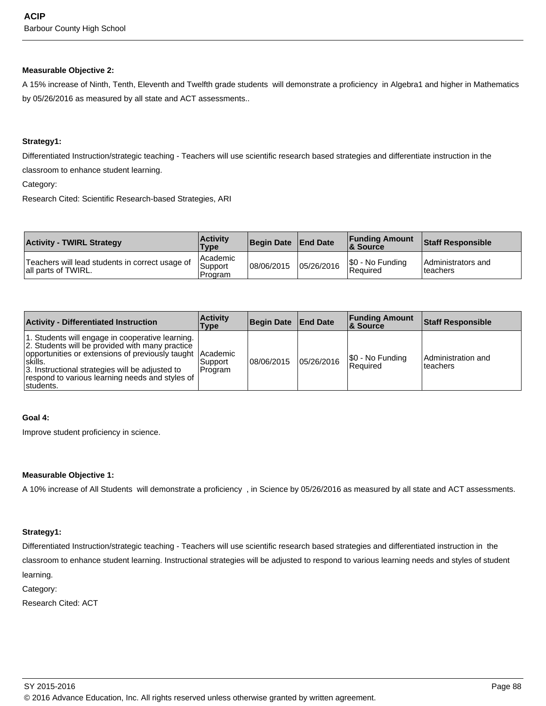#### **Measurable Objective 2:**

A 15% increase of Ninth, Tenth, Eleventh and Twelfth grade students will demonstrate a proficiency in Algebra1 and higher in Mathematics by 05/26/2016 as measured by all state and ACT assessments..

#### **Strategy1:**

Differentiated Instruction/strategic teaching - Teachers will use scientific research based strategies and differentiate instruction in the

classroom to enhance student learning.

Category:

Research Cited: Scientific Research-based Strategies, ARI

| <b>Activity - TWIRL Strategy</b>                                       | <b>Activity</b><br><b>Type</b>   | Begin Date   End Date |            | <b>Funding Amount</b><br>& Source | <b>Staff Responsible</b>          |
|------------------------------------------------------------------------|----------------------------------|-----------------------|------------|-----------------------------------|-----------------------------------|
| Teachers will lead students in correct usage of<br>all parts of TWIRL. | l Academic<br>Support<br>Program | 108/06/2015           | 05/26/2016 | S0 - No Funding<br>Required       | l Administrators and<br>lteachers |

| <b>Activity - Differentiated Instruction</b>                                                                                                                                                                                                                                                     | <b>Activity</b><br>Type | <b>Begin Date</b> | <b>End Date</b> | <b>Funding Amount</b><br>∣& Source | <b>Staff Responsible</b>       |
|--------------------------------------------------------------------------------------------------------------------------------------------------------------------------------------------------------------------------------------------------------------------------------------------------|-------------------------|-------------------|-----------------|------------------------------------|--------------------------------|
| 1. Students will engage in cooperative learning.<br>2. Students will be provided with many practice<br>opportunities or extensions of previously taught Academic<br>lskills.<br>3. Instructional strategies will be adjusted to<br>respond to various learning needs and styles of<br>Istudents. | l Support<br>Program    | 08/06/2015        | 05/26/2016      | \$0 - No Funding<br>Required       | Administration and<br>teachers |

## **Goal 4:**

Improve student proficiency in science.

#### **Measurable Objective 1:**

A 10% increase of All Students will demonstrate a proficiency , in Science by 05/26/2016 as measured by all state and ACT assessments.

## **Strategy1:**

Differentiated Instruction/strategic teaching - Teachers will use scientific research based strategies and differentiated instruction in the classroom to enhance student learning. Instructional strategies will be adjusted to respond to various learning needs and styles of student learning.

Category:

Research Cited: ACT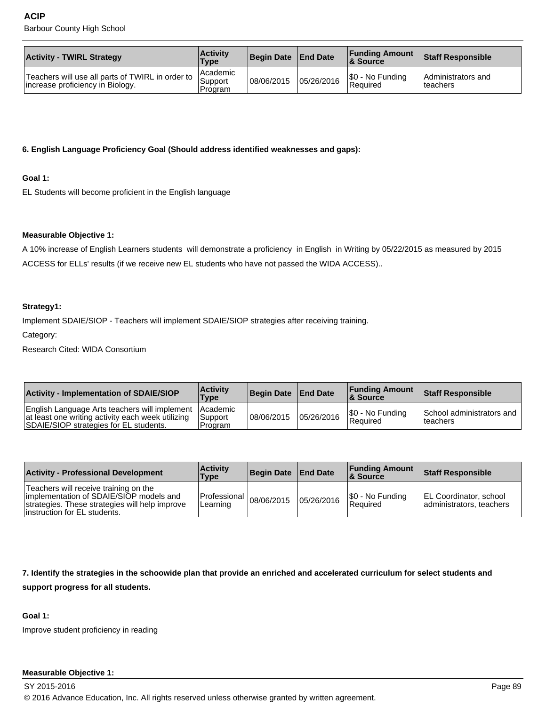| <b>Activity - TWIRL Strategy</b>                                                       | <b>Activity</b><br><b>Type</b>   | Begin Date   End Date |            | <b>Funding Amount</b><br>& Source   | <b>Staff Responsible</b>               |
|----------------------------------------------------------------------------------------|----------------------------------|-----------------------|------------|-------------------------------------|----------------------------------------|
| Teachers will use all parts of TWIRL in order to  <br>Increase proficiency in Biology. | l Academic<br>Support<br>Program | 08/06/2015            | 05/26/2016 | \$0 - No Funding<br><b>Required</b> | Administrators and<br><b>Iteachers</b> |

## **6. English Language Proficiency Goal (Should address identified weaknesses and gaps):**

## **Goal 1:**

EL Students will become proficient in the English language

## **Measurable Objective 1:**

A 10% increase of English Learners students will demonstrate a proficiency in English in Writing by 05/22/2015 as measured by 2015 ACCESS for ELLs' results (if we receive new EL students who have not passed the WIDA ACCESS)..

#### **Strategy1:**

Implement SDAIE/SIOP - Teachers will implement SDAIE/SIOP strategies after receiving training.

Category:

Research Cited: WIDA Consortium

| <b>Activity - Implementation of SDAIE/SIOP</b>                                                                                                        | <b>Activity</b><br><b>Type</b>   | Begin Date   End Date |            | <b>Funding Amount</b><br>8 Source  | <b>Staff Responsible</b>               |
|-------------------------------------------------------------------------------------------------------------------------------------------------------|----------------------------------|-----------------------|------------|------------------------------------|----------------------------------------|
| English Language Arts teachers will implement Academic<br>at least one writing activity each week utilizing<br>SDAIE/SIOP strategies for EL students. | <b>Support</b><br><b>Program</b> | 108/06/2015           | 05/26/2016 | S0 - No Funding<br><b>Required</b> | School administrators and<br>lteachers |

| <b>Activity - Professional Development</b>                                                                                                                          | <b>Activity</b><br>Type                 | Begin Date   End Date |            | <b>Funding Amount</b><br>8 Source | Staff Responsible                                         |
|---------------------------------------------------------------------------------------------------------------------------------------------------------------------|-----------------------------------------|-----------------------|------------|-----------------------------------|-----------------------------------------------------------|
| Teachers will receive training on the<br>implementation of SDAIE/SIOP models and<br>strategies. These strategies will help improve<br>linstruction for EL students. | Professional $ 08/06/2015 $<br>Learning |                       | 05/26/2016 | \$0 - No Funding<br>Required      | <b>EL Coordinator, school</b><br>administrators, teachers |

#### **7. Identify the strategies in the schoowide plan that provide an enriched and accelerated curriculum for select students and**

#### **support progress for all students.**

## **Goal 1:**

Improve student proficiency in reading

## **Measurable Objective 1:**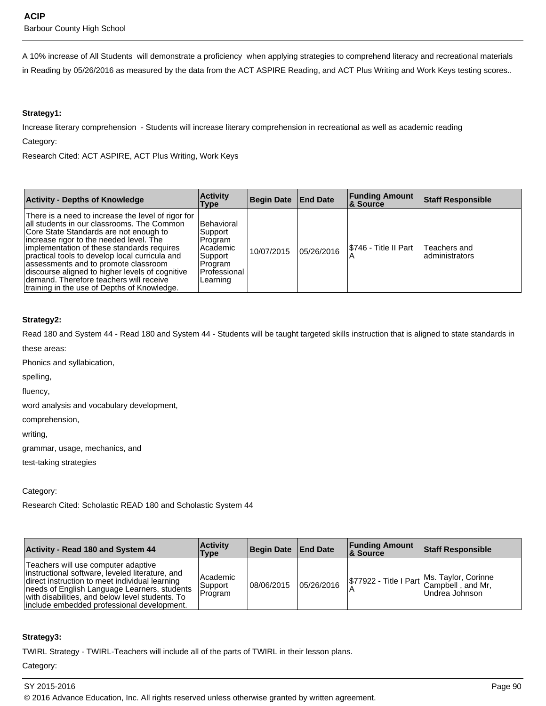A 10% increase of All Students will demonstrate a proficiency when applying strategies to comprehend literacy and recreational materials in Reading by 05/26/2016 as measured by the data from the ACT ASPIRE Reading, and ACT Plus Writing and Work Keys testing scores..

## **Strategy1:**

Increase literary comprehension - Students will increase literary comprehension in recreational as well as academic reading

Category:

Research Cited: ACT ASPIRE, ACT Plus Writing, Work Keys

| <b>Activity - Depths of Knowledge</b>                                                                                                                                                                                                                                                                                                                                                                                                                                      | <b>Activity</b><br>Type                                                                        | <b>Begin Date</b> | <b>End Date</b> | <b>Funding Amount</b><br><b>8 Source</b> | <b>Staff Responsible</b>       |
|----------------------------------------------------------------------------------------------------------------------------------------------------------------------------------------------------------------------------------------------------------------------------------------------------------------------------------------------------------------------------------------------------------------------------------------------------------------------------|------------------------------------------------------------------------------------------------|-------------------|-----------------|------------------------------------------|--------------------------------|
| There is a need to increase the level of rigor for<br>all students in our classrooms. The Common<br>Core State Standards are not enough to<br>increase rigor to the needed level. The<br>implementation of these standards requires<br>practical tools to develop local curricula and<br>assessments and to promote classroom<br>discourse aligned to higher levels of cognitive<br>demand. Therefore teachers will receive<br>training in the use of Depths of Knowledge. | Behavioral<br>Support<br>Program<br>Academic<br>Support<br>Program<br>Professional<br>Learning | 10/07/2015        | 05/26/2016      | I\$746 - Title II Part                   | Teachers and<br>administrators |

## **Strategy2:**

Read 180 and System 44 - Read 180 and System 44 - Students will be taught targeted skills instruction that is aligned to state standards in these areas:

Phonics and syllabication,

spelling,

fluency,

word analysis and vocabulary development,

comprehension,

writing,

grammar, usage, mechanics, and

test-taking strategies

## Category:

Research Cited: Scholastic READ 180 and Scholastic System 44

| <b>Activity - Read 180 and System 44</b>                                                                                                                                                                                                                                                  | <b>Activity</b><br>Type        | Begin Date   End Date |            | <b>Funding Amount</b><br><b>&amp; Source</b> | <b>Staff Responsible</b>                                                           |
|-------------------------------------------------------------------------------------------------------------------------------------------------------------------------------------------------------------------------------------------------------------------------------------------|--------------------------------|-----------------------|------------|----------------------------------------------|------------------------------------------------------------------------------------|
| Teachers will use computer adaptive<br>instructional software, leveled literature, and<br>direct instruction to meet individual learning<br>needs of English Language Learners, students<br>with disabilities, and below level students. To<br>include embedded professional development. | Academic<br>Support<br>Program | 108/06/2015           | 05/26/2016 |                                              | \$77922 - Title I Part Ms. Taylor, Corinne<br>Campbell , and Mr,<br>Undrea Johnson |

## **Strategy3:**

TWIRL Strategy - TWIRL-Teachers will include all of the parts of TWIRL in their lesson plans.

Category: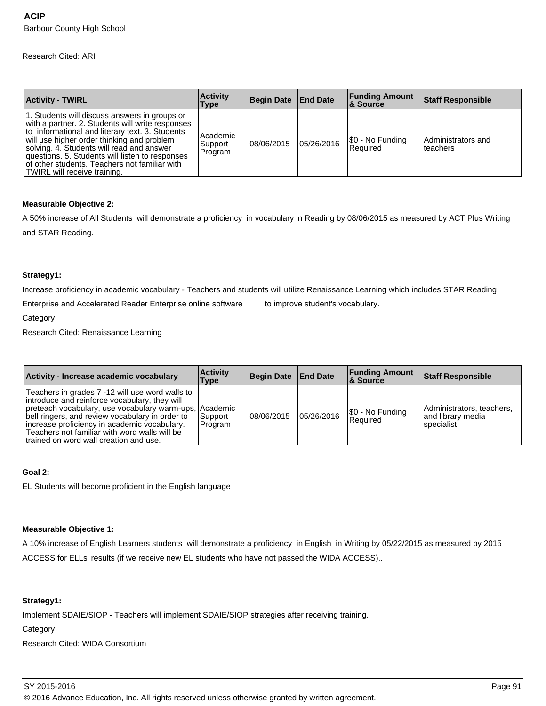#### Research Cited: ARI

| <b>Activity - TWIRL</b>                                                                                                                                                                                                                                                                                                                                                             | <b>Activity</b><br>Type        | Begin Date End Date |            | <b>Funding Amount</b><br>∣& Source | <b>Staff Responsible</b>       |
|-------------------------------------------------------------------------------------------------------------------------------------------------------------------------------------------------------------------------------------------------------------------------------------------------------------------------------------------------------------------------------------|--------------------------------|---------------------|------------|------------------------------------|--------------------------------|
| 1. Students will discuss answers in groups or<br>with a partner. 2. Students will write responses<br>to informational and literary text. 3. Students<br>will use higher order thinking and problem<br>solving. 4. Students will read and answer<br>questions. 5. Students will listen to responses<br>of other students. Teachers not familiar with<br>TWIRL will receive training. | Academic<br>Support<br>Program | 108/06/2015         | 05/26/2016 | [\$0 - No Funding<br>l Reauired    | Administrators and<br>teachers |

#### **Measurable Objective 2:**

A 50% increase of All Students will demonstrate a proficiency in vocabulary in Reading by 08/06/2015 as measured by ACT Plus Writing and STAR Reading.

#### **Strategy1:**

Increase proficiency in academic vocabulary - Teachers and students will utilize Renaissance Learning which includes STAR Reading

Enterprise and Accelerated Reader Enterprise online software to improve student's vocabulary.

Category:

Research Cited: Renaissance Learning

| Activity - Increase academic vocabulary                                                                                                                                                                                                                                                                                                                    | <b>Activity</b><br>Type | Begin Date   End Date |            | <b>Funding Amount</b><br><b>8 Source</b> | <b>Staff Responsible</b>                                      |
|------------------------------------------------------------------------------------------------------------------------------------------------------------------------------------------------------------------------------------------------------------------------------------------------------------------------------------------------------------|-------------------------|-----------------------|------------|------------------------------------------|---------------------------------------------------------------|
| Teachers in grades 7 -12 will use word walls to<br>introduce and reinforce vocabulary, they will<br>preteach vocabulary, use vocabulary warm-ups, Academic<br>bell ringers, and review vocabulary in order to<br>lincrease proficiency in academic vocabulary.<br>Teachers not familiar with word walls will be<br>Itrained on word wall creation and use. | Support<br>Program      | 08/06/2015            | 05/26/2016 | \$0 - No Funding<br>l Reauired           | Administrators, teachers,<br>land librarv media<br>specialist |

#### **Goal 2:**

EL Students will become proficient in the English language

## **Measurable Objective 1:**

A 10% increase of English Learners students will demonstrate a proficiency in English in Writing by 05/22/2015 as measured by 2015 ACCESS for ELLs' results (if we receive new EL students who have not passed the WIDA ACCESS)..

## **Strategy1:**

Implement SDAIE/SIOP - Teachers will implement SDAIE/SIOP strategies after receiving training.

Category:

Research Cited: WIDA Consortium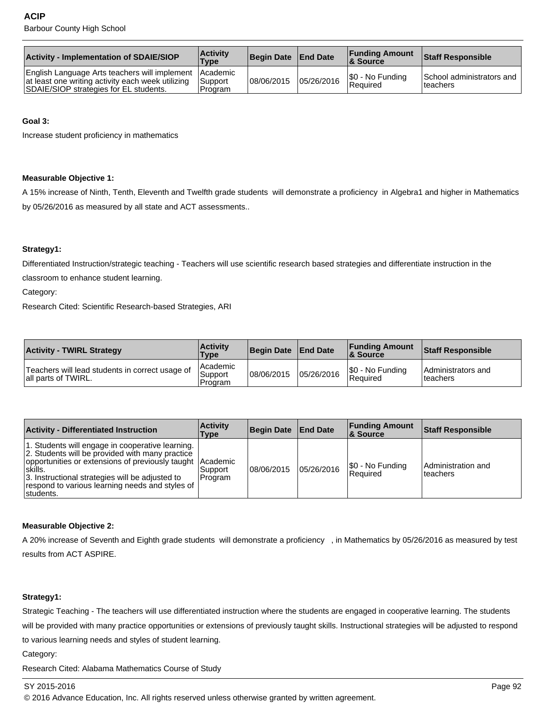| <b>Activity - Implementation of SDAIE/SIOP</b>                                                                                                        | <b>Activity</b><br><b>Type</b> | Begin Date End Date |            | <b>Funding Amount</b><br>& Source | Staff Responsible                      |
|-------------------------------------------------------------------------------------------------------------------------------------------------------|--------------------------------|---------------------|------------|-----------------------------------|----------------------------------------|
| English Language Arts teachers will implement Academic<br>at least one writing activity each week utilizing<br>SDAIE/SIOP strategies for EL students. | <b>Support</b><br>Program      | 08/06/2015          | 05/26/2016 | S0 - No Funding<br>l Reauired     | School administrators and<br>Iteachers |

## **Goal 3:**

Increase student proficiency in mathematics

#### **Measurable Objective 1:**

A 15% increase of Ninth, Tenth, Eleventh and Twelfth grade students will demonstrate a proficiency in Algebra1 and higher in Mathematics by 05/26/2016 as measured by all state and ACT assessments..

## **Strategy1:**

Differentiated Instruction/strategic teaching - Teachers will use scientific research based strategies and differentiate instruction in the

classroom to enhance student learning.

Category:

Research Cited: Scientific Research-based Strategies, ARI

| <b>Activity - TWIRL Strategy</b>                                       | <b>Activity</b><br><b>Type</b>   | Begin Date End Date |            | <b>Funding Amount</b><br><b>&amp; Source</b> | <b>Staff Responsible</b>         |
|------------------------------------------------------------------------|----------------------------------|---------------------|------------|----------------------------------------------|----------------------------------|
| Teachers will lead students in correct usage of<br>all parts of TWIRL. | l Academic<br>Support<br>Program | 08/06/2015          | 05/26/2016 | \$0 - No Funding<br>Required                 | IAdministrators and<br>lteachers |

| <b>Activity - Differentiated Instruction</b>                                                                                                                                                                                                                                                     | <b>Activity</b><br>Type | Begin Date   End Date |            | <b>Funding Amount</b><br><b>8 Source</b> | <b>Staff Responsible</b>       |
|--------------------------------------------------------------------------------------------------------------------------------------------------------------------------------------------------------------------------------------------------------------------------------------------------|-------------------------|-----------------------|------------|------------------------------------------|--------------------------------|
| 1. Students will engage in cooperative learning.<br>2. Students will be provided with many practice<br>opportunities or extensions of previously taught Academic<br>Iskills.<br>3. Instructional strategies will be adjusted to<br>respond to various learning needs and styles of<br>Istudents. | l Support<br>Program    | 108/06/2015           | 05/26/2016 | \$0 - No Funding<br>l Reauired           | Administration and<br>teachers |

## **Measurable Objective 2:**

A 20% increase of Seventh and Eighth grade students will demonstrate a proficiency , in Mathematics by 05/26/2016 as measured by test results from ACT ASPIRE.

## **Strategy1:**

Strategic Teaching - The teachers will use differentiated instruction where the students are engaged in cooperative learning. The students will be provided with many practice opportunities or extensions of previously taught skills. Instructional strategies will be adjusted to respond to various learning needs and styles of student learning.

Category:

Research Cited: Alabama Mathematics Course of Study

#### SY 2015-2016 Page 92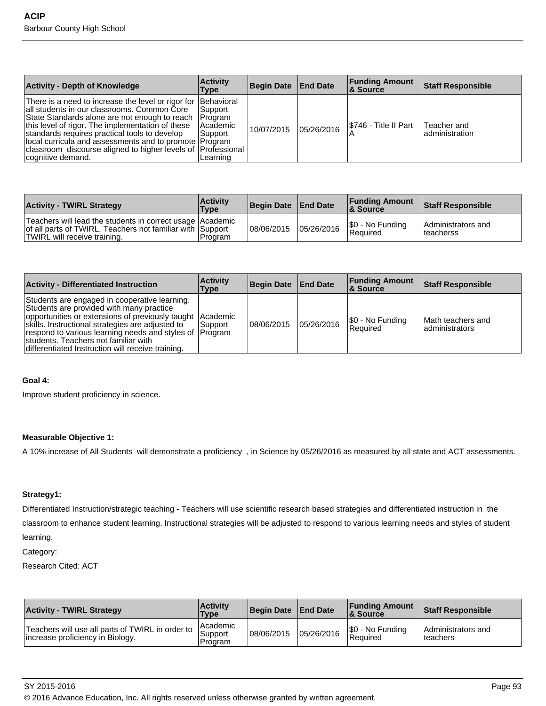| <b>Activity - Depth of Knowledge</b>                                                                                                                                                                                                                                                                                                                                                                              | <b>Activity</b><br>Type                                    | <b>Begin Date</b> | <b>End Date</b> | <b>Funding Amount</b><br>∣& Source | <b>Staff Responsible</b>       |
|-------------------------------------------------------------------------------------------------------------------------------------------------------------------------------------------------------------------------------------------------------------------------------------------------------------------------------------------------------------------------------------------------------------------|------------------------------------------------------------|-------------------|-----------------|------------------------------------|--------------------------------|
| There is a need to increase the level or rigor for Behavioral<br>all students in our classrooms. Common Core<br>State Standards alone are not enough to reach<br>this level of rigor. The implementation of these<br>standards requires practical tools to develop<br>local curricula and assessments and to promote Program<br>classroom discourse aligned to higher levels of Professional<br>cognitive demand. | Support<br> Program<br>l Academic<br> Support <br>Learning | 10/07/2015        | 05/26/2016      | I\$746 - Title II Part             | Teacher and<br>ladministration |

| <b>Activity - TWIRL Strategy</b>                                                                                                                       | <b>Activity</b><br>Type | Begin Date   End Date |            | <b>Funding Amount</b><br><b>&amp; Source</b> | <b>Staff Responsible</b>         |
|--------------------------------------------------------------------------------------------------------------------------------------------------------|-------------------------|-----------------------|------------|----------------------------------------------|----------------------------------|
| Teachers will lead the students in correct usage Academic<br>of all parts of TWIRL. Teachers not familiar with Support<br>TWIRL will receive training. | l Program               | 08/06/2015            | 05/26/2016 | \$0 - No Funding<br>Required                 | Administrators and<br>Iteacherss |

| <b>Activity - Differentiated Instruction</b>                                                                                                                                                                                                                                                                                                                       | <b>Activity</b><br>Type | Begin Date   End Date |            | <b>Funding Amount</b><br>8. Source | <b>Staff Responsible</b>             |
|--------------------------------------------------------------------------------------------------------------------------------------------------------------------------------------------------------------------------------------------------------------------------------------------------------------------------------------------------------------------|-------------------------|-----------------------|------------|------------------------------------|--------------------------------------|
| Students are engaged in cooperative learning.<br>Students are provided with many practice<br>opportunities or extensions of previously taught Academic<br>skills. Instructional strategies are adjusted to<br>respond to various learning needs and styles of Program<br>students. Teachers not familiar with<br>differentiated Instruction will receive training. | l Support               | 108/06/2015           | 05/26/2016 | \$0 - No Funding<br>l Reauired     | Math teachers and<br>ladministrators |

#### **Goal 4:**

Improve student proficiency in science.

#### **Measurable Objective 1:**

A 10% increase of All Students will demonstrate a proficiency , in Science by 05/26/2016 as measured by all state and ACT assessments.

## **Strategy1:**

Differentiated Instruction/strategic teaching - Teachers will use scientific research based strategies and differentiated instruction in the classroom to enhance student learning. Instructional strategies will be adjusted to respond to various learning needs and styles of student learning.

## Category:

Research Cited: ACT

| <b>Activity - TWIRL Strategy</b>                                                     | <b>Activity</b><br><b>Type</b> | Begin Date   End Date |            | <b>Funding Amount</b><br>8 Source | <b>Staff Responsible</b>               |
|--------------------------------------------------------------------------------------|--------------------------------|-----------------------|------------|-----------------------------------|----------------------------------------|
| Teachers will use all parts of TWIRL in order to<br>Increase proficiency in Biology. | Academic<br>Support<br>Program | 108/06/2015           | 05/26/2016 | \$0 - No Funding<br>Required      | Administrators and<br><b>Iteachers</b> |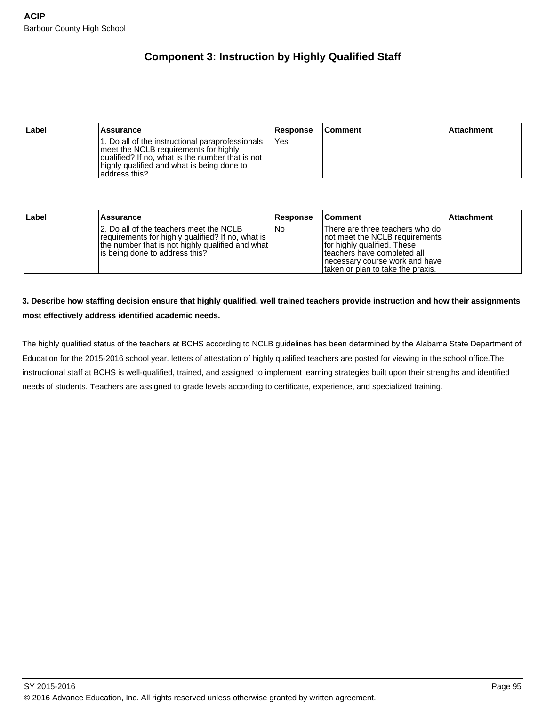# **Component 3: Instruction by Highly Qualified Staff**

| ∣Label | <b>Assurance</b>                                                                                                                                                                                                | <b>Response</b> | <b>Comment</b> | l Attachment |
|--------|-----------------------------------------------------------------------------------------------------------------------------------------------------------------------------------------------------------------|-----------------|----------------|--------------|
|        | 1. Do all of the instructional paraprofessionals<br>I meet the NCLB requirements for highly<br>qualified? If no, what is the number that is not<br>highly qualified and what is being done to<br>laddress this? | 'Yes            |                |              |

| Label | <b>Assurance</b>                                                                                                                                                                    | <b>Response</b> | <b>Comment</b>                                                                                                                                                                                           | ∣Attachment |
|-------|-------------------------------------------------------------------------------------------------------------------------------------------------------------------------------------|-----------------|----------------------------------------------------------------------------------------------------------------------------------------------------------------------------------------------------------|-------------|
|       | 12. Do all of the teachers meet the NCLB<br>requirements for highly qualified? If no, what is<br>the number that is not highly qualified and what<br>is being done to address this? | l No            | There are three teachers who do<br>not meet the NCLB requirements<br>for highly qualified. These<br>teachers have completed all<br> necessary course work and have<br>Itaken or plan to take the praxis. |             |

# **3. Describe how staffing decision ensure that highly qualified, well trained teachers provide instruction and how their assignments most effectively address identified academic needs.**

The highly qualified status of the teachers at BCHS according to NCLB guidelines has been determined by the Alabama State Department of Education for the 2015-2016 school year. letters of attestation of highly qualified teachers are posted for viewing in the school office.The instructional staff at BCHS is well-qualified, trained, and assigned to implement learning strategies built upon their strengths and identified needs of students. Teachers are assigned to grade levels according to certificate, experience, and specialized training.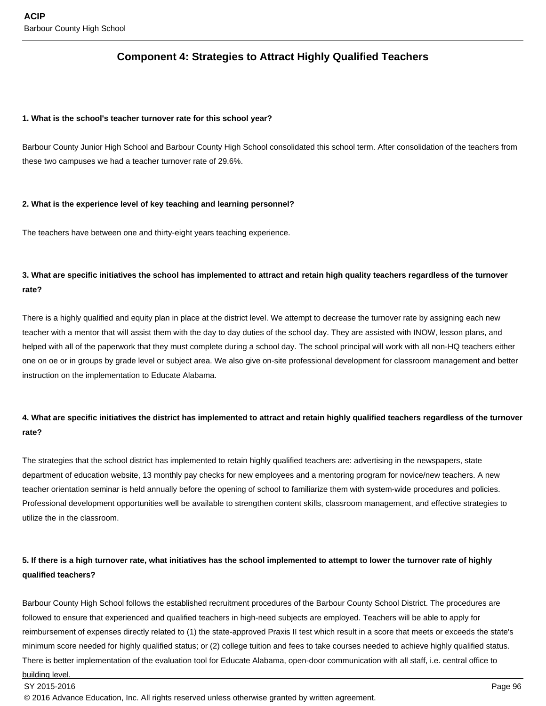# **Component 4: Strategies to Attract Highly Qualified Teachers**

#### **1. What is the school's teacher turnover rate for this school year?**

Barbour County Junior High School and Barbour County High School consolidated this school term. After consolidation of the teachers from these two campuses we had a teacher turnover rate of 29.6%.

## **2. What is the experience level of key teaching and learning personnel?**

The teachers have between one and thirty-eight years teaching experience.

# **3. What are specific initiatives the school has implemented to attract and retain high quality teachers regardless of the turnover rate?**

There is a highly qualified and equity plan in place at the district level. We attempt to decrease the turnover rate by assigning each new teacher with a mentor that will assist them with the day to day duties of the school day. They are assisted with INOW, lesson plans, and helped with all of the paperwork that they must complete during a school day. The school principal will work with all non-HQ teachers either one on oe or in groups by grade level or subject area. We also give on-site professional development for classroom management and better instruction on the implementation to Educate Alabama.

# **4. What are specific initiatives the district has implemented to attract and retain highly qualified teachers regardless of the turnover rate?**

The strategies that the school district has implemented to retain highly qualified teachers are: advertising in the newspapers, state department of education website, 13 monthly pay checks for new employees and a mentoring program for novice/new teachers. A new teacher orientation seminar is held annually before the opening of school to familiarize them with system-wide procedures and policies. Professional development opportunities well be available to strengthen content skills, classroom management, and effective strategies to utilize the in the classroom.

# **5. If there is a high turnover rate, what initiatives has the school implemented to attempt to lower the turnover rate of highly qualified teachers?**

Barbour County High School follows the established recruitment procedures of the Barbour County School District. The procedures are followed to ensure that experienced and qualified teachers in high-need subjects are employed. Teachers will be able to apply for reimbursement of expenses directly related to (1) the state-approved Praxis II test which result in a score that meets or exceeds the state's minimum score needed for highly qualified status; or (2) college tuition and fees to take courses needed to achieve highly qualified status. There is better implementation of the evaluation tool for Educate Alabama, open-door communication with all staff, i.e. central office to building level.

SY 2015-2016 Page 96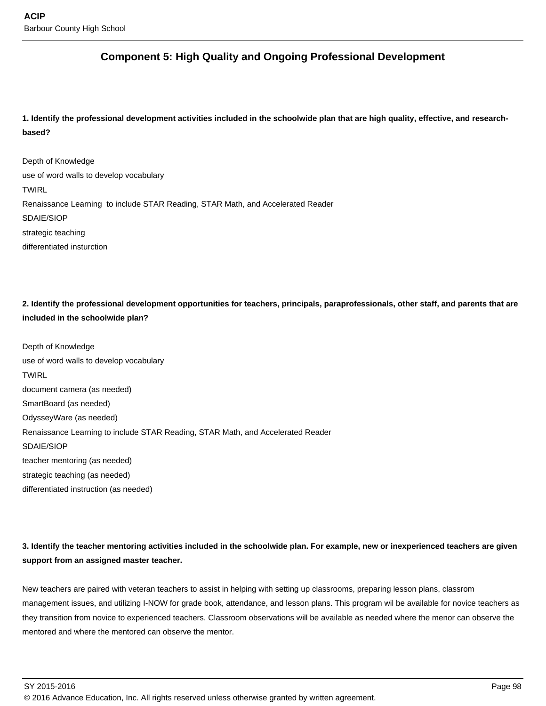# **Component 5: High Quality and Ongoing Professional Development**

**1. Identify the professional development activities included in the schoolwide plan that are high quality, effective, and researchbased?** 

Depth of Knowledge use of word walls to develop vocabulary TWIRL Renaissance Learning to include STAR Reading, STAR Math, and Accelerated Reader SDAIE/SIOP strategic teaching differentiated insturction

**2. Identify the professional development opportunities for teachers, principals, paraprofessionals, other staff, and parents that are included in the schoolwide plan?**

Depth of Knowledge use of word walls to develop vocabulary **TWIRL** document camera (as needed) SmartBoard (as needed) OdysseyWare (as needed) Renaissance Learning to include STAR Reading, STAR Math, and Accelerated Reader SDAIE/SIOP teacher mentoring (as needed) strategic teaching (as needed) differentiated instruction (as needed)

**3. Identify the teacher mentoring activities included in the schoolwide plan. For example, new or inexperienced teachers are given support from an assigned master teacher.**

New teachers are paired with veteran teachers to assist in helping with setting up classrooms, preparing lesson plans, classrom management issues, and utilizing I-NOW for grade book, attendance, and lesson plans. This program wil be available for novice teachers as they transition from novice to experienced teachers. Classroom observations will be available as needed where the menor can observe the mentored and where the mentored can observe the mentor.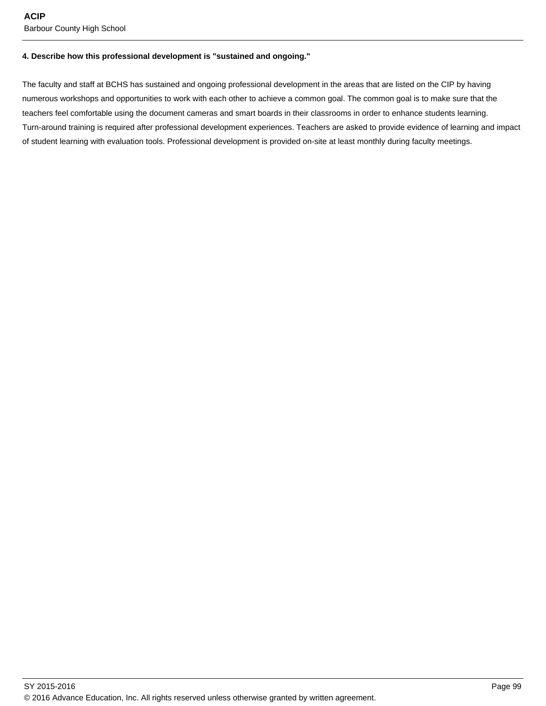#### **4. Describe how this professional development is "sustained and ongoing."**

The faculty and staff at BCHS has sustained and ongoing professional development in the areas that are listed on the CIP by having numerous workshops and opportunities to work with each other to achieve a common goal. The common goal is to make sure that the teachers feel comfortable using the document cameras and smart boards in their classrooms in order to enhance students learning. Turn-around training is required after professional development experiences. Teachers are asked to provide evidence of learning and impact of student learning with evaluation tools. Professional development is provided on-site at least monthly during faculty meetings.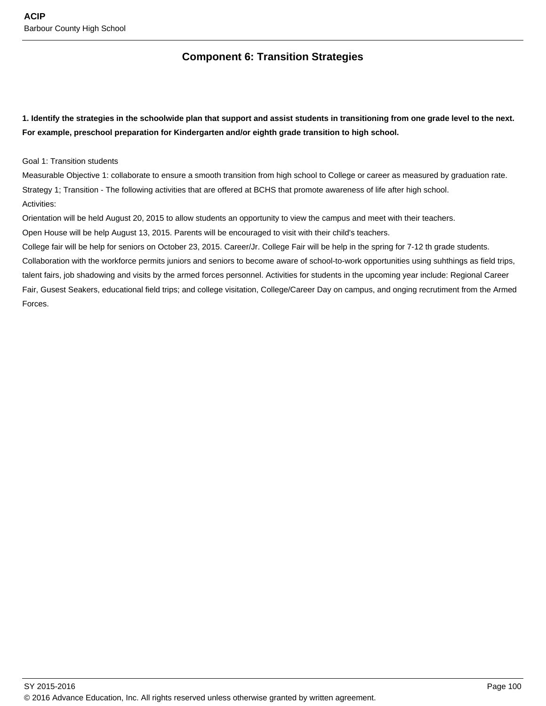# **Component 6: Transition Strategies**

**1. Identify the strategies in the schoolwide plan that support and assist students in transitioning from one grade level to the next. For example, preschool preparation for Kindergarten and/or eighth grade transition to high school.**

## Goal 1: Transition students

Measurable Objective 1: collaborate to ensure a smooth transition from high school to College or career as measured by graduation rate. Strategy 1; Transition - The following activities that are offered at BCHS that promote awareness of life after high school. Activities:

Orientation will be held August 20, 2015 to allow students an opportunity to view the campus and meet with their teachers. Open House will be help August 13, 2015. Parents will be encouraged to visit with their child's teachers.

College fair will be help for seniors on October 23, 2015. Career/Jr. College Fair will be help in the spring for 7-12 th grade students. Collaboration with the workforce permits juniors and seniors to become aware of school-to-work opportunities using suhthings as field trips, talent fairs, job shadowing and visits by the armed forces personnel. Activities for students in the upcoming year include: Regional Career Fair, Gusest Seakers, educational field trips; and college visitation, College/Career Day on campus, and onging recrutiment from the Armed Forces.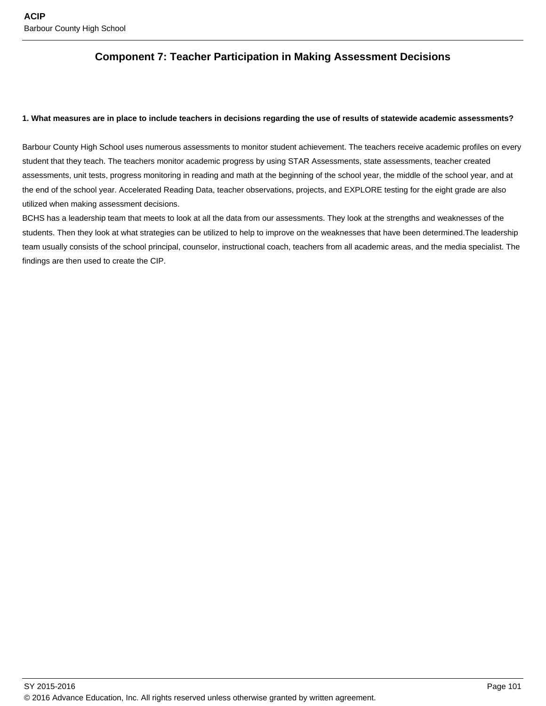# **Component 7: Teacher Participation in Making Assessment Decisions**

#### **1. What measures are in place to include teachers in decisions regarding the use of results of statewide academic assessments?**

Barbour County High School uses numerous assessments to monitor student achievement. The teachers receive academic profiles on every student that they teach. The teachers monitor academic progress by using STAR Assessments, state assessments, teacher created assessments, unit tests, progress monitoring in reading and math at the beginning of the school year, the middle of the school year, and at the end of the school year. Accelerated Reading Data, teacher observations, projects, and EXPLORE testing for the eight grade are also utilized when making assessment decisions.

BCHS has a leadership team that meets to look at all the data from our assessments. They look at the strengths and weaknesses of the students. Then they look at what strategies can be utilized to help to improve on the weaknesses that have been determined.The leadership team usually consists of the school principal, counselor, instructional coach, teachers from all academic areas, and the media specialist. The findings are then used to create the CIP.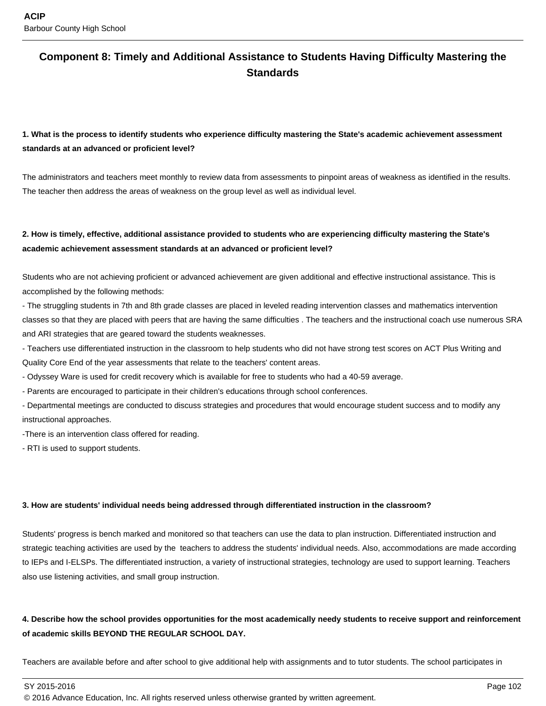# **Component 8: Timely and Additional Assistance to Students Having Difficulty Mastering the Standards**

# **1. What is the process to identify students who experience difficulty mastering the State's academic achievement assessment standards at an advanced or proficient level?**

The administrators and teachers meet monthly to review data from assessments to pinpoint areas of weakness as identified in the results. The teacher then address the areas of weakness on the group level as well as individual level.

# **2. How is timely, effective, additional assistance provided to students who are experiencing difficulty mastering the State's academic achievement assessment standards at an advanced or proficient level?**

Students who are not achieving proficient or advanced achievement are given additional and effective instructional assistance. This is accomplished by the following methods:

- The struggling students in 7th and 8th grade classes are placed in leveled reading intervention classes and mathematics intervention classes so that they are placed with peers that are having the same difficulties . The teachers and the instructional coach use numerous SRA and ARI strategies that are geared toward the students weaknesses.

- Teachers use differentiated instruction in the classroom to help students who did not have strong test scores on ACT Plus Writing and Quality Core End of the year assessments that relate to the teachers' content areas.

- Odyssey Ware is used for credit recovery which is available for free to students who had a 40-59 average.

- Parents are encouraged to participate in their children's educations through school conferences.

- Departmental meetings are conducted to discuss strategies and procedures that would encourage student success and to modify any instructional approaches.

-There is an intervention class offered for reading.

- RTI is used to support students.

## **3. How are students' individual needs being addressed through differentiated instruction in the classroom?**

Students' progress is bench marked and monitored so that teachers can use the data to plan instruction. Differentiated instruction and strategic teaching activities are used by the teachers to address the students' individual needs. Also, accommodations are made according to IEPs and I-ELSPs. The differentiated instruction, a variety of instructional strategies, technology are used to support learning. Teachers also use listening activities, and small group instruction.

# **4. Describe how the school provides opportunities for the most academically needy students to receive support and reinforcement of academic skills BEYOND THE REGULAR SCHOOL DAY.**

Teachers are available before and after school to give additional help with assignments and to tutor students. The school participates in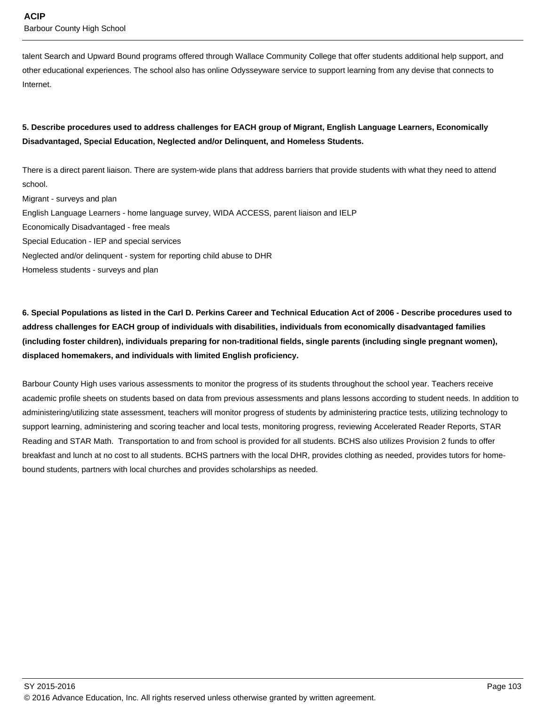talent Search and Upward Bound programs offered through Wallace Community College that offer students additional help support, and other educational experiences. The school also has online Odysseyware service to support learning from any devise that connects to Internet.

# **5. Describe procedures used to address challenges for EACH group of Migrant, English Language Learners, Economically Disadvantaged, Special Education, Neglected and/or Delinquent, and Homeless Students.**

There is a direct parent liaison. There are system-wide plans that address barriers that provide students with what they need to attend school.

Migrant - surveys and plan English Language Learners - home language survey, WIDA ACCESS, parent liaison and IELP Economically Disadvantaged - free meals Special Education - IEP and special services Neglected and/or delinquent - system for reporting child abuse to DHR Homeless students - surveys and plan

**6. Special Populations as listed in the Carl D. Perkins Career and Technical Education Act of 2006 - Describe procedures used to address challenges for EACH group of individuals with disabilities, individuals from economically disadvantaged families (including foster children), individuals preparing for non-traditional fields, single parents (including single pregnant women), displaced homemakers, and individuals with limited English proficiency.** 

Barbour County High uses various assessments to monitor the progress of its students throughout the school year. Teachers receive academic profile sheets on students based on data from previous assessments and plans lessons according to student needs. In addition to administering/utilizing state assessment, teachers will monitor progress of students by administering practice tests, utilizing technology to support learning, administering and scoring teacher and local tests, monitoring progress, reviewing Accelerated Reader Reports, STAR Reading and STAR Math. Transportation to and from school is provided for all students. BCHS also utilizes Provision 2 funds to offer breakfast and lunch at no cost to all students. BCHS partners with the local DHR, provides clothing as needed, provides tutors for homebound students, partners with local churches and provides scholarships as needed.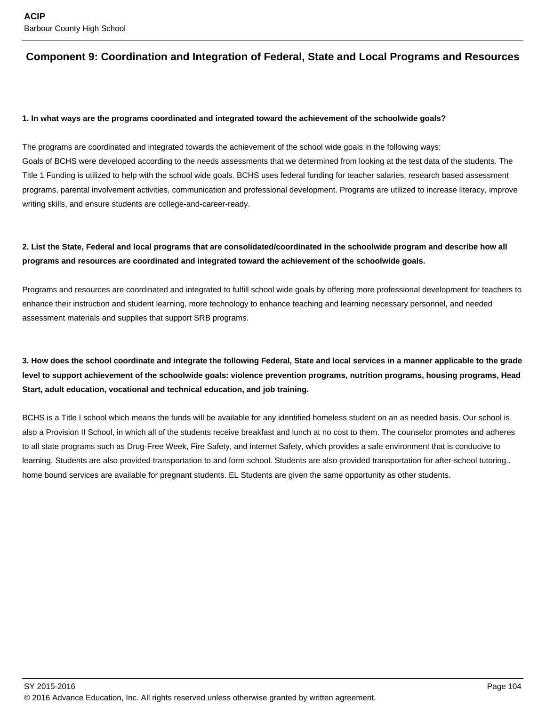# **Component 9: Coordination and Integration of Federal, State and Local Programs and Resources**

#### **1. In what ways are the programs coordinated and integrated toward the achievement of the schoolwide goals?**

The programs are coordinated and integrated towards the achievement of the school wide goals in the following ways; Goals of BCHS were developed according to the needs assessments that we determined from looking at the test data of the students. The Title 1 Funding is utilized to help with the school wide goals. BCHS uses federal funding for teacher salaries, research based assessment programs, parental involvement activities, communication and professional development. Programs are utilized to increase literacy, improve writing skills, and ensure students are college-and-career-ready.

## **2. List the State, Federal and local programs that are consolidated/coordinated in the schoolwide program and describe how all programs and resources are coordinated and integrated toward the achievement of the schoolwide goals.**

Programs and resources are coordinated and integrated to fulfill school wide goals by offering more professional development for teachers to enhance their instruction and student learning, more technology to enhance teaching and learning necessary personnel, and needed assessment materials and supplies that support SRB programs.

# **3. How does the school coordinate and integrate the following Federal, State and local services in a manner applicable to the grade level to support achievement of the schoolwide goals: violence prevention programs, nutrition programs, housing programs, Head Start, adult education, vocational and technical education, and job training.**

BCHS is a Title I school which means the funds will be available for any identified homeless student on an as needed basis. Our school is also a Provision II School, in which all of the students receive breakfast and lunch at no cost to them. The counselor promotes and adheres to all state programs such as Drug-Free Week, Fire Safety, and internet Safety, which provides a safe environment that is conducive to learning. Students are also provided transportation to and form school. Students are also provided transportation for after-school tutoring.. home bound services are available for pregnant students. EL Students are given the same opportunity as other students.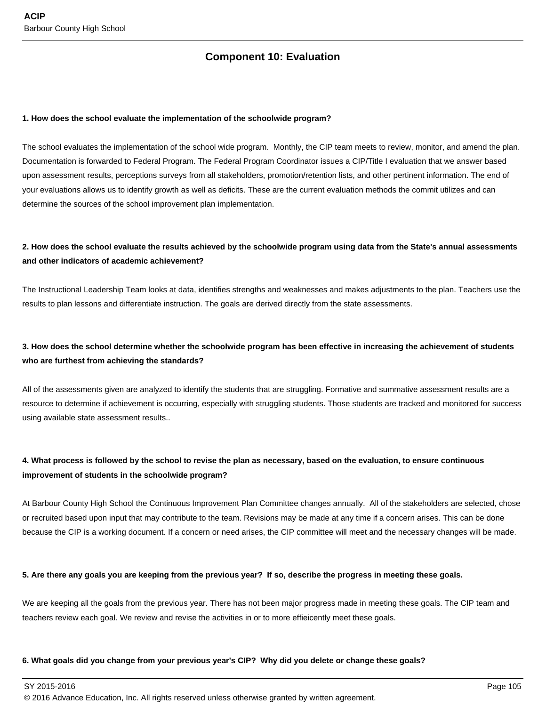# **Component 10: Evaluation**

#### **1. How does the school evaluate the implementation of the schoolwide program?**

The school evaluates the implementation of the school wide program. Monthly, the CIP team meets to review, monitor, and amend the plan. Documentation is forwarded to Federal Program. The Federal Program Coordinator issues a CIP/Title I evaluation that we answer based upon assessment results, perceptions surveys from all stakeholders, promotion/retention lists, and other pertinent information. The end of your evaluations allows us to identify growth as well as deficits. These are the current evaluation methods the commit utilizes and can determine the sources of the school improvement plan implementation.

## **2. How does the school evaluate the results achieved by the schoolwide program using data from the State's annual assessments and other indicators of academic achievement?**

The Instructional Leadership Team looks at data, identifies strengths and weaknesses and makes adjustments to the plan. Teachers use the results to plan lessons and differentiate instruction. The goals are derived directly from the state assessments.

## **3. How does the school determine whether the schoolwide program has been effective in increasing the achievement of students who are furthest from achieving the standards?**

All of the assessments given are analyzed to identify the students that are struggling. Formative and summative assessment results are a resource to determine if achievement is occurring, especially with struggling students. Those students are tracked and monitored for success using available state assessment results..

## **4. What process is followed by the school to revise the plan as necessary, based on the evaluation, to ensure continuous improvement of students in the schoolwide program?**

At Barbour County High School the Continuous Improvement Plan Committee changes annually. All of the stakeholders are selected, chose or recruited based upon input that may contribute to the team. Revisions may be made at any time if a concern arises. This can be done because the CIP is a working document. If a concern or need arises, the CIP committee will meet and the necessary changes will be made.

#### **5. Are there any goals you are keeping from the previous year? If so, describe the progress in meeting these goals.**

We are keeping all the goals from the previous year. There has not been major progress made in meeting these goals. The CIP team and teachers review each goal. We review and revise the activities in or to more effieicently meet these goals.

#### **6. What goals did you change from your previous year's CIP? Why did you delete or change these goals?**

SY 2015-2016 Page 105

© 2016 Advance Education, Inc. All rights reserved unless otherwise granted by written agreement.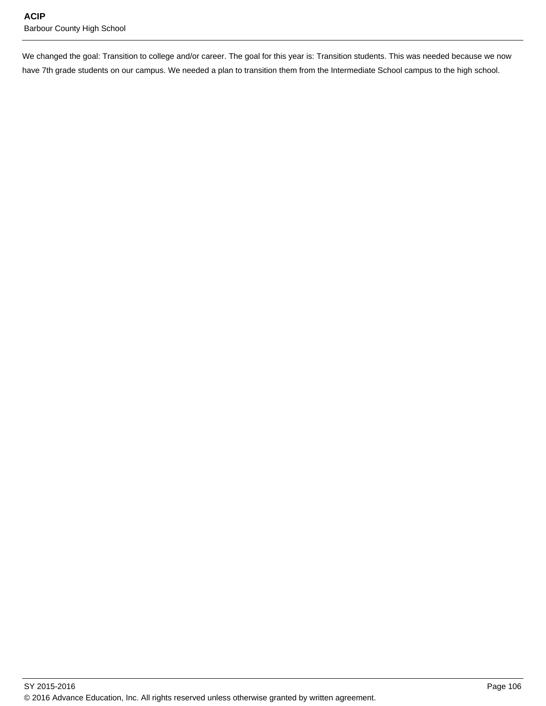We changed the goal: Transition to college and/or career. The goal for this year is: Transition students. This was needed because we now have 7th grade students on our campus. We needed a plan to transition them from the Intermediate School campus to the high school.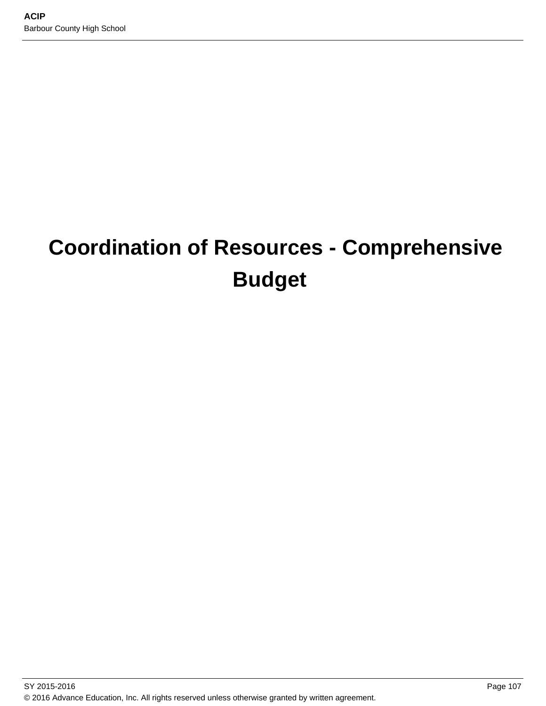# **Coordination of Resources - Comprehensive Budget**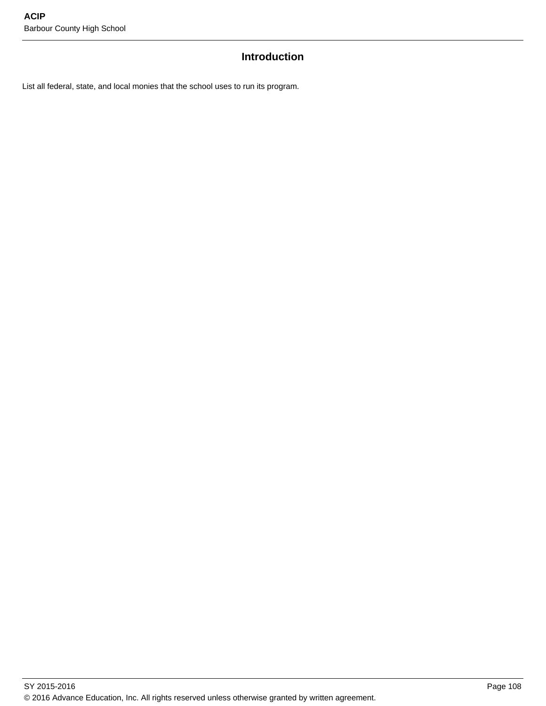# **Introduction**

List all federal, state, and local monies that the school uses to run its program.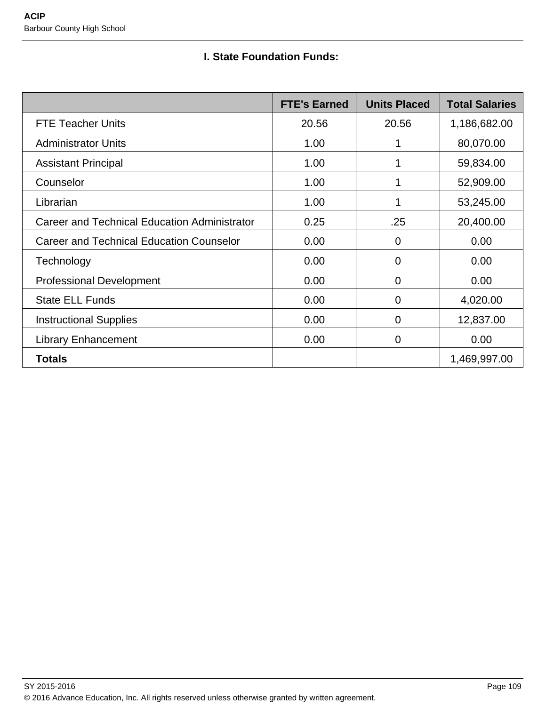# **I. State Foundation Funds:**

|                                                 | <b>FTE's Earned</b> | <b>Units Placed</b> | <b>Total Salaries</b> |
|-------------------------------------------------|---------------------|---------------------|-----------------------|
| <b>FTE Teacher Units</b>                        | 20.56               | 20.56               | 1,186,682.00          |
| <b>Administrator Units</b>                      | 1.00                |                     | 80,070.00             |
| <b>Assistant Principal</b>                      | 1.00                |                     | 59,834.00             |
| Counselor                                       | 1.00                |                     | 52,909.00             |
| Librarian                                       | 1.00                |                     | 53,245.00             |
| Career and Technical Education Administrator    | 0.25                | .25                 | 20,400.00             |
| <b>Career and Technical Education Counselor</b> | 0.00                | $\overline{0}$      | 0.00                  |
| Technology                                      | 0.00                | $\overline{0}$      | 0.00                  |
| <b>Professional Development</b>                 | 0.00                | 0                   | 0.00                  |
| <b>State ELL Funds</b>                          | 0.00                | $\mathbf 0$         | 4,020.00              |
| <b>Instructional Supplies</b>                   | 0.00                | $\overline{0}$      | 12,837.00             |
| <b>Library Enhancement</b>                      | 0.00                | 0                   | 0.00                  |
| <b>Totals</b>                                   |                     |                     | 1,469,997.00          |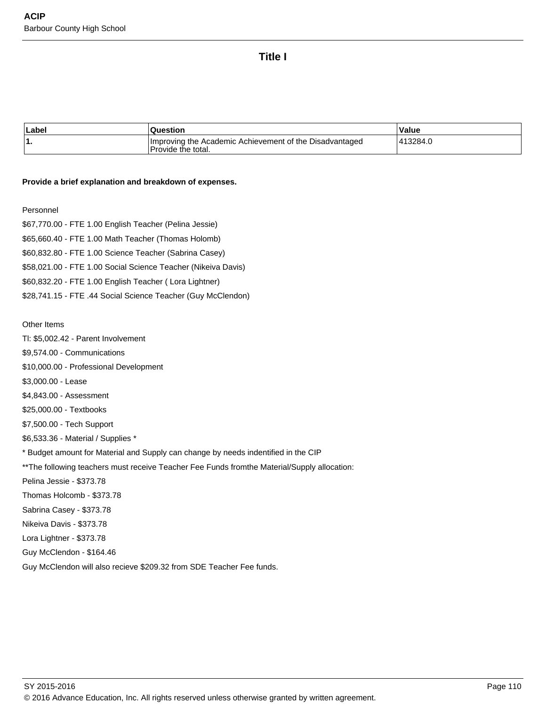## **Title I**

| Labe | Question                                                                      | Value    |
|------|-------------------------------------------------------------------------------|----------|
| . .  | Improving the Academic Achievement of the Disadvantaged<br>Provide the total. | '13284.ປ |

#### **Provide a brief explanation and breakdown of expenses.**

#### Personnel

\$67,770.00 - FTE 1.00 English Teacher (Pelina Jessie) \$65,660.40 - FTE 1.00 Math Teacher (Thomas Holomb) \$60,832.80 - FTE 1.00 Science Teacher (Sabrina Casey) \$58,021.00 - FTE 1.00 Social Science Teacher (Nikeiva Davis) \$60,832.20 - FTE 1.00 English Teacher ( Lora Lightner) \$28,741.15 - FTE .44 Social Science Teacher (Guy McClendon)

Other Items

Tl: \$5,002.42 - Parent Involvement

\$9,574.00 - Communications

\$10,000.00 - Professional Development

\$3,000.00 - Lease

\$4,843.00 - Assessment

\$25,000.00 - Textbooks

\$7,500.00 - Tech Support

\$6,533.36 - Material / Supplies \*

\* Budget amount for Material and Supply can change by needs indentified in the CIP

\*\* The following teachers must receive Teacher Fee Funds fromthe Material/Supply allocation:

Pelina Jessie - \$373.78

Thomas Holcomb - \$373.78

Sabrina Casey - \$373.78

Nikeiva Davis - \$373.78

Lora Lightner - \$373.78

Guy McClendon - \$164.46

Guy McClendon will also recieve \$209.32 from SDE Teacher Fee funds.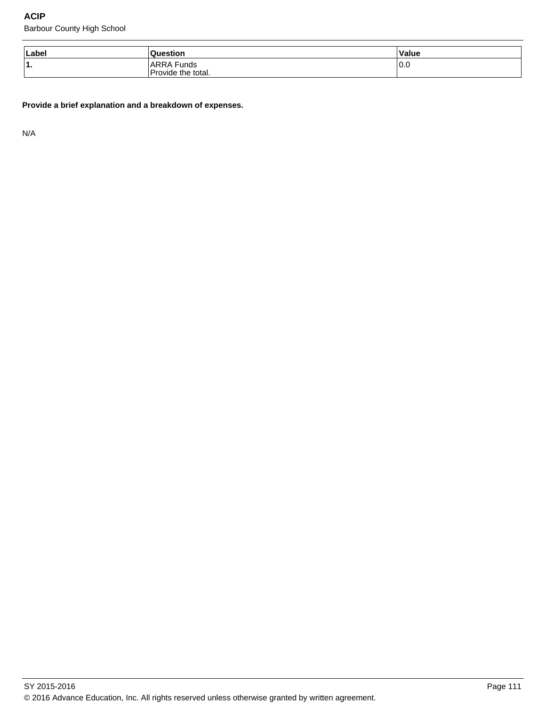Barbour County High School

| Label | ıestion                                | Value |
|-------|----------------------------------------|-------|
| 11.   | Funds ،<br>ARRA,<br>Provide the total. | 0.0   |

**Provide a brief explanation and a breakdown of expenses.**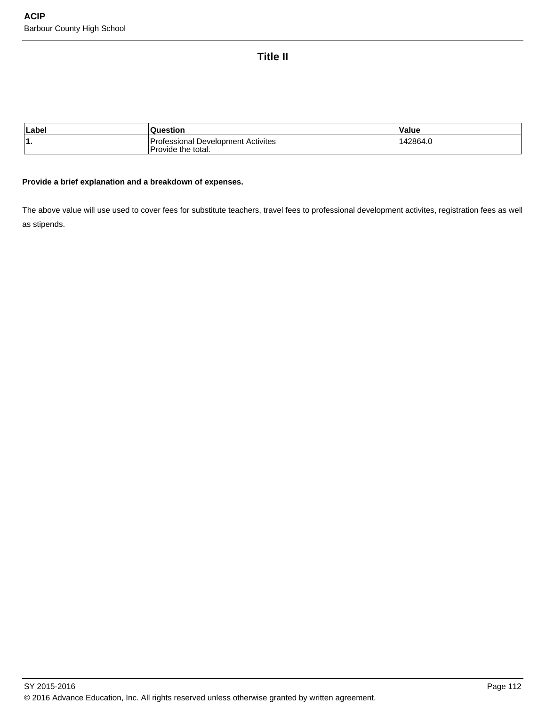# **Title II**

| Labe | Question                                                        | Value    |
|------|-----------------------------------------------------------------|----------|
| 1.   | <b>Protessional Development Activites</b><br>Provide the total. | 142864.u |

#### **Provide a brief explanation and a breakdown of expenses.**

The above value will use used to cover fees for substitute teachers, travel fees to professional development activites, registration fees as well as stipends.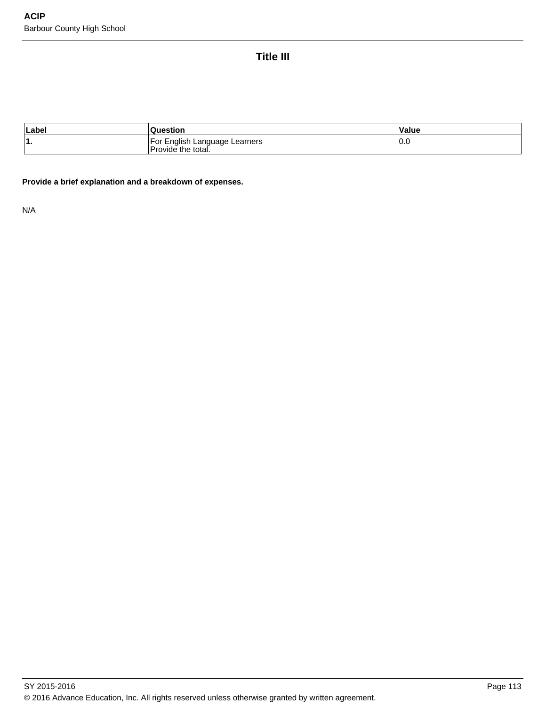# **Title III**

| Labe   | ≀uestion                                                                                   | Value |
|--------|--------------------------------------------------------------------------------------------|-------|
| и<br>. | . Enalish<br>For<br>ı Language Learners<br>$\overline{\phantom{a}}$<br>'Provide the total. | 10.0  |

**Provide a brief explanation and a breakdown of expenses.**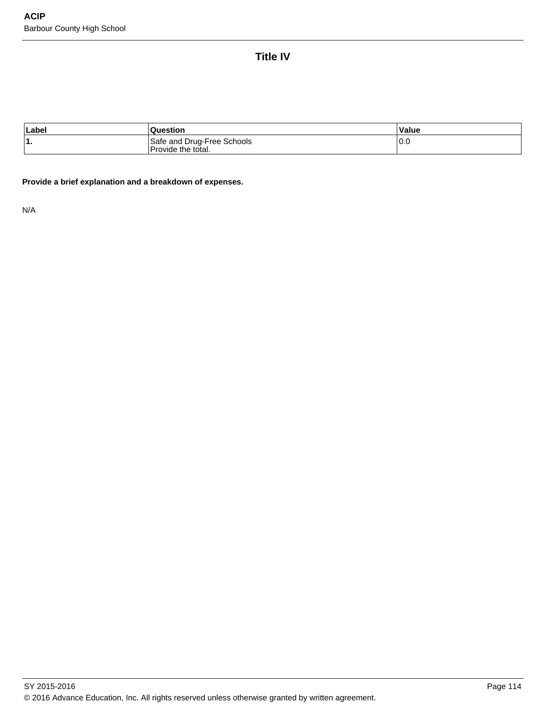**Title IV**

| Label | estior                                           | Value         |
|-------|--------------------------------------------------|---------------|
| '1.   | Safe and Drug-Free Schools<br>Provide the total. | $^{\circ}0.0$ |

**Provide a brief explanation and a breakdown of expenses.**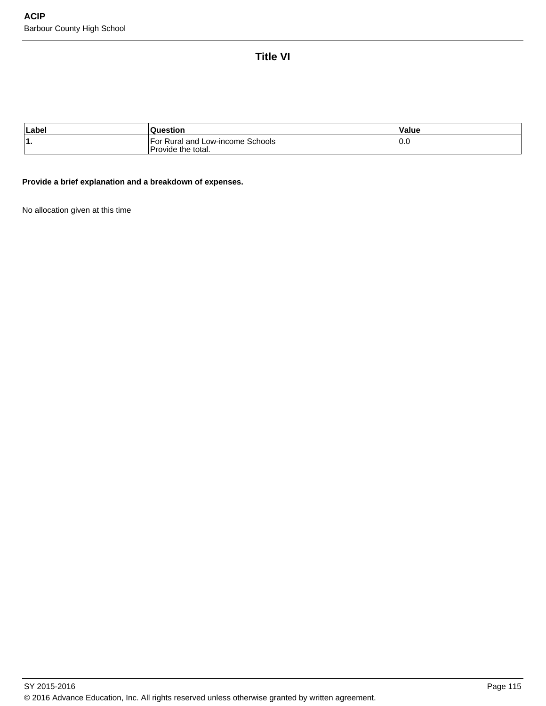# **Title VI**

| Labe     | uestion                                                  | Value |
|----------|----------------------------------------------------------|-------|
| и<br>. . | ⊺For Rural and Low-income Schools_<br>Provide the total. | 10.0  |

## **Provide a brief explanation and a breakdown of expenses.**

No allocation given at this time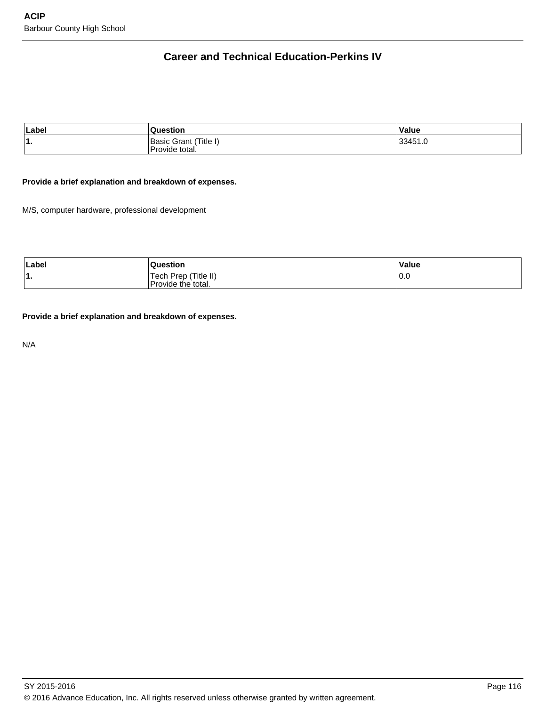# **Career and Technical Education-Perkins IV**

| Label | Question                                 | Value   |
|-------|------------------------------------------|---------|
| ۱1.   | (Basic Grant (Title I)<br>Provide total. | 33451.0 |

## **Provide a brief explanation and breakdown of expenses.**

M/S, computer hardware, professional development

| Label | Question                                   | Value |
|-------|--------------------------------------------|-------|
| . .   | Tech Prep (Title II)<br>Provide the total. | 10.0  |

**Provide a brief explanation and breakdown of expenses.**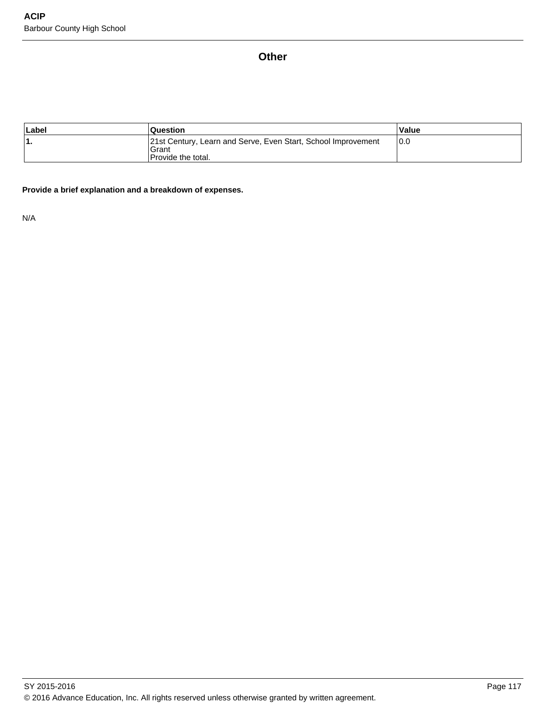## **Other**

| Label | <b>Question</b>                                                                                     | Value |
|-------|-----------------------------------------------------------------------------------------------------|-------|
|       | 21st Century, Learn and Serve, Even Start, School Improvement<br>Grant<br><b>Provide the total.</b> | 10.0  |

## **Provide a brief explanation and a breakdown of expenses.**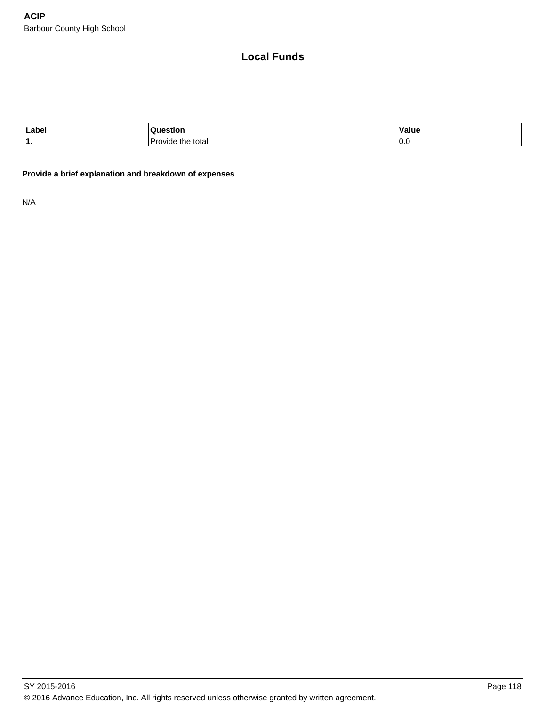# **Local Funds**

| Labe     |                       | alue     |
|----------|-----------------------|----------|
| и<br>. . | total<br>.ne<br>יו וו | ⌒<br>v.v |

## **Provide a brief explanation and breakdown of expenses**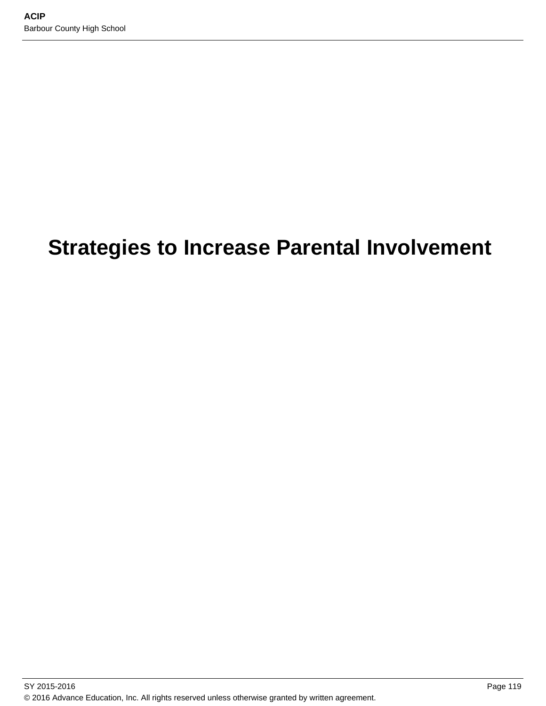# **Strategies to Increase Parental Involvement**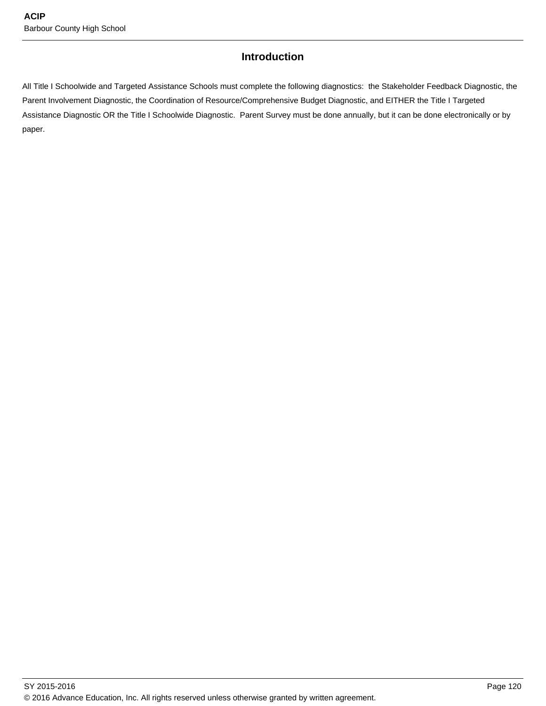# **Introduction**

All Title I Schoolwide and Targeted Assistance Schools must complete the following diagnostics: the Stakeholder Feedback Diagnostic, the Parent Involvement Diagnostic, the Coordination of Resource/Comprehensive Budget Diagnostic, and EITHER the Title I Targeted Assistance Diagnostic OR the Title I Schoolwide Diagnostic. Parent Survey must be done annually, but it can be done electronically or by paper.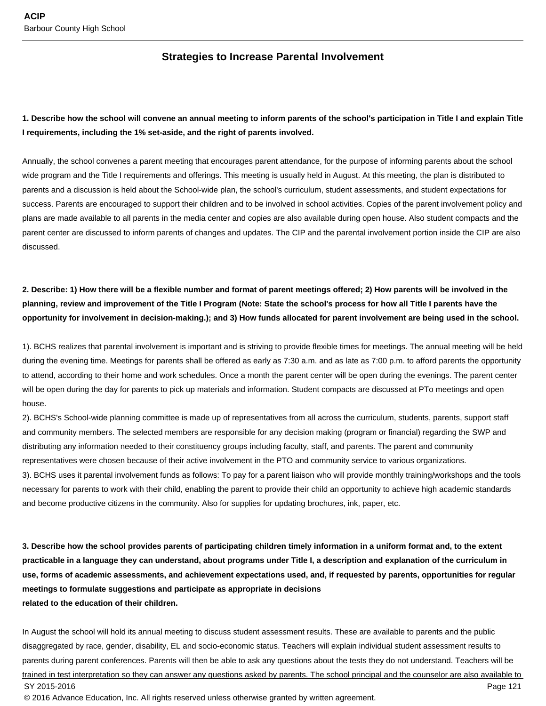## **Strategies to Increase Parental Involvement**

## **1. Describe how the school will convene an annual meeting to inform parents of the school's participation in Title I and explain Title I requirements, including the 1% set-aside, and the right of parents involved.**

Annually, the school convenes a parent meeting that encourages parent attendance, for the purpose of informing parents about the school wide program and the Title I requirements and offerings. This meeting is usually held in August. At this meeting, the plan is distributed to parents and a discussion is held about the School-wide plan, the school's curriculum, student assessments, and student expectations for success. Parents are encouraged to support their children and to be involved in school activities. Copies of the parent involvement policy and plans are made available to all parents in the media center and copies are also available during open house. Also student compacts and the parent center are discussed to inform parents of changes and updates. The CIP and the parental involvement portion inside the CIP are also discussed.

# **2. Describe: 1) How there will be a flexible number and format of parent meetings offered; 2) How parents will be involved in the planning, review and improvement of the Title I Program (Note: State the school's process for how all Title I parents have the opportunity for involvement in decision-making.); and 3) How funds allocated for parent involvement are being used in the school.**

1). BCHS realizes that parental involvement is important and is striving to provide flexible times for meetings. The annual meeting will be held during the evening time. Meetings for parents shall be offered as early as 7:30 a.m. and as late as 7:00 p.m. to afford parents the opportunity to attend, according to their home and work schedules. Once a month the parent center will be open during the evenings. The parent center will be open during the day for parents to pick up materials and information. Student compacts are discussed at PTo meetings and open house.

2). BCHS's School-wide planning committee is made up of representatives from all across the curriculum, students, parents, support staff and community members. The selected members are responsible for any decision making (program or financial) regarding the SWP and distributing any information needed to their constituency groups including faculty, staff, and parents. The parent and community representatives were chosen because of their active involvement in the PTO and community service to various organizations. 3). BCHS uses it parental involvement funds as follows: To pay for a parent liaison who will provide monthly training/workshops and the tools necessary for parents to work with their child, enabling the parent to provide their child an opportunity to achieve high academic standards and become productive citizens in the community. Also for supplies for updating brochures, ink, paper, etc.

**3. Describe how the school provides parents of participating children timely information in a uniform format and, to the extent practicable in a language they can understand, about programs under Title I, a description and explanation of the curriculum in use, forms of academic assessments, and achievement expectations used, and, if requested by parents, opportunities for regular meetings to formulate suggestions and participate as appropriate in decisions related to the education of their children.**

In August the school will hold its annual meeting to discuss student assessment results. These are available to parents and the public disaggregated by race, gender, disability, EL and socio-economic status. Teachers will explain individual student assessment results to parents during parent conferences. Parents will then be able to ask any questions about the tests they do not understand. Teachers will be trained in test interpretation so they can answer any questions asked by parents. The school principal and the counselor are also available to SY 2015-2016 Page 121 © 2016 Advance Education, Inc. All rights reserved unless otherwise granted by written agreement.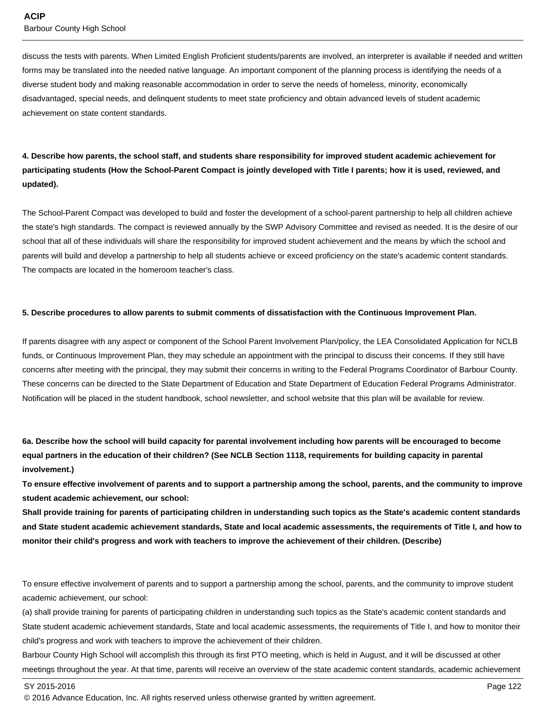discuss the tests with parents. When Limited English Proficient students/parents are involved, an interpreter is available if needed and written forms may be translated into the needed native language. An important component of the planning process is identifying the needs of a diverse student body and making reasonable accommodation in order to serve the needs of homeless, minority, economically disadvantaged, special needs, and delinquent students to meet state proficiency and obtain advanced levels of student academic achievement on state content standards.

# **4. Describe how parents, the school staff, and students share responsibility for improved student academic achievement for participating students (How the School-Parent Compact is jointly developed with Title I parents; how it is used, reviewed, and updated).**

The School-Parent Compact was developed to build and foster the development of a school-parent partnership to help all children achieve the state's high standards. The compact is reviewed annually by the SWP Advisory Committee and revised as needed. It is the desire of our school that all of these individuals will share the responsibility for improved student achievement and the means by which the school and parents will build and develop a partnership to help all students achieve or exceed proficiency on the state's academic content standards. The compacts are located in the homeroom teacher's class.

#### **5. Describe procedures to allow parents to submit comments of dissatisfaction with the Continuous Improvement Plan.**

If parents disagree with any aspect or component of the School Parent Involvement Plan/policy, the LEA Consolidated Application for NCLB funds, or Continuous Improvement Plan, they may schedule an appointment with the principal to discuss their concerns. If they still have concerns after meeting with the principal, they may submit their concerns in writing to the Federal Programs Coordinator of Barbour County. These concerns can be directed to the State Department of Education and State Department of Education Federal Programs Administrator. Notification will be placed in the student handbook, school newsletter, and school website that this plan will be available for review.

**6a. Describe how the school will build capacity for parental involvement including how parents will be encouraged to become equal partners in the education of their children? (See NCLB Section 1118, requirements for building capacity in parental involvement.)**

**To ensure effective involvement of parents and to support a partnership among the school, parents, and the community to improve student academic achievement, our school:**

**Shall provide training for parents of participating children in understanding such topics as the State's academic content standards and State student academic achievement standards, State and local academic assessments, the requirements of Title I, and how to monitor their child's progress and work with teachers to improve the achievement of their children. (Describe)**

To ensure effective involvement of parents and to support a partnership among the school, parents, and the community to improve student academic achievement, our school:

(a) shall provide training for parents of participating children in understanding such topics as the State's academic content standards and State student academic achievement standards, State and local academic assessments, the requirements of Title I, and how to monitor their child's progress and work with teachers to improve the achievement of their children.

Barbour County High School will accomplish this through its first PTO meeting, which is held in August, and it will be discussed at other meetings throughout the year. At that time, parents will receive an overview of the state academic content standards, academic achievement

SY 2015-2016 Page 122

<sup>© 2016</sup> Advance Education, Inc. All rights reserved unless otherwise granted by written agreement.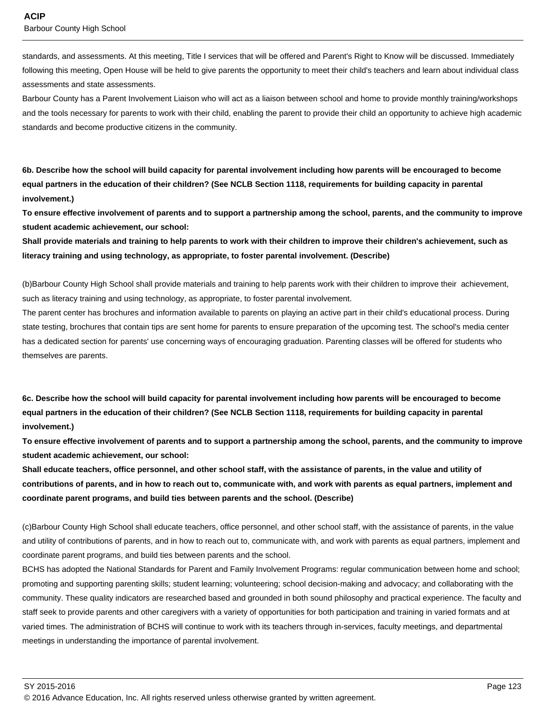standards, and assessments. At this meeting, Title I services that will be offered and Parent's Right to Know will be discussed. Immediately following this meeting, Open House will be held to give parents the opportunity to meet their child's teachers and learn about individual class assessments and state assessments.

Barbour County has a Parent Involvement Liaison who will act as a liaison between school and home to provide monthly training/workshops and the tools necessary for parents to work with their child, enabling the parent to provide their child an opportunity to achieve high academic standards and become productive citizens in the community.

**6b. Describe how the school will build capacity for parental involvement including how parents will be encouraged to become equal partners in the education of their children? (See NCLB Section 1118, requirements for building capacity in parental involvement.)**

**To ensure effective involvement of parents and to support a partnership among the school, parents, and the community to improve student academic achievement, our school:**

**Shall provide materials and training to help parents to work with their children to improve their children's achievement, such as literacy training and using technology, as appropriate, to foster parental involvement. (Describe)**

(b) Barbour County High School shall provide materials and training to help parents work with their children to improve their achievement, such as literacy training and using technology, as appropriate, to foster parental involvement.

The parent center has brochures and information available to parents on playing an active part in their child's educational process. During state testing, brochures that contain tips are sent home for parents to ensure preparation of the upcoming test. The school's media center has a dedicated section for parents' use concerning ways of encouraging graduation. Parenting classes will be offered for students who themselves are parents.

**6c. Describe how the school will build capacity for parental involvement including how parents will be encouraged to become equal partners in the education of their children? (See NCLB Section 1118, requirements for building capacity in parental involvement.)**

**To ensure effective involvement of parents and to support a partnership among the school, parents, and the community to improve student academic achievement, our school:**

**Shall educate teachers, office personnel, and other school staff, with the assistance of parents, in the value and utility of contributions of parents, and in how to reach out to, communicate with, and work with parents as equal partners, implement and coordinate parent programs, and build ties between parents and the school. (Describe)**

(c) Barbour County High School shall educate teachers, office personnel, and other school staff, with the assistance of parents, in the value and utility of contributions of parents, and in how to reach out to, communicate with, and work with parents as equal partners, implement and coordinate parent programs, and build ties between parents and the school.

BCHS has adopted the National Standards for Parent and Family Involvement Programs: regular communication between home and school; promoting and supporting parenting skills; student learning; volunteering; school decision-making and advocacy; and collaborating with the community. These quality indicators are researched based and grounded in both sound philosophy and practical experience. The faculty and staff seek to provide parents and other caregivers with a variety of opportunities for both participation and training in varied formats and at varied times. The administration of BCHS will continue to work with its teachers through in-services, faculty meetings, and departmental meetings in understanding the importance of parental involvement.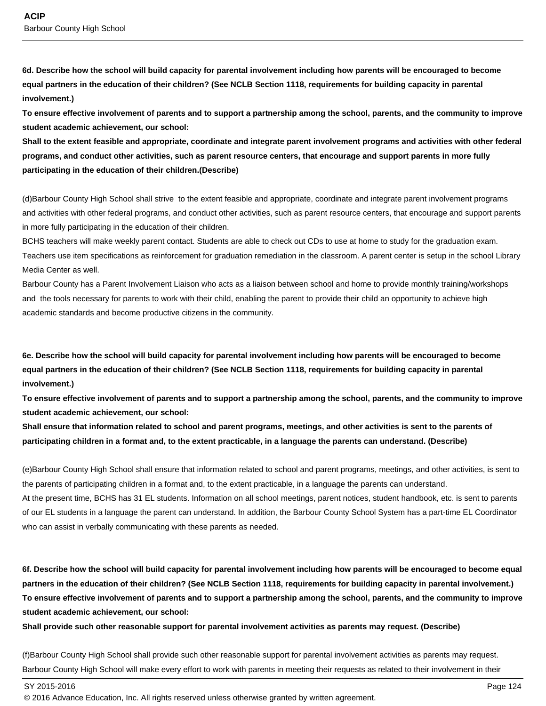**6d. Describe how the school will build capacity for parental involvement including how parents will be encouraged to become equal partners in the education of their children? (See NCLB Section 1118, requirements for building capacity in parental involvement.)**

**To ensure effective involvement of parents and to support a partnership among the school, parents, and the community to improve student academic achievement, our school:**

**Shall to the extent feasible and appropriate, coordinate and integrate parent involvement programs and activities with other federal programs, and conduct other activities, such as parent resource centers, that encourage and support parents in more fully participating in the education of their children.(Describe)**

(d) Barbour County High School shall strive to the extent feasible and appropriate, coordinate and integrate parent involvement programs and activities with other federal programs, and conduct other activities, such as parent resource centers, that encourage and support parents in more fully participating in the education of their children.

BCHS teachers will make weekly parent contact. Students are able to check out CDs to use at home to study for the graduation exam. Teachers use item specifications as reinforcement for graduation remediation in the classroom. A parent center is setup in the school Library Media Center as well.

Barbour County has a Parent Involvement Liaison who acts as a liaison between school and home to provide monthly training/workshops and the tools necessary for parents to work with their child, enabling the parent to provide their child an opportunity to achieve high academic standards and become productive citizens in the community.

**6e. Describe how the school will build capacity for parental involvement including how parents will be encouraged to become equal partners in the education of their children? (See NCLB Section 1118, requirements for building capacity in parental involvement.)**

**To ensure effective involvement of parents and to support a partnership among the school, parents, and the community to improve student academic achievement, our school:**

**Shall ensure that information related to school and parent programs, meetings, and other activities is sent to the parents of participating children in a format and, to the extent practicable, in a language the parents can understand. (Describe)**

(e) Barbour County High School shall ensure that information related to school and parent programs, meetings, and other activities, is sent to the parents of participating children in a format and, to the extent practicable, in a language the parents can understand. At the present time, BCHS has 31 EL students. Information on all school meetings, parent notices, student handbook, etc. is sent to parents of our EL students in a language the parent can understand. In addition, the Barbour County School System has a part-time EL Coordinator who can assist in verbally communicating with these parents as needed.

**6f. Describe how the school will build capacity for parental involvement including how parents will be encouraged to become equal partners in the education of their children? (See NCLB Section 1118, requirements for building capacity in parental involvement.) To ensure effective involvement of parents and to support a partnership among the school, parents, and the community to improve student academic achievement, our school:**

**Shall provide such other reasonable support for parental involvement activities as parents may request. (Describe)**

(f) Barbour County High School shall provide such other reasonable support for parental involvement activities as parents may request. Barbour County High School will make every effort to work with parents in meeting their requests as related to their involvement in their

SY 2015-2016 Page 124

<sup>© 2016</sup> Advance Education, Inc. All rights reserved unless otherwise granted by written agreement.